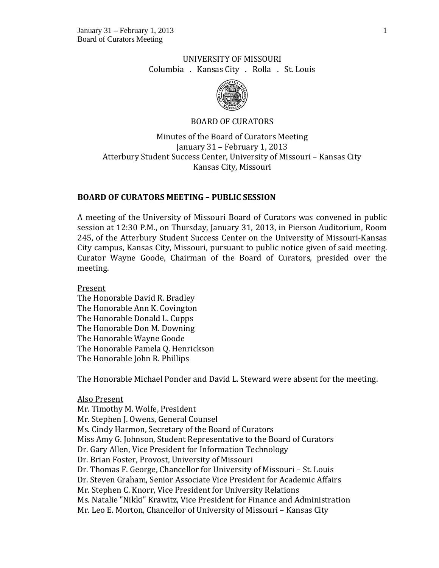# UNIVERSITY OF MISSOURI Columbia . Kansas City . Rolla . St. Louis



## BOARD OF CURATORS

Minutes of the Board of Curators Meeting January 31 – February 1, 2013 Atterbury Student Success Center, University of Missouri – Kansas City Kansas City, Missouri

## **BOARD OF CURATORS MEETING – PUBLIC SESSION**

A meeting of the University of Missouri Board of Curators was convened in public session at 12:30 P.M., on Thursday, January 31, 2013, in Pierson Auditorium, Room 245, of the Atterbury Student Success Center on the University of Missouri-Kansas City campus, Kansas City, Missouri, pursuant to public notice given of said meeting. Curator Wayne Goode, Chairman of the Board of Curators, presided over the meeting.

Present The Honorable David R. Bradley The Honorable Ann K. Covington The Honorable Donald L. Cupps The Honorable Don M. Downing The Honorable Wayne Goode The Honorable Pamela Q. Henrickson The Honorable John R. Phillips

The Honorable Michael Ponder and David L. Steward were absent for the meeting.

Also Present

Mr. Timothy M. Wolfe, President Mr. Stephen J. Owens, General Counsel Ms. Cindy Harmon, Secretary of the Board of Curators Miss Amy G. Johnson, Student Representative to the Board of Curators Dr. Gary Allen, Vice President for Information Technology Dr. Brian Foster, Provost, University of Missouri Dr. Thomas F. George, Chancellor for University of Missouri – St. Louis Dr. Steven Graham, Senior Associate Vice President for Academic Affairs Mr. Stephen C. Knorr, Vice President for University Relations Ms. Natalie "Nikki" Krawitz, Vice President for Finance and Administration Mr. Leo E. Morton, Chancellor of University of Missouri – Kansas City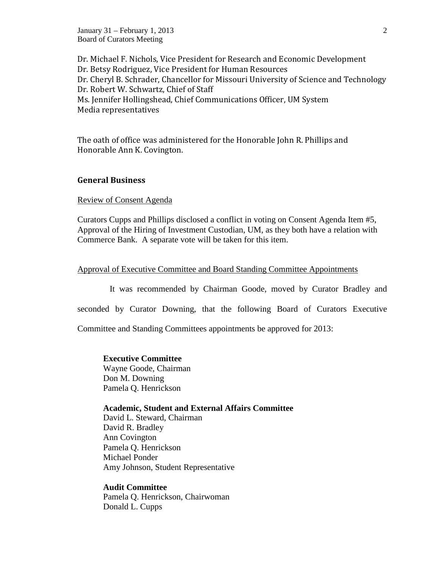January 31 – February 1, 2013 2 Board of Curators Meeting

Dr. Michael F. Nichols, Vice President for Research and Economic Development Dr. Betsy Rodriguez, Vice President for Human Resources Dr. Cheryl B. Schrader, Chancellor for Missouri University of Science and Technology Dr. Robert W. Schwartz, Chief of Staff Ms. Jennifer Hollingshead, Chief Communications Officer, UM System Media representatives

The oath of office was administered for the Honorable John R. Phillips and Honorable Ann K. Covington.

### **General Business**

Review of Consent Agenda

Curators Cupps and Phillips disclosed a conflict in voting on Consent Agenda Item #5, Approval of the Hiring of Investment Custodian, UM, as they both have a relation with Commerce Bank. A separate vote will be taken for this item.

### Approval of Executive Committee and Board Standing Committee Appointments

It was recommended by Chairman Goode, moved by Curator Bradley and

seconded by Curator Downing, that the following Board of Curators Executive

Committee and Standing Committees appointments be approved for 2013:

**Executive Committee**  Wayne Goode, Chairman Don M. Downing Pamela Q. Henrickson

### **Academic, Student and External Affairs Committee**

David L. Steward, Chairman David R. Bradley Ann Covington Pamela Q. Henrickson Michael Ponder Amy Johnson, Student Representative

### **Audit Committee**

Pamela Q. Henrickson, Chairwoman Donald L. Cupps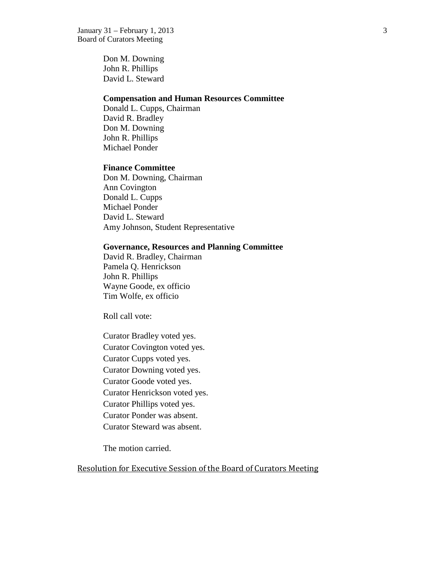Don M. Downing John R. Phillips David L. Steward

### **Compensation and Human Resources Committee**

Donald L. Cupps, Chairman David R. Bradley Don M. Downing John R. Phillips Michael Ponder

### **Finance Committee**

Don M. Downing, Chairman Ann Covington Donald L. Cupps Michael Ponder David L. Steward Amy Johnson, Student Representative

### **Governance, Resources and Planning Committee**

David R. Bradley, Chairman Pamela Q. Henrickson John R. Phillips Wayne Goode, ex officio Tim Wolfe, ex officio

Roll call vote:

Curator Bradley voted yes. Curator Covington voted yes. Curator Cupps voted yes. Curator Downing voted yes. Curator Goode voted yes. Curator Henrickson voted yes. Curator Phillips voted yes. Curator Ponder was absent. Curator Steward was absent.

The motion carried.

Resolution for Executive Session of the Board of Curators Meeting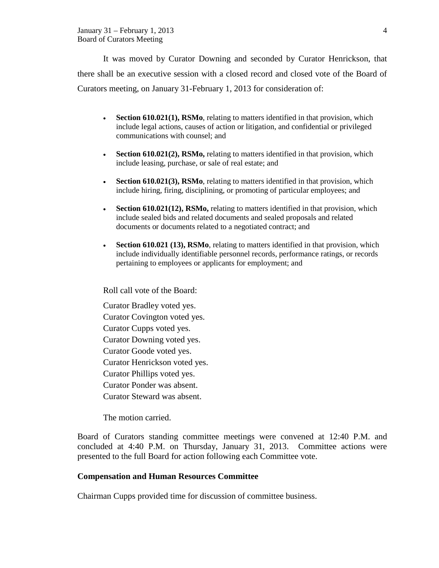It was moved by Curator Downing and seconded by Curator Henrickson, that there shall be an executive session with a closed record and closed vote of the Board of Curators meeting, on January 31-February 1, 2013 for consideration of:

- **Section 610.021(1), RSMo**, relating to matters identified in that provision, which include legal actions, causes of action or litigation, and confidential or privileged communications with counsel; and
- **Section 610.021(2), RSMo,** relating to matters identified in that provision, which include leasing, purchase, or sale of real estate; and
- **Section 610.021(3), RSMo**, relating to matters identified in that provision, which include hiring, firing, disciplining, or promoting of particular employees; and
- **Section 610.021(12), RSMo,** relating to matters identified in that provision, which include sealed bids and related documents and sealed proposals and related documents or documents related to a negotiated contract; and
- **Section 610.021 (13), RSMo**, relating to matters identified in that provision, which include individually identifiable personnel records, performance ratings, or records pertaining to employees or applicants for employment; and

Roll call vote of the Board:

Curator Bradley voted yes. Curator Covington voted yes. Curator Cupps voted yes. Curator Downing voted yes. Curator Goode voted yes. Curator Henrickson voted yes. Curator Phillips voted yes. Curator Ponder was absent. Curator Steward was absent.

The motion carried.

Board of Curators standing committee meetings were convened at 12:40 P.M. and concluded at 4:40 P.M. on Thursday, January 31, 2013. Committee actions were presented to the full Board for action following each Committee vote.

## **Compensation and Human Resources Committee**

Chairman Cupps provided time for discussion of committee business.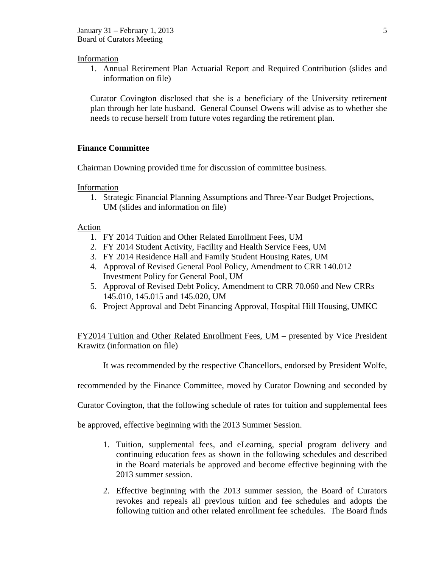### Information

1. Annual Retirement Plan Actuarial Report and Required Contribution (slides and information on file)

Curator Covington disclosed that she is a beneficiary of the University retirement plan through her late husband. General Counsel Owens will advise as to whether she needs to recuse herself from future votes regarding the retirement plan.

## **Finance Committee**

Chairman Downing provided time for discussion of committee business.

Information

1. Strategic Financial Planning Assumptions and Three-Year Budget Projections, UM (slides and information on file)

### Action

- 1. FY 2014 Tuition and Other Related Enrollment Fees, UM
- 2. FY 2014 Student Activity, Facility and Health Service Fees, UM
- 3. FY 2014 Residence Hall and Family Student Housing Rates, UM
- 4. Approval of Revised General Pool Policy, Amendment to CRR 140.012 Investment Policy for General Pool, UM
- 5. Approval of Revised Debt Policy, Amendment to CRR 70.060 and New CRRs 145.010, 145.015 and 145.020, UM
- 6. Project Approval and Debt Financing Approval, Hospital Hill Housing, UMKC

FY2014 Tuition and Other Related Enrollment Fees, UM – presented by Vice President Krawitz (information on file)

It was recommended by the respective Chancellors, endorsed by President Wolfe,

recommended by the Finance Committee, moved by Curator Downing and seconded by

Curator Covington, that the following schedule of rates for tuition and supplemental fees

be approved, effective beginning with the 2013 Summer Session.

- 1. Tuition, supplemental fees, and eLearning, special program delivery and continuing education fees as shown in the following schedules and described in the Board materials be approved and become effective beginning with the 2013 summer session.
- 2. Effective beginning with the 2013 summer session, the Board of Curators revokes and repeals all previous tuition and fee schedules and adopts the following tuition and other related enrollment fee schedules. The Board finds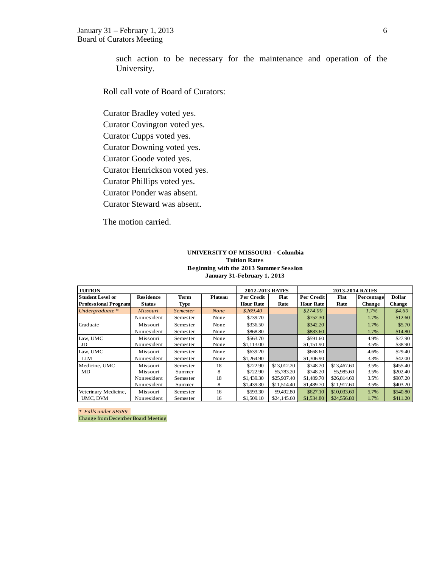such action to be necessary for the maintenance and operation of the University.

Roll call vote of Board of Curators:

Curator Bradley voted yes.

Curator Covington voted yes.

Curator Cupps voted yes.

Curator Downing voted yes.

Curator Goode voted yes.

Curator Henrickson voted yes.

Curator Phillips voted yes.

Curator Ponder was absent.

Curator Steward was absent.

The motion carried.

#### **UNIVERSITY OF MISSOURI - Columbia Tuition Rates Beginning with the 2013 Summer Session January 31-February 1, 2013**

| <b>TUITION</b>              |               |             |                | 2012-2013 RATES  |             |                  | 2013-2014 RATES |               |               |
|-----------------------------|---------------|-------------|----------------|------------------|-------------|------------------|-----------------|---------------|---------------|
| <b>Student Level or</b>     | Residence     | Term        | <b>Plateau</b> | Per Credit       | Flat        | Per Credit       | Flat            | Percentage    | <b>Dollar</b> |
| <b>Professional Program</b> | <b>Status</b> | <b>Type</b> |                | <b>Hour Rate</b> | Rate        | <b>Hour Rate</b> | Rate            | <b>Change</b> | <b>Change</b> |
| Undergraduate $*$           | Missouri      | Semester    | None           | \$269.40         |             | \$274.00         |                 | 1.7%          | \$4.60        |
|                             | Nonresident   | Semester    | None           | \$739.70         |             | \$752.30         |                 | 1.7%          | \$12.60       |
| Graduate                    | Missouri      | Semester    | None           | \$336.50         |             | \$342.20         |                 | 1.7%          | \$5.70        |
|                             | Nonresident   | Semester    | None           | \$868.80         |             | \$883.60         |                 | 1.7%          | \$14.80       |
| Law, UMC                    | Missouri      | Semester    | None           | \$563.70         |             | \$591.60         |                 | 4.9%          | \$27.90       |
| JD                          | Nonresident   | Semester    | None           | \$1,113.00       |             | \$1,151.90       |                 | 3.5%          | \$38.90       |
| Law, UMC                    | Missouri      | Semester    | None           | \$639.20         |             | \$668.60         |                 | 4.6%          | \$29.40       |
| <b>LLM</b>                  | Nonresident   | Semester    | None           | \$1,264.90       |             | \$1,306.90       |                 | 3.3%          | \$42.00       |
| Medicine, UMC               | Missouri      | Semester    | 18             | \$722.90         | \$13,012.20 | \$748.20         | \$13,467.60     | 3.5%          | \$455.40      |
| MD                          | Missouri      | Summer      | 8              | \$722.90         | \$5,783.20  | \$748.20         | \$5,985.60      | 3.5%          | \$202.40      |
|                             | Nonresident   | Semester    | 18             | \$1,439.30       | \$25,907.40 | \$1,489.70       | \$26,814.60     | 3.5%          | \$907.20      |
|                             | Nonresident   | Summer      | 8              | \$1,439.30       | \$11,514.40 | \$1,489.70       | \$11,917.60     | 3.5%          | \$403.20      |
| Veterinary Medicine,        | Missouri      | Semester    | 16             | \$593.30         | \$9,492.80  | \$627.10         | \$10,033.60     | 5.7%          | \$540.80      |
| UMC, DVM                    | Nonresident   | Semester    | 16             | \$1,509.10       | \$24,145.60 | \$1,534.80       | \$24,556.80     | 1.7%          | \$411.20      |

*\* Falls under SB389* 

Change from December Board Meeting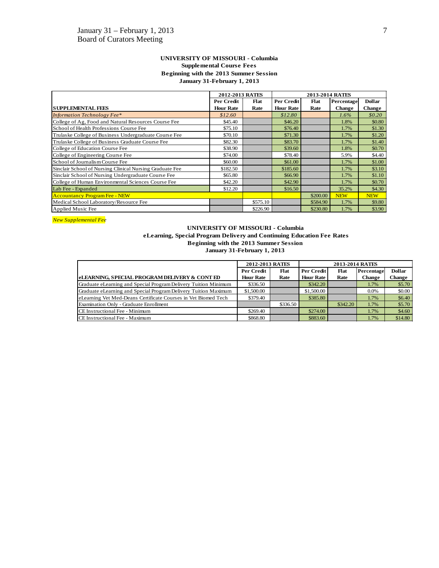#### **UNIVERSITY OF MISSOURI - Columbia Supplemental Course Fees Beginning with the 2013 Summer Session January 31-February 1, 2013**

|                                                          | 2012-2013 RATES  |          |                  | 2013-2014 RATES |               |               |  |  |
|----------------------------------------------------------|------------------|----------|------------------|-----------------|---------------|---------------|--|--|
|                                                          | Per Credit       | Flat     | Per Credit       | Flat            | Percentage    | <b>Dollar</b> |  |  |
| <b>SUPPLEMENTAL FEES</b>                                 | <b>Hour Rate</b> | Rate     | <b>Hour Rate</b> | Rate            | <b>Change</b> | <b>Change</b> |  |  |
| <b>Information Technology Fee*</b>                       | \$12.60          |          | \$12.80          |                 | $1.6\%$       | \$0.20        |  |  |
| College of Ag, Food and Natural Resources Course Fee     | \$45.40          |          | \$46.20          |                 | 1.8%          | \$0.80        |  |  |
| School of Health Professions Course Fee                  | \$75.10          |          | \$76.40          |                 | 1.7%          | \$1.30        |  |  |
| Trulaske College of Business Undergraduate Course Fee    | \$70.10          |          | \$71.30          |                 | 1.7%          | \$1.20        |  |  |
| Trulaske College of Business Graduate Course Fee         | \$82.30          |          | \$83.70          |                 | 1.7%          | \$1.40        |  |  |
| College of Education Course Fee                          | \$38.90          |          | \$39.60          |                 | 1.8%          | \$0.70        |  |  |
| College of Engineering Course Fee                        | \$74.00          |          | \$78.40          |                 | 5.9%          | \$4.40        |  |  |
| School of Journalism Course Fee                          | \$60.00          |          | \$61.00          |                 | 1.7%          | \$1.00        |  |  |
| Sinclair School of Nursing Clinical Nursing Graduate Fee | \$182.50         |          | \$185.60         |                 | 1.7%          | \$3.10        |  |  |
| Sinclair School of Nursing Undergraduate Course Fee      | \$65.80          |          | \$66.90          |                 | 1.7%          | \$1.10        |  |  |
| College of Human Environmental Sciences Course Fee       | \$42.20          |          | \$42.90          |                 | 1.7%          | \$0.70        |  |  |
| Lab Fee - Expanded                                       | \$12.20          |          | \$16.50          |                 | 35.2%         | \$4.30        |  |  |
| <b>Accountancy Program Fee - NEW</b>                     |                  |          |                  | \$200.00        | <b>NEW</b>    | <b>NEW</b>    |  |  |
| Medical School Laboratory/Resource Fee                   |                  | \$575.10 |                  | \$584.90        | 1.7%          | \$9.80        |  |  |
| Applied Music Fee                                        |                  | \$226.90 |                  | \$230.80        | 1.7%          | \$3.90        |  |  |

*New Supplemental Fee*

#### **UNIVERSITY OF MISSOURI - Columbia eLearning, Special Program Delivery and Continuing Education Fee Rates Beginning with the 2013 Summer Session January 31-February 1, 2013**

|                                                                 | 2012-2013 RATES  |             | 2013-2014 RATES  |                    |         |         |  |  |
|-----------------------------------------------------------------|------------------|-------------|------------------|--------------------|---------|---------|--|--|
|                                                                 | Per Credit       | <b>Flat</b> | Per Credit       | Flat<br>Percentage |         |         |  |  |
| <b>eLEARNING, SPECIAL PROGRAM DELIVERY &amp; CONT ED</b>        | <b>Hour Rate</b> | Rate        | <b>Hour Rate</b> | Rate               | Change  | Change  |  |  |
| Graduate eLearning and Special Program Delivery Tuition Minimum | \$336.50         |             | \$342.20         |                    | 1.7%    | \$5.70  |  |  |
| Graduate eLearning and Special Program Delivery Tuition Maximum | \$1,500.00       |             | \$1,500.00       |                    | $0.0\%$ | \$0.00  |  |  |
| eLearning Vet Med-Deans Certificate Courses in Vet Biomed Tech  | \$379.40         |             | \$385.80         |                    | 1.7%    | \$6.40  |  |  |
| Examination Only - Graduate Enrollment                          |                  | \$336.50    |                  | \$342.20           | 1.7%    | \$5.70  |  |  |
| <b>CE</b> Instructional Fee - Minimum                           | \$269.40         |             | \$274.00         |                    | 1.7%    | \$4.60  |  |  |
| CE Instructional Fee - Maximum                                  | \$868.80         |             | \$883.60         |                    | 1.7%    | \$14.80 |  |  |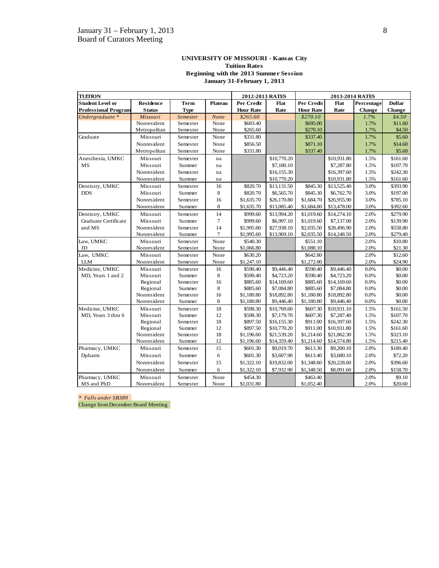#### **UNIVERSITY OF MISSOURI - Kansas City Tuition Rates Beginning with the 2013 Summer Session January 31-February 1, 2013**

| <b>TUITION</b>              |                  |                 |                | 2012-2013 RATES  |             |                  | 2013-2014 RATES |            |               |
|-----------------------------|------------------|-----------------|----------------|------------------|-------------|------------------|-----------------|------------|---------------|
| <b>Student Level or</b>     | <b>Residence</b> | <b>Term</b>     | <b>Plateau</b> | Per Credit       | Flat        | Per Credit       | Flat            | Percentage | <b>Dollar</b> |
| <b>Professional Program</b> | <b>Status</b>    | <b>Type</b>     |                | <b>Hour Rate</b> | Rate        | <b>Hour Rate</b> | Rate            | Change     | <b>Change</b> |
| Undergraduate *             | Missouri         | <b>Semester</b> | None           | \$265.60         |             | \$270.10         |                 | 1.7%       | \$4.50\$      |
|                             | Nonresident      | Semester        | None           | \$683.40         |             | \$695.00         |                 | 1.7%       | \$11.60       |
|                             | Metropolitan     | Semester        | None           | \$265.60         |             | \$270.10         |                 | 1.7%       | \$4.50        |
| Graduate                    | Missouri         | Semester        | None           | \$331.80         |             | \$337.40         |                 | 1.7%       | \$5.60        |
|                             | Nonresident      | Semester        | None           | \$856.50         |             | \$871.10         |                 | 1.7%       | \$14.60       |
|                             | Metropolitan     | Semester        | None           | \$331.80         |             | \$337.40         |                 | 1.7%       | \$5.60        |
| Anesthesia, UMKC            | Missouri         | Semester        | na             |                  | \$10,770.20 |                  | \$10,931.80     | 1.5%       | \$161.60      |
| <b>MS</b>                   | Missouri         | Summer          | na             |                  | \$7,180.10  |                  | \$7,287.80      | 1.5%       | \$107.70      |
|                             | Nonresident      | Semester        | na             |                  | \$16,155.30 |                  | \$16,397.60     | 1.5%       | \$242.30      |
|                             | Nonresident      | Summer          | na             |                  | \$10,770.20 |                  | \$10,931.80     | 1.5%       | \$161.60      |
| Dentistry, UMKC             | Missouri         | Semester        | 16             | \$820.70         | \$13,131.50 | \$845.30         | \$13,525.40     | 3.0%       | \$393.90      |
| <b>DDS</b>                  | Missouri         | Summer          | 8              | \$820.70         | \$6,565.70  | \$845.30         | \$6,762.70      | 3.0%       | \$197.00      |
|                             | Nonresident      | Semester        | 16             | \$1,635.70       | \$26,170.80 | \$1,684.70       | \$26,955.90     | 3.0%       | \$785.10      |
|                             | Nonresident      | Summer          | 8              | \$1,635.70       | \$13,085.40 | \$1,684.80       | \$13,478.00     | 3.0%       | \$392.60      |
| Dentistry, UMKC             | Missouri         | Semester        | 14             | \$999.60         | \$13,994.20 | \$1,019.60       | \$14,274.10     | 2.0%       | \$279.90      |
| Graduate Certificate        | Missouri         | Summer          | $\overline{7}$ | \$999.60         | \$6,997.10  | \$1,019.60       | \$7,137.00      | 2.0%       | \$139.90      |
| and MS                      | Nonresident      | Semester        | 14             | \$1,995.60       | \$27,938.10 | \$2,035.50       | \$28,496.90     | 2.0%       | \$558.80      |
|                             | Nonresident      | Summer          | $\tau$         | \$1,995.60       | \$13,969.10 | \$2,035.50       | \$14,248.50     | 2.0%       | \$279.40      |
| Law, UMKC                   | Missouri         | Semester        | None           | \$540.30         |             | \$551.10         |                 | 2.0%       | \$10.80       |
| JD                          | Nonresident      | Semester        | None           | \$1,066.80       |             | \$1,088.10       |                 | 2.0%       | \$21.30       |
| Law, UMKC                   | Missouri         | Semester        | None           | \$630.20         |             | \$642.80         |                 | 2.0%       | \$12.60       |
| <b>LLM</b>                  | Nonresident      | Semester        | None           | \$1,247.10       |             | \$1,272.00       |                 | 2.0%       | \$24.90       |
| Medicine, UMKC              | Missouri         | Semester        | 16             | \$590.40         | \$9,446.40  | \$590.40         | \$9,446.40      | 0.0%       | \$0.00        |
| MD, Years 1 and 2           | Missouri         | Summer          | 8              | \$590.40         | \$4,723.20  | \$590.40         | \$4,723.20      | 0.0%       | \$0.00        |
|                             | Regional         | Semester        | 16             | \$885.60         | \$14,169.60 | \$885.60         | \$14,169.60     | 0.0%       | \$0.00        |
|                             | Regional         | Summer          | 8              | \$885.60         | \$7,084.80  | \$885.60         | \$7,084.80      | 0.0%       | \$0.00        |
|                             | Nonresident      | Semester        | 16             | \$1,180.80       | \$18,892.80 | \$1,180.80       | \$18,892.80     | 0.0%       | \$0.00        |
|                             | Nonresident      | Summer          | $\,$ 8 $\,$    | \$1,180.80       | \$9,446.40  | \$1,180.80       | \$9,446.40      | 0.0%       | \$0.00        |
| Medicine, UMKC              | Missouri         | Semester        | 18             | \$598.30         | \$10,769.60 | \$607.30         | \$10,931.10     | 1.5%       | \$161.50      |
| MD, Years 3 thru 6          | Missouri         | Summer          | 12             | \$598.30         | \$7,179.70  | \$607.30         | \$7,287.40      | 1.5%       | \$107.70      |
|                             | Regional         | Semester        | 18             | \$897.50         | \$16,155.30 | \$911.00         | \$16,397.60     | 1.5%       | \$242.30      |
|                             | Regional         | Summer          | 12             | \$897.50         | \$10,770.20 | \$911.00         | \$10,931.80     | 1.5%       | \$161.60      |
|                             | Nonresident      | Semester        | 18             | \$1,196.60       | \$21,539.20 | \$1,214.60       | \$21,862.30     | 1.5%       | \$323.10      |
|                             | Nonresident      | Summer          | 12             | \$1,196.60       | \$14,359.40 | \$1,214.60       | \$14,574.80     | 1.5%       | \$215.40      |
| Pharmacy, UMKC              | Missouri         | Semester        | 15             | \$601.30         | \$9,019.70  | \$613.30         | \$9,200.10      | 2.0%       | \$180.40      |
| Dpharm                      | Missouri         | Summer          | 6              | \$601.30         | \$3,607.90  | \$613.40         | \$3,680.10      | 2.0%       | \$72.20       |
|                             | Nonresident      | Semester        | 15             | \$1,322.10       | \$19,832.00 | \$1,348.60       | \$20,228.60     | 2.0%       | \$396.60      |
|                             | Nonresident      | Summer          | 6              | \$1,322.10       | \$7,932.90  | \$1,348.50       | \$8,091.60      | 2.0%       | \$158.70      |
| Pharmacy, UMKC              | Missouri         | Semester        | None           | \$454.30         |             | \$463.40         |                 | 2.0%       | \$9.10        |
| MS and PhD                  | Nonresident      | Semester        | None           | \$1,031.80       |             | \$1,052.40       |                 | 2.0%       | \$20.60       |

*\* Falls under SB389* 

Change from December Board Meeting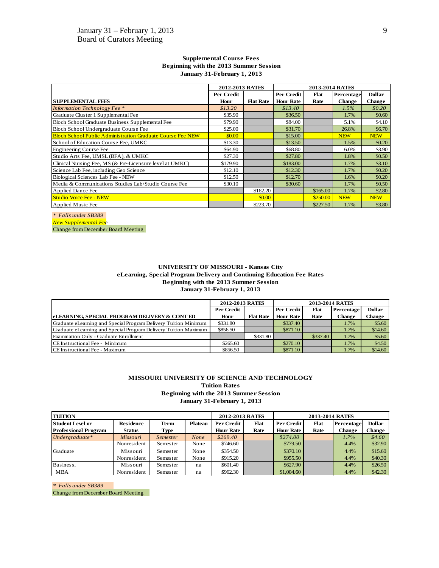|                                                                   | 2012-2013 RATES |                  |                  | <b>2013-2014 RATES</b> |               |               |  |  |  |  |
|-------------------------------------------------------------------|-----------------|------------------|------------------|------------------------|---------------|---------------|--|--|--|--|
|                                                                   | Per Credit      |                  | Per Credit       | Percentage             | <b>Dollar</b> |               |  |  |  |  |
| <b>SUPPLEMENTAL FEES</b>                                          | Hour            | <b>Flat Rate</b> | <b>Hour Rate</b> | Rate                   | <b>Change</b> | <b>Change</b> |  |  |  |  |
| <b>Information Technology Fee</b> *                               | \$13.20         |                  | \$13.40          |                        | 1.5%          | \$0.20        |  |  |  |  |
| Graduate Cluster 1 Supplemental Fee                               | \$35.90         |                  | \$36.50          |                        | 1.7%          | \$0.60        |  |  |  |  |
| Bloch School Graduate Business Supplemental Fee                   | \$79.90         |                  | \$84.00          |                        | 5.1%          | \$4.10        |  |  |  |  |
| Bloch School Undergraduate Course Fee                             | \$25.00         |                  | \$31.70          |                        | 26.8%         | \$6.70        |  |  |  |  |
| <b>Bloch School Public Administration Graduate Course Fee NEW</b> | \$0.00          |                  | \$15.00          |                        | <b>NEW</b>    | <b>NEW</b>    |  |  |  |  |
| School of Education Course Fee, UMKC                              | \$13.30         |                  | \$13.50          |                        | 1.5%          | \$0.20        |  |  |  |  |
| Engineering Course Fee                                            | \$64.90         |                  | \$68.80          |                        | 6.0%          | \$3.90        |  |  |  |  |
| Studio Arts Fee, UMSL (BFA), & UMKC                               | \$27.30         |                  | \$27.80          |                        | 1.8%          | \$0.50        |  |  |  |  |
| Clinical Nursing Fee, MS (& Pre-Licensure level at UMKC)          | \$179.90        |                  | \$183.00         |                        | 1.7%          | \$3.10        |  |  |  |  |
| Science Lab Fee, including Geo Science                            | \$12.10         |                  | \$12.30          |                        | 1.7%          | \$0.20        |  |  |  |  |
| Biological Sciences Lab Fee - NEW                                 | \$12.50         |                  | \$12.70          |                        | 1.6%          | \$0.20        |  |  |  |  |
| Media & Communications Studies Lab/Studio Course Fee              | \$30.10         |                  | \$30.60          |                        | 1.7%          | \$0.50        |  |  |  |  |
| <b>Applied Dance Fee</b>                                          |                 | \$162.20         |                  | \$165.00               | 1.7%          | \$2.80        |  |  |  |  |
| <b>Studio Voice Fee - NEW</b>                                     |                 | \$0.00           |                  | \$250.00               | <b>NEW</b>    | <b>NEW</b>    |  |  |  |  |
| Applied Music Fee                                                 |                 | \$223.70         |                  | \$227.50               | 1.7%          | \$3.80        |  |  |  |  |

#### **Supplemental Course Fees Beginning with the 2013 Summer Session January 31-February 1, 2013**

*\* Falls under SB389 New Supplemental Fee*

Change from December Board Meeting

#### **UNIVERSITY OF MISSOURI - Kansas City eLearning, Special Program Delivery and Continuing Education Fee Rates Beginning with the 2013 Summer Session January 31-February 1, 2013**

|                                                                 | 2012-2013 RATES |                  | 2013-2014 RATES  |          |               |               |  |  |
|-----------------------------------------------------------------|-----------------|------------------|------------------|----------|---------------|---------------|--|--|
|                                                                 | Per Credit      |                  | Per Credit       | Flat     | Percentage    | <b>Dollar</b> |  |  |
| <b>ELEARNING. SPECIAL PROGRAM DELIVERY &amp; CONT ED</b>        | Hour            | <b>Flat Rate</b> | <b>Hour Rate</b> | Rate     | <b>Change</b> | Change        |  |  |
| Graduate eLearning and Special Program Delivery Tuition Minimum | \$331.80        |                  | \$337.40         |          | 1.7%          | \$5.60        |  |  |
| Graduate eLearning and Special Program Delivery Tuition Maximum | \$856.50        |                  | \$871.10         |          | 1.7%          | \$14.60       |  |  |
| Examination Only - Graduate Enrollment                          |                 | \$331.80         |                  | \$337.40 | 1.7%          | \$5.60        |  |  |
| <b>CE</b> Instructional Fee - Minimum                           | \$265.60        |                  | \$270.10         |          | 1.7%          | \$4.50        |  |  |
| <b>CE</b> Instructional Fee - Maximum                           | \$856.50        |                  | \$871.10         |          | 1.7%          | \$14.60       |  |  |

#### **MISSOURI UNIVERSITY OF SCIENCE AND TECHNOLOGY Tuition Rates Beginning with the 2013 Summer Session January 31-February 1, 2013**

| <b>TUITION</b>              |                 |          |                | 2012-2013 RATES  |      |                  |      |               |               |
|-----------------------------|-----------------|----------|----------------|------------------|------|------------------|------|---------------|---------------|
| Student Level or            | Residence       | Term     | <b>Plateau</b> | Per Credit       | Flat | Per Credit       | Flat | Percentage    | <b>Dollar</b> |
| <b>Professional Program</b> | <b>Status</b>   | Type     |                | <b>Hour Rate</b> | Rate | <b>Hour Rate</b> | Rate | <b>Change</b> | Change        |
| $Under graduate$ *          | <b>Missouri</b> | Semester | None           | \$269.40         |      | \$274.00         |      | $1.7\%$       | \$4.60        |
|                             | Nonresident     | Semester | None           | \$746.60         |      | \$779.50         |      | 4.4%          | \$32.90       |
| Graduate                    | Missouri        | Semester | None           | \$354.50         |      | \$370.10         |      | 4.4%          | \$15.60       |
|                             | Nonresident     | Semester | None           | \$915.20         |      | \$955.50         |      | 4.4%          | \$40.30       |
| Business,                   | Missouri        | Semester | na             | \$601.40         |      | \$627.90         |      | 4.4%          | \$26.50       |
| <b>MBA</b>                  | Nonresident     | Semester | na             | \$962.30         |      | \$1,004,60       |      | 4.4%          | \$42.30       |

*\* Falls under SB389* 

Change from December Board Meeting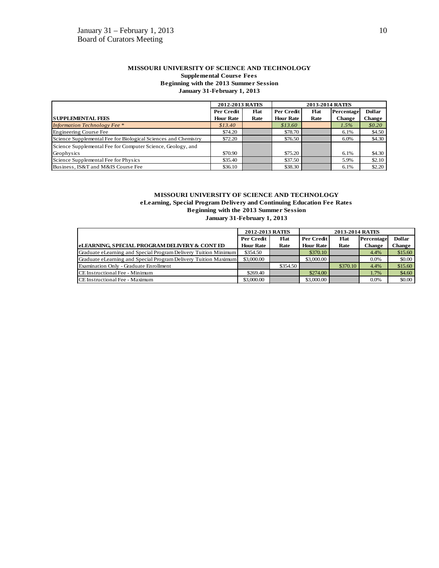#### **MISSOURI UNIVERSITY OF SCIENCE AND TECHNOLOGY Supplemental Course Fees Beginning with the 2013 Summer Session January 31-February 1, 2013**

|                                                                | 2012-2013 RATES  |      |                  |      |            |               |
|----------------------------------------------------------------|------------------|------|------------------|------|------------|---------------|
|                                                                | Per Credit       | Flat | Per Credit       | Flat | Percentage | <b>Dollar</b> |
| <b>SUPPLEMENTAL FEES</b>                                       | <b>Hour Rate</b> | Rate | <b>Hour Rate</b> | Rate | Change     | Change        |
| <b>Information Technology Fee</b> *                            | \$13.40          |      | \$13.60          |      | $1.5\%$    | \$0.20        |
| Engineering Course Fee                                         | \$74.20          |      | \$78.70          |      | 6.1%       | \$4.50        |
| Science Supplemental Fee for Biological Sciences and Chemistry | \$72.20          |      | \$76.50          |      | 6.0%       | \$4.30        |
| Science Supplemental Fee for Computer Science, Geology, and    |                  |      |                  |      |            |               |
| Geophysics                                                     | \$70.90          |      | \$75.20          |      | 6.1%       | \$4.30        |
| Science Supplemental Fee for Physics                           | \$35.40          |      | \$37.50          |      | 5.9%       | \$2.10        |
| Business, IS&T and M&IS Course Fee                             | \$36.10          |      | \$38.30          |      | 6.1%       | \$2.20        |

# **MISSOURI UNIVERSITY OF SCIENCE AND TECHNOLOGY**

**eLearning, Special Program Delivery and Continuing Education Fee Rates Beginning with the 2013 Summer Session January 31-February 1, 2013**

|                                                                        | 2012-2013 RATES  |          |                  |          |               |               |
|------------------------------------------------------------------------|------------------|----------|------------------|----------|---------------|---------------|
|                                                                        | Per Credit       | Flat     | Per Credit       | Flat     | Percentage    | <b>Dollar</b> |
| <b>leLEARNING. SPECIAL PROGRAM DELIVERY &amp; CONT ED</b>              | <b>Hour Rate</b> | Rate     | <b>Hour Rate</b> | Rate     | <b>Change</b> | Change        |
| <b>Graduate eLearning and Special Program Delivery Tuition Minimum</b> | \$354.50         |          | \$370.10         |          | 4.4%          | \$15.60       |
| Graduate eLearning and Special Program Delivery Tuition Maximum        | \$3,000.00       |          | \$3,000.00       |          | 0.0%          | \$0.00        |
| Examination Only - Graduate Enrollment                                 |                  | \$354.50 |                  | \$370.10 | 4.4%          | \$15.60       |
| <b>ICE</b> Instructional Fee - Minimum                                 | \$269.40         |          | \$274.00         |          | 1.7%          | \$4.60        |
| <b>CE</b> Instructional Fee - Maximum                                  | \$3,000.00       |          | \$3,000.00       |          | 0.0%          | \$0.00        |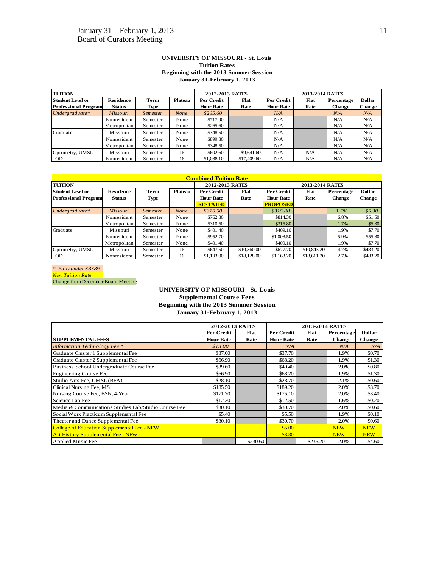#### **UNIVERSITY OF MISSOURI - St. Louis Tuition Rates Beginning with the 2013 Summer Session January 31-February 1, 2013**

| <b>TUITION</b>              |                  | 2012-2013 RATES |                |                  | 2013-2014 RATES |                  |      |            |               |
|-----------------------------|------------------|-----------------|----------------|------------------|-----------------|------------------|------|------------|---------------|
| <b>Student Level or</b>     | <b>Residence</b> | Term            | <b>Plateau</b> | Per Credit       | Flat            | Per Credit       | Flat | Percentage | <b>Dollar</b> |
| <b>Professional Program</b> | <b>Status</b>    | Type            |                | <b>Hour Rate</b> | Rate            | <b>Hour Rate</b> | Rate | Change     | Change        |
| Undergraduate*              | <b>Missouri</b>  | <i>Semester</i> | <b>None</b>    | \$265.60         |                 | N/A              |      | N/A        | N/A           |
|                             | Nonresident      | Semester        | None           | \$717.90         |                 | N/A              |      | N/A        | N/A           |
|                             | Metropolitan     | Semester        | None           | \$265.60         |                 | N/A              |      | N/A        | N/A           |
| Graduate                    | Missouri         | Semester        | None           | \$348.50         |                 | N/A              |      | N/A        | N/A           |
|                             | Nonresident      | Semester        | None           | \$899.80         |                 | N/A              |      | N/A        | N/A           |
|                             | Metropolitan     | Semester        | None           | \$348.50         |                 | N/A              |      | N/A        | N/A           |
| Optometry, UMSL             | Missouri         | Semester        | 16             | \$602.60         | \$9,641.60      | N/A              | N/A  | N/A        | N/A           |
| <b>OD</b>                   | Nonresident      | Semester        | 16             | \$1,088.10       | \$17,409.60     | N/A              | N/A  | N/A        | N/A           |

|                             |                  |                 |             | <b>Combined Tuition Rate</b> |             |                  |             |               |               |  |
|-----------------------------|------------------|-----------------|-------------|------------------------------|-------------|------------------|-------------|---------------|---------------|--|
| <b>TUITION</b>              |                  |                 |             | 2012-2013 RATES              |             | 2013-2014 RATES  |             |               |               |  |
| lStudent Level or           | <b>Residence</b> | Term            | Plateau     | Per Credit                   | Flat        | Per Credit       | Flat        | Percentage    | <b>Dollar</b> |  |
| <b>Professional Program</b> | <b>Status</b>    | <b>Type</b>     |             | <b>Hour Rate</b>             | Rate        | <b>Hour Rate</b> | Rate        | <b>Change</b> | <b>Change</b> |  |
|                             |                  |                 |             | <b>RESTATED</b>              |             | <b>PROPOSED</b>  |             |               |               |  |
| Undergraduate*              | <b>Missouri</b>  | <b>Semester</b> | <b>None</b> | \$310.50                     |             | \$315.80         |             | 1.7%          | \$5.30        |  |
|                             | Nonresident      | Semester        | None        | \$762.80                     |             | \$814.30         |             | 6.8%          | \$51.50       |  |
|                             | Metropolitan     | Semester        | None        | \$310.50                     |             | \$315.80         |             | 1.7%          | \$5.30        |  |
| Graduate                    | Missouri         | Semester        | None        | \$401.40                     |             | \$409.10         |             | 1.9%          | \$7.70        |  |
|                             | Nonresident      | Semester        | None        | \$952.70                     |             | \$1,008.50       |             | 5.9%          | \$55.80       |  |
|                             | Metropolitan     | Semester        | None        | \$401.40                     |             | \$409.10         |             | 1.9%          | \$7.70        |  |
| Optometry, UMSL             | Missouri         | Semester        | 16          | \$647.50                     | \$10,360,00 | \$677.70         | \$10,843.20 | 4.7%          | \$483.20      |  |
| <b>OD</b>                   | Nonresident      | Semester        | 16          | \$1,133,00                   | \$18,128,00 | \$1,163.20       | \$18,611.20 | 2.7%          | \$483.20      |  |

*\* Falls under SB389 New Tuition Rate* Change from December Board Meeting

#### **UNIVERSITY OF MISSOURI - St. Louis Supplemental Course Fees Beginning with the 2013 Summer Session January 31-February 1, 2013**

|                                                      | 2012-2013 RATES  |          |                  | 2013-2014 RATES |               |               |
|------------------------------------------------------|------------------|----------|------------------|-----------------|---------------|---------------|
|                                                      | Per Credit       | Flat     | Per Credit       | Flat            | Percentage    | <b>Dollar</b> |
| <b>SUPPLEMENTAL FEES</b>                             | <b>Hour Rate</b> | Rate     | <b>Hour Rate</b> | Rate            | <b>Change</b> | <b>Change</b> |
| <b>Information Technology Fee</b> *                  | \$13.00          |          | N/A              |                 | N/A           | N/A           |
| Graduate Cluster 1 Supplemental Fee                  | \$37.00          |          | \$37.70          |                 | 1.9%          | \$0.70        |
| Graduate Cluster 2 Supplemental Fee                  | \$66.90          |          | \$68.20          |                 | 1.9%          | \$1.30        |
| Business School Undergraduate Course Fee             | \$39.60          |          | \$40.40          |                 | 2.0%          | \$0.80        |
| <b>Engineering Course Fee</b>                        | \$66.90          |          | \$68.20          |                 | 1.9%          | \$1.30        |
| Studio Arts Fee, UMSL (BFA)                          | \$28.10          |          | \$28.70          |                 | 2.1%          | \$0.60        |
| Clinical Nursing Fee, MS                             | \$185.50         |          | \$189.20         |                 | 2.0%          | \$3.70        |
| Nursing Course Fee, BSN, 4-Year                      | \$171.70         |          | \$175.10         |                 | 2.0%          | \$3.40        |
| Science Lab Fee                                      | \$12.30          |          | \$12.50          |                 | 1.6%          | \$0.20        |
| Media & Communications Studies Lab/Studio Course Fee | \$30.10          |          | \$30.70          |                 | 2.0%          | \$0.60        |
| Social Work Practicum Supplemental Fee               | \$5.40           |          | \$5.50           |                 | 1.9%          | \$0.10        |
| Theater and Dance Supplemental Fee                   | \$30.10          |          | \$30.70          |                 | 2.0%          | \$0.60        |
| College of Education Supplemental Fee - NEW          |                  |          | \$5.00           |                 | <b>NEW</b>    | <b>NEW</b>    |
| <b>Art History Supplemental Fee - NEW</b>            |                  |          | \$3.30           |                 | <b>NEW</b>    | <b>NEW</b>    |
| Applied Music Fee                                    |                  | \$230.60 |                  | \$235.20        | 2.0%          | \$4.60        |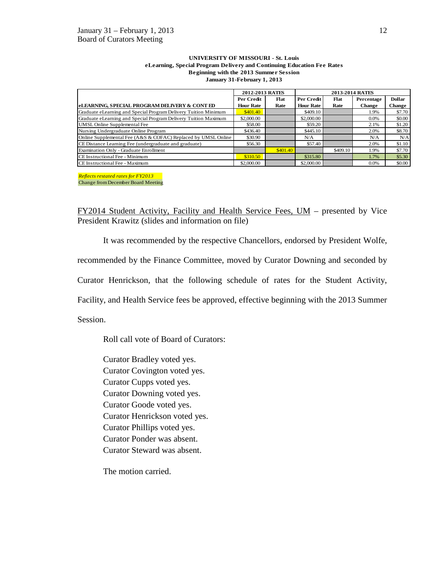#### **UNIVERSITY OF MISSOURI - St. Louis eLearning, Special Program Delivery and Continuing Education Fee Rates Beginning with the 2013 Summer Session January 31-February 1, 2013**

|                                                                 | 2012-2013 RATES  |          | 2013-2014 RATES  |          |               |               |
|-----------------------------------------------------------------|------------------|----------|------------------|----------|---------------|---------------|
|                                                                 | Per Credit       | Flat     | Per Credit       | Flat     | Percentage    | <b>Dollar</b> |
| eLEARNING, SPECIAL PROGRAM DELIVERY & CONT ED                   | <b>Hour Rate</b> | Rate     | <b>Hour Rate</b> | Rate     | <b>Change</b> | <b>Change</b> |
| Graduate eLearning and Special Program Delivery Tuition Minimum | \$401.40         |          | \$409.10         |          | 1.9%          | \$7.70        |
| Graduate eLearning and Special Program Delivery Tuition Maximum | \$2,000.00       |          | \$2,000.00       |          | $0.0\%$       | \$0.00        |
| UMSL Online Supplemental Fee                                    | \$58.00          |          | \$59.20          |          | 2.1%          | \$1.20        |
| Nursing Undergraduate Online Program                            | \$436.40         |          | \$445.10         |          | 2.0%          | \$8.70        |
| Online Supplemental Fee (A&S & COFAC) Replaced by UMSL Online   | \$30.90          |          | N/A              |          | N/A           | N/A           |
| CE Distance Learning Fee (undergraduate and graduate)           | \$56.30          |          | \$57.40          |          | 2.0%          | \$1.10        |
| Examination Only - Graduate Enrollment                          |                  | \$401.40 |                  | \$409.10 | 1.9%          | \$7.70        |
| CE Instructional Fee - Minimum                                  | \$310.50         |          | \$315.80         |          | 1.7%          | \$5.30        |
| CE Instructional Fee - Maximum                                  | \$2,000.00       |          | \$2,000.00       |          | $0.0\%$       | \$0.00        |

*Reflects restated rates for FY2013* Change from December Board Meeting

FY2014 Student Activity, Facility and Health Service Fees, UM – presented by Vice President Krawitz (slides and information on file)

It was recommended by the respective Chancellors, endorsed by President Wolfe,

recommended by the Finance Committee, moved by Curator Downing and seconded by

Curator Henrickson, that the following schedule of rates for the Student Activity,

Facility, and Health Service fees be approved, effective beginning with the 2013 Summer

Session.

Roll call vote of Board of Curators:

Curator Bradley voted yes. Curator Covington voted yes. Curator Cupps voted yes. Curator Downing voted yes. Curator Goode voted yes. Curator Henrickson voted yes. Curator Phillips voted yes. Curator Ponder was absent. Curator Steward was absent.

The motion carried.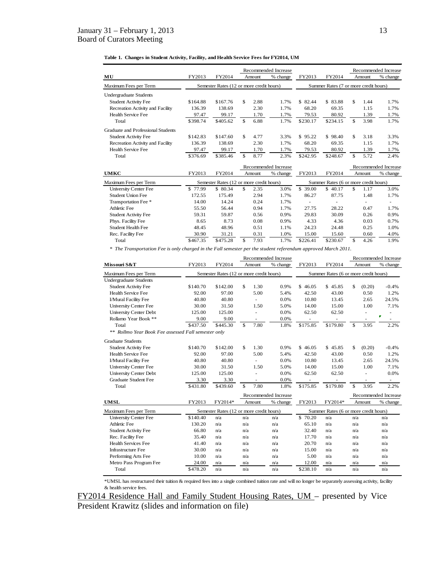#### **Table 1. Changes in Student Activity, Facility, and Health Service Fees for FY2014, UM**

|                                    |          |                                          |            | Recommended Increase |          |                                       |            | Recommended Increase |
|------------------------------------|----------|------------------------------------------|------------|----------------------|----------|---------------------------------------|------------|----------------------|
| MU                                 | FY2013   | FY2014                                   | Amount     | % change             | FY2013   | FY2014                                | Amount     | % change             |
| Maximum Fees per Term              |          | Semester Rates (12 or more credit hours) |            |                      |          | Summer Rates (7 or more credit hours) |            |                      |
| <b>Undergraduate Students</b>      |          |                                          |            |                      |          |                                       |            |                      |
| <b>Student Activity Fee</b>        | \$164.88 | \$167.76                                 | \$<br>2.88 | 1.7%                 | \$82.44  | \$83.88                               | \$<br>1.44 | 1.7%                 |
| Recreation Activity and Facility   | 136.39   | 138.69                                   | 2.30       | 1.7%                 | 68.20    | 69.35                                 | 1.15       | 1.7%                 |
| Health Service Fee                 | 97.47    | 99.17                                    | 1.70       | 1.7%                 | 79.53    | 80.92                                 | 1.39       | 1.7%                 |
| Total                              | \$398.74 | \$405.62                                 | \$<br>6.88 | 1.7%                 | \$230.17 | \$234.15                              | \$<br>3.98 | 1.7%                 |
| Graduate and Professional Students |          |                                          |            |                      |          |                                       |            |                      |
| <b>Student Activity Fee</b>        | \$142.83 | \$147.60                                 | \$<br>4.77 | 3.3%                 | \$95.22  | \$98.40                               | \$<br>3.18 | 3.3%                 |
| Recreation Activity and Facility   | 136.39   | 138.69                                   | 2.30       | 1.7%                 | 68.20    | 69.35                                 | 1.15       | 1.7%                 |
| Health Service Fee                 | 97.47    | 99.17                                    | 1.70       | 1.7%                 | 79.53    | 80.92                                 | 1.39       | 1.7%                 |
| Total                              | \$376.69 | \$385.46                                 | \$<br>8.77 | 2.3%                 | \$242.95 | \$248.67                              | \$<br>5.72 | 2.4%                 |
|                                    |          |                                          |            | Recommended Increase |          |                                       |            | Recommended Increase |
| <b>UMKC</b>                        | FY2013   | FY2014                                   | Amount     | % change             | FY2013   | FY2014                                | Amount     | % change             |
| Maximum Fees per Term              |          | Semester Rates (12 or more credit hours) |            |                      |          | Summer Rates (6 or more credit hours) |            |                      |
| <b>University Center Fee</b>       | \$77.99  | \$ 80.34                                 | \$<br>2.35 | 3.0%                 | \$39.00  | \$40.17                               | \$<br>1.17 | 3.0%                 |
| Student Union Fee                  | 172.55   | 175.49                                   | 2.94       | 1.7%                 | 86.27    | 87.75                                 | 1.48       | 1.7%                 |
| Transportation Fee *               | 14.00    | 14.24                                    | 0.24       | 1.7%                 |          |                                       | ٠          | ٠                    |
| Athletic Fee                       | 55.50    | 56.44                                    | 0.94       | 1.7%                 | 27.75    | 28.22                                 | 0.47       | 1.7%                 |
| <b>Student Activity Fee</b>        | 59.31    | 59.87                                    | 0.56       | 0.9%                 | 29.83    | 30.09                                 | 0.26       | 0.9%                 |
| Phys. Facility Fee                 | 8.65     | 8.73                                     | 0.08       | 0.9%                 | 4.33     | 4.36                                  | 0.03       | 0.7%                 |
| Student Health Fee                 | 48.45    | 48.96                                    | 0.51       | 1.1%                 | 24.23    | 24.48                                 | 0.25       | 1.0%                 |
| Rec. Facility Fee                  | 30.90    | 31.21                                    | 0.31       | 1.0%                 | 15.00    | 15.60                                 | 0.60       | 4.0%                 |
| Total                              | \$467.35 | \$475.28                                 | \$<br>7.93 | 1.7%                 | \$226.41 | \$230.67                              | \$<br>4.26 | 1.9%                 |

*\* The Transportation Fee is only charged in the Fall semester per the student referendum approved March 2011.*

|                                                     |          |                                          |              |                          | Recommended Increase |          |                                       |               |        | Recommended Increase     |
|-----------------------------------------------------|----------|------------------------------------------|--------------|--------------------------|----------------------|----------|---------------------------------------|---------------|--------|--------------------------|
| Missouri S&T                                        | FY2013   | FY2014                                   |              | Amount                   | % change             | FY2013   | FY2014                                |               | Amount | % change                 |
| Maximum Fees per Term                               |          | Semester Rates (12 or more credit hours) |              |                          |                      |          | Summer Rates (6 or more credit hours) |               |        |                          |
| <b>Undergraduate Students</b>                       |          |                                          |              |                          |                      |          |                                       |               |        |                          |
| <b>Student Activity Fee</b>                         | \$140.70 | \$142.00                                 | \$           | 1.30                     | 0.9%                 | \$46.05  | \$45.85                               | \$            | (0.20) | $-0.4%$                  |
| Health Service Fee                                  | 92.00    | 97.00                                    |              | 5.00                     | 5.4%                 | 42.50    | 43.00                                 |               | 0.50   | 1.2%                     |
| I/Mural Facility Fee                                | 40.80    | 40.80                                    |              | ÷.                       | 0.0%                 | 10.80    | 13.45                                 |               | 2.65   | 24.5%                    |
| <b>University Center Fee</b>                        | 30.00    | 31.50                                    |              | 1.50                     | 5.0%                 | 14.00    | 15.00                                 |               | 1.00   | 7.1%                     |
| <b>University Center Debt</b>                       | 125.00   | 125.00                                   |              | ÷,                       | 0.0%                 | 62.50    | 62.50                                 |               | -      |                          |
| Rollamo Year Book **                                | 9.00     | 9.00                                     |              | ۰                        | 0.0%                 |          | $\overline{\phantom{a}}$              |               |        | $\blacksquare$           |
| Total                                               | \$437.50 | \$445.30                                 | $\mathbf{s}$ | 7.80                     | 1.8%                 | \$175.85 | \$179.80                              | \$            | 3.95   | 2.2%                     |
| ** Rollmo Year Book Fee assessed Fall semester only |          |                                          |              |                          |                      |          |                                       |               |        |                          |
| <b>Graduate Students</b>                            |          |                                          |              |                          |                      |          |                                       |               |        |                          |
| <b>Student Activity Fee</b>                         | \$140.70 | \$142.00                                 | \$           | 1.30                     | 0.9%                 | \$46.05  | \$45.85                               | \$            | (0.20) | $-0.4%$                  |
| Health Service Fee                                  | 92.00    | 97.00                                    |              | 5.00                     | 5.4%                 | 42.50    | 43.00                                 |               | 0.50   | 1.2%                     |
| I/Mural Facility Fee                                | 40.80    | 40.80                                    |              |                          | 0.0%                 | 10.80    | 13.45                                 |               | 2.65   | 24.5%                    |
| <b>University Center Fee</b>                        | 30.00    | 31.50                                    |              | 1.50                     | 5.0%                 | 14.00    | 15.00                                 |               | 1.00   | 7.1%                     |
| <b>University Center Debt</b>                       | 125.00   | 125.00                                   |              | $\overline{\phantom{a}}$ | 0.0%                 | 62.50    | 62.50                                 |               |        | 0.0%                     |
| <b>Graduate Student Fee</b>                         | 3.30     | 3.30                                     |              | $\overline{a}$           | 0.0%                 |          |                                       |               | ٠      | $\overline{\phantom{a}}$ |
| Total                                               | \$431.80 | \$439.60                                 | \$           | 7.80                     | 1.8%                 | \$175.85 | \$179.80                              | $\mathbf{\$}$ | 3.95   | 2.2%                     |
|                                                     |          |                                          |              |                          | Recommended Increase |          |                                       |               |        | Recommended Increase     |
| <b>UMSL</b>                                         | FY2013   | FY2014*                                  |              | Amount                   | % change             | FY2013   | FY2014*                               |               | Amount | % change                 |
| Maximum Fees per Term                               |          | Semester Rates (12 or more credit hours) |              |                          |                      |          | Summer Rates (6 or more credit hours) |               |        |                          |
| <b>University Center Fee</b>                        | \$140.40 | n/a                                      | n/a          |                          | n/a                  | \$70.20  | n/a                                   | n/a           |        | n/a                      |
| Athletic Fee                                        | 130.20   | n/a                                      | n/a          |                          | n/a                  | 65.10    | n/a                                   | n/a           |        | n/a                      |
| <b>Student Activity Fee</b>                         | 66.80    | n/a                                      | n/a          |                          | n/a                  | 32.40    | n/a                                   | n/a           |        | n/a                      |
| Rec. Facility Fee                                   | 35.40    | n/a                                      | n/a          |                          | n/a                  | 17.70    | n/a                                   | n/a           |        | n/a                      |
| <b>Health Services Fee</b>                          | 41.40    | n/a                                      | n/a          |                          | n/a                  | 20.70    | n/a                                   | n/a           |        | n/a                      |
| Infrastructure Fee                                  | 30.00    | n/a                                      | n/a          |                          | n/a                  | 15.00    | n/a                                   | n/a           |        | n/a                      |
| Performing Arts Fee                                 | 10.00    | n/a                                      | n/a          |                          | n/a                  | 5.00     | n/a                                   | n/a           |        | n/a                      |
| Metro Pass Program Fee                              | 24.00    | n/a                                      | n/a          |                          | n/a                  | 12.00    | n/a                                   | n/a           |        | n/a                      |
| Total                                               | \$478.20 | n/a                                      | n/a          |                          | n/a                  | \$238.10 | n/a                                   | n/a           |        | n/a                      |

\*UMSL has restructured their tuition & required fees into a single combined tuition rate and will no longer be separately assessing activity, facility & health service fees.

FY2014 Residence Hall and Family Student Housing Rates, UM – presented by Vice President Krawitz (slides and information on file)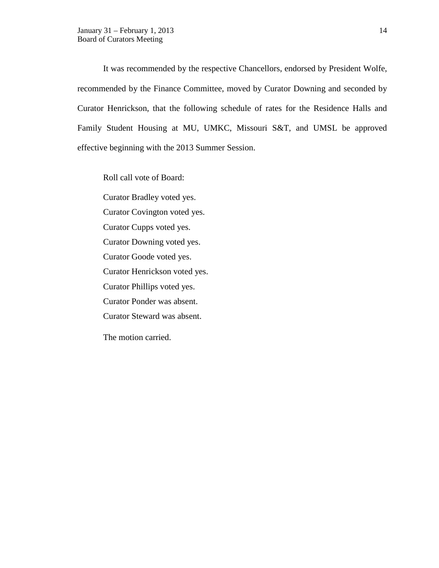It was recommended by the respective Chancellors, endorsed by President Wolfe, recommended by the Finance Committee, moved by Curator Downing and seconded by Curator Henrickson, that the following schedule of rates for the Residence Halls and Family Student Housing at MU, UMKC, Missouri S&T, and UMSL be approved effective beginning with the 2013 Summer Session.

Roll call vote of Board:

Curator Bradley voted yes. Curator Covington voted yes. Curator Cupps voted yes. Curator Downing voted yes. Curator Goode voted yes. Curator Henrickson voted yes. Curator Phillips voted yes. Curator Ponder was absent. Curator Steward was absent.

The motion carried.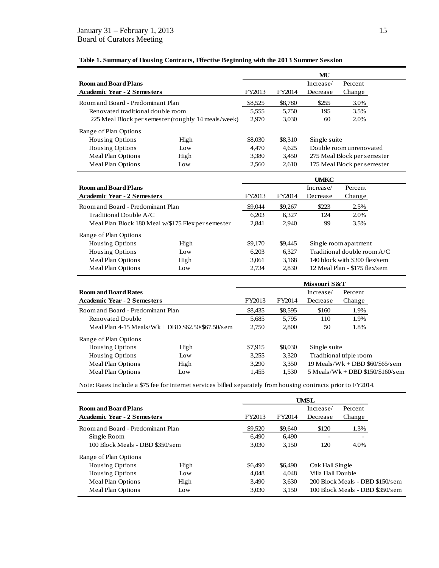|                                    |                                                     |         |         | MU           |                             |
|------------------------------------|-----------------------------------------------------|---------|---------|--------------|-----------------------------|
| <b>Room and Board Plans</b>        |                                                     |         |         | Increase/    | Percent                     |
| <b>Academic Year - 2 Semesters</b> |                                                     | FY2013  | FY2014  | Decrease     | Change                      |
| Room and Board - Predominant Plan  |                                                     | \$8,525 | \$8,780 | \$255        | 3.0%                        |
| Renovated traditional double room  |                                                     | 5,555   | 5,750   | 195          | 3.5%                        |
|                                    | 225 Meal Block per semester (roughly 14 meals/week) | 2.970   | 3,030   | 60           | 2.0%                        |
| Range of Plan Options              |                                                     |         |         |              |                             |
| <b>Housing Options</b>             | High                                                | \$8,030 | \$8,310 | Single suite |                             |
| <b>Housing Options</b>             | Low                                                 | 4.470   | 4,625   |              | Double room unrenovated     |
| Meal Plan Options                  | High                                                | 3,380   | 3,450   |              | 275 Meal Block per semester |
| Meal Plan Options                  | Low                                                 | 2,560   | 2.610   |              | 175 Meal Block per semester |

## **Table 1. Summary of Housing Contracts, Effective Beginning with the 2013 Summer Session**

|                                    |                                                    |                              |                              | <b>UMKC</b> |                               |
|------------------------------------|----------------------------------------------------|------------------------------|------------------------------|-------------|-------------------------------|
| <b>Room and Board Plans</b>        |                                                    |                              |                              | Increase/   | Percent                       |
| <b>Academic Year - 2 Semesters</b> |                                                    | FY2013                       | FY2014<br>Decrease<br>Change |             |                               |
| Room and Board - Predominant Plan  |                                                    | \$9,044                      | \$9,267                      | \$223       | 2.5%                          |
| Traditional Double A/C             |                                                    | 6,203                        | 6.327                        | 124         | 2.0%                          |
|                                    | Meal Plan Block 180 Meal w/\$175 Flex per semester | 3.5%<br>2.841<br>2.940<br>99 |                              |             |                               |
| Range of Plan Options              |                                                    |                              |                              |             |                               |
| Housing Options                    | High                                               | \$9,170                      | \$9.445                      |             | Single room apartment         |
| <b>Housing Options</b>             | Low                                                | 6.203                        | 6.327                        |             | Traditional double room $A/C$ |
| Meal Plan Options                  | High                                               | 3.061                        | 3,168                        |             | 140 block with \$300 flex/sem |
| Meal Plan Options                  | Low                                                | 2.734                        | 2,830                        |             | 12 Meal Plan - \$175 flex/sem |

|                                    |                                                     | Missouri S&T |         |              |                                    |  |
|------------------------------------|-----------------------------------------------------|--------------|---------|--------------|------------------------------------|--|
| <b>Room and Board Rates</b>        |                                                     |              |         | Increase/    | Percent                            |  |
| <b>Academic Year - 2 Semesters</b> |                                                     | FY2013       | FY2014  | Decrease     | Change                             |  |
| Room and Board - Predominant Plan  |                                                     | \$8,435      | \$8,595 | \$160        | 1.9%                               |  |
| Renovated Double                   |                                                     | 5,685        | 5,795   | 110          | 1.9%                               |  |
|                                    | Meal Plan $4-15$ Meals/Wk + DBD \$62.50/\$67.50/sem | 2.750        | 2.800   | 1.8%<br>50   |                                    |  |
| Range of Plan Options              |                                                     |              |         |              |                                    |  |
| <b>Housing Options</b>             | High                                                | \$7,915      | \$8,030 | Single suite |                                    |  |
| <b>Housing Options</b>             | $I_{\Omega}$                                        | 3,255        | 3,320   |              | Traditional triple room            |  |
| Meal Plan Options                  | High                                                | 3,290        | 3,350   |              | $19$ Meals/Wk + DBD \$60/\$65/sem  |  |
| Meal Plan Options                  | $I_{\Omega}$                                        | 1,455        | 1.530   |              | $5$ Meals/Wk + DBD \$150/\$160/sem |  |

Note: Rates include a \$75 fee for internet services billed separately from housing contracts prior to FY2014.

|                                    |              |         |         | UMSL              |                                 |
|------------------------------------|--------------|---------|---------|-------------------|---------------------------------|
| <b>Room and Board Plans</b>        |              |         |         | Increase/         | Percent                         |
| <b>Academic Year - 2 Semesters</b> |              | FY2013  | FY2014  | Decrease          | Change                          |
| Room and Board - Predominant Plan  |              | \$9,520 | \$9,640 | \$120             | 1.3%                            |
| Single Room                        |              | 6.490   | 6.490   | ۰                 |                                 |
| 100 Block Meals - DBD \$350/sem    |              | 3.030   | 3.150   | 120               | 4.0%                            |
| Range of Plan Options              |              |         |         |                   |                                 |
| <b>Housing Options</b>             | High         | \$6,490 | \$6,490 | Oak Hall Single   |                                 |
| <b>Housing Options</b>             | $I_{\Omega}$ | 4.048   | 4.048   | Villa Hall Double |                                 |
| Meal Plan Options                  | High         | 3.490   | 3.630   |                   | 200 Block Meals - DBD \$150/sem |
| Meal Plan Options                  | Low          | 3.030   | 3,150   |                   | 100 Block Meals - DBD \$350/sem |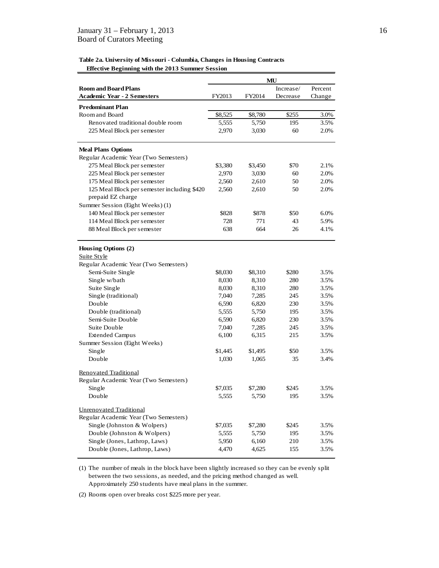### **Table 2a. University of Missouri - Columbia, Changes in Housing Contracts Effective Beginning with the 2013 Summer Session**

|                                                                         | MU      |                  |           |         |  |
|-------------------------------------------------------------------------|---------|------------------|-----------|---------|--|
| <b>Room and Board Plans</b>                                             |         |                  | Increase/ | Percent |  |
| <b>Academic Year - 2 Semesters</b>                                      | FY2013  | FY2014           | Decrease  | Change  |  |
| <b>Predominant Plan</b>                                                 |         |                  |           |         |  |
| Room and Board                                                          | \$8,525 | \$8,780          | \$255     | 3.0%    |  |
| Renovated traditional double room                                       | 5,555   | 5,750            | 195       | 3.5%    |  |
| 225 Meal Block per semester                                             | 2,970   | 3,030            | 60        | 2.0%    |  |
| <b>Meal Plans Options</b>                                               |         |                  |           |         |  |
| Regular Academic Year (Two Semesters)                                   |         |                  |           |         |  |
| 275 Meal Block per semester                                             | \$3,380 | \$3,450          | \$70      | 2.1%    |  |
| 225 Meal Block per semester                                             | 2,970   | 3,030            | 60        | 2.0%    |  |
| 175 Meal Block per semester                                             | 2,560   | 2,610            | 50        | 2.0%    |  |
| 125 Meal Block per semester including \$420                             | 2,560   | 2,610            | 50        | 2.0%    |  |
| prepaid EZ charge                                                       |         |                  |           |         |  |
| Summer Session (Eight Weeks) (1)                                        |         |                  |           |         |  |
| 140 Meal Block per semester                                             | \$828   | \$878            | \$50      | 6.0%    |  |
| 114 Meal Block per semester                                             | 728     | 771              | 43        | 5.9%    |  |
| 88 Meal Block per semester                                              | 638     | 664              | 26        | 4.1%    |  |
| Housing Options (2)<br>Suite Style                                      |         |                  |           |         |  |
| Regular Academic Year (Two Semesters)                                   |         |                  |           |         |  |
| Semi-Suite Single                                                       | \$8,030 | \$8,310          | \$280     | 3.5%    |  |
| Single w/bath                                                           | 8,030   | 8,310            | 280       | 3.5%    |  |
| Suite Single                                                            | 8,030   | 8,310            | 280       | 3.5%    |  |
| Single (traditional)                                                    | 7,040   | 7,285            | 245       | 3.5%    |  |
| Double                                                                  | 6,590   | 6,820            | 230       | 3.5%    |  |
| Double (traditional)                                                    | 5,555   | 5,750            | 195       | 3.5%    |  |
| Semi-Suite Double                                                       | 6,590   | 6,820            | 230       | 3.5%    |  |
| Suite Double                                                            | 7,040   | 7,285            | 245       | 3.5%    |  |
| <b>Extended Campus</b>                                                  | 6,100   | 6,315            | 215       | 3.5%    |  |
| Summer Session (Eight Weeks)                                            | \$1,445 |                  | \$50      | 3.5%    |  |
| Single<br>Double                                                        | 1,030   | \$1,495<br>1,065 | 35        | 3.4%    |  |
| <b>Renovated Traditional</b>                                            |         |                  |           |         |  |
| Regular Academic Year (Two Semesters)                                   |         |                  |           |         |  |
| Single                                                                  | \$7,035 | \$7,280          | \$245     | 3.5%    |  |
| Double                                                                  | 5,555   | 5,750            | 195       | 3.5%    |  |
| <b>Unrenovated Traditional</b><br>Regular Academic Year (Two Semesters) |         |                  |           |         |  |
| Single (Johnston & Wolpers)                                             | \$7,035 | \$7,280          | \$245     | 3.5%    |  |
| Double (Johnston & Wolpers)                                             | 5,555   | 5,750            | 195       | 3.5%    |  |
| Single (Jones, Lathrop, Laws)                                           | 5,950   | 6,160            | 210       | 3.5%    |  |
| Double (Jones, Lathrop, Laws)                                           | 4,470   | 4,625            | 155       | 3.5%    |  |

(1) The number of meals in the block have been slightly increased so they can be evenly split between the two sessions, as needed, and the pricing method changed as well. Approximately 250 students have meal plans in the summer.

(2) Rooms open over breaks cost \$225 more per year.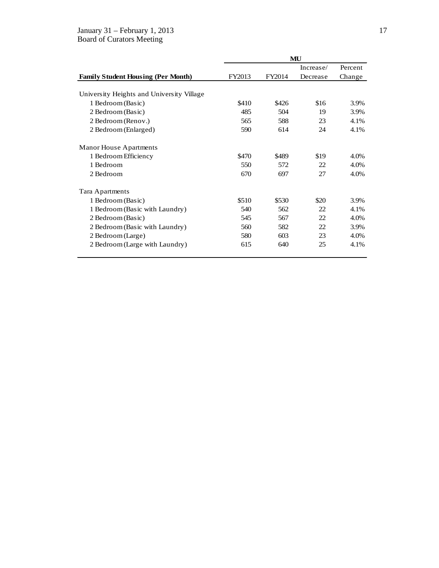# January 31 – February 1, 2013 17

Board of Curators Meeting

|                                           | MU     |        |           |         |  |  |
|-------------------------------------------|--------|--------|-----------|---------|--|--|
|                                           |        |        | Increase/ | Percent |  |  |
| <b>Family Student Housing (Per Month)</b> | FY2013 | FY2014 | Decrease  | Change  |  |  |
|                                           |        |        |           |         |  |  |
| University Heights and University Village |        |        |           |         |  |  |
| 1 Bedroom (Basic)                         | \$410  | \$426  | \$16      | 3.9%    |  |  |
| 2 Bedroom (Basic)                         | 485    | 504    | 19        | 3.9%    |  |  |
| 2 Bedroom (Renov.)                        | 565    | 588    | 23        | 4.1%    |  |  |
| 2 Bedroom (Enlarged)                      | 590    | 614    | 24        | 4.1%    |  |  |
| <b>Manor House Apartments</b>             |        |        |           |         |  |  |
| 1 Bedroom Efficiency                      | \$470  | \$489  | \$19      | 4.0%    |  |  |
| 1 Bedroom                                 | 550    | 572    | 22        | 4.0%    |  |  |
| 2 Bedroom                                 | 670    | 697    | 27        | 4.0%    |  |  |
| Tara Apartments                           |        |        |           |         |  |  |
| 1 Bedroom (Basic)                         | \$510  | \$530  | \$20      | 3.9%    |  |  |
| 1 Bedroom (Basic with Laundry)            | 540    | 562    | 22        | 4.1%    |  |  |
| 2 Bedroom (Basic)                         | 545    | 567    | 22        | 4.0%    |  |  |
| 2 Bedroom (Basic with Laundry)            | 560    | 582    | 22        | 3.9%    |  |  |
| 2 Bedroom (Large)                         | 580    | 603    | 23        | 4.0%    |  |  |
| 2 Bedroom (Large with Laundry)            | 615    | 640    | 25        | 4.1%    |  |  |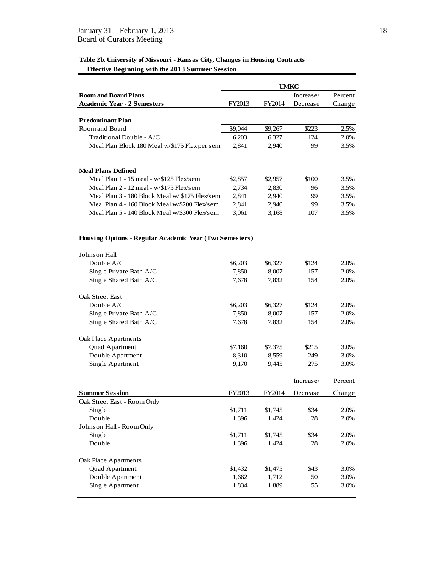### **Table 2b. University of Missouri - Kansas City, Changes in Housing Contracts Effective Beginning with the 2013 Summer Session**

|                                                         | UMKC    |         |           |         |  |
|---------------------------------------------------------|---------|---------|-----------|---------|--|
| <b>Room and Board Plans</b>                             |         |         | Increase/ | Percent |  |
| <b>Academic Year - 2 Semesters</b>                      | FY2013  | FY2014  | Decrease  | Change  |  |
|                                                         |         |         |           |         |  |
| <b>Predominant Plan</b>                                 |         |         |           |         |  |
| Room and Board                                          | \$9,044 | \$9,267 | \$223     | 2.5%    |  |
| Traditional Double - A/C                                | 6,203   | 6,327   | 124       | 2.0%    |  |
| Meal Plan Block 180 Meal w/\$175 Flex per sem           | 2,841   | 2,940   | 99        | 3.5%    |  |
|                                                         |         |         |           |         |  |
| <b>Meal Plans Defined</b>                               |         |         |           |         |  |
| Meal Plan 1 - 15 meal - w/\$125 Flex/sem                | \$2,857 | \$2,957 | \$100     | 3.5%    |  |
| Meal Plan 2 - 12 meal - w/\$175 Flex/sem                | 2,734   | 2,830   | 96        | 3.5%    |  |
| Meal Plan 3 - 180 Block Meal w/ \$175 Flex/sem          | 2,841   | 2,940   | 99        | 3.5%    |  |
| Meal Plan 4 - 160 Block Meal w/\$200 Flex/sem           | 2,841   | 2,940   | 99        | 3.5%    |  |
| Meal Plan 5 - 140 Block Meal w/\$300 Flex/sem           | 3,061   | 3,168   | 107       | 3.5%    |  |
|                                                         |         |         |           |         |  |
| Housing Options - Regular Academic Year (Two Semesters) |         |         |           |         |  |
| Johnson Hall                                            |         |         |           |         |  |
| Double A/C                                              | \$6,203 | \$6,327 | \$124     | 2.0%    |  |
| Single Private Bath A/C                                 | 7,850   | 8,007   | 157       | 2.0%    |  |
| Single Shared Bath A/C                                  | 7,678   | 7,832   | 154       | 2.0%    |  |
| Oak Street East                                         |         |         |           |         |  |
| Double $A/C$                                            | \$6,203 | \$6,327 | \$124     | 2.0%    |  |
| Single Private Bath A/C                                 | 7,850   | 8,007   | 157       | 2.0%    |  |
| Single Shared Bath A/C                                  | 7,678   | 7,832   | 154       | 2.0%    |  |
|                                                         |         |         |           |         |  |
| Oak Place Apartments                                    |         |         |           |         |  |
| Quad Apartment                                          | \$7,160 | \$7,375 | \$215     | 3.0%    |  |
| Double Apartment                                        | 8,310   | 8,559   | 249       | 3.0%    |  |
| Single Apartment                                        | 9,170   | 9,445   | 275       | 3.0%    |  |
|                                                         |         |         |           |         |  |
|                                                         |         |         | Increase/ | Percent |  |
| <b>Summer Session</b>                                   | FY2013  | FY2014  | Decrease  | Change  |  |
| Oak Street East - Room Only                             |         |         |           |         |  |
| Single                                                  | \$1,711 | \$1,745 | \$34      | 2.0%    |  |
| Double                                                  | 1,396   | 1,424   | 28        | 2.0%    |  |
| Johnson Hall - Room Only                                |         |         |           |         |  |
| Single                                                  | \$1,711 | \$1,745 | \$34      | 2.0%    |  |
| Double                                                  | 1,396   | 1,424   | 28        | 2.0%    |  |
|                                                         |         |         |           |         |  |
| Oak Place Apartments                                    |         |         |           |         |  |
| Quad Apartment                                          | \$1,432 | \$1,475 | \$43      | 3.0%    |  |
| Double Apartment                                        | 1,662   | 1,712   | 50        | 3.0%    |  |
| Single Apartment                                        | 1,834   | 1,889   | 55        | 3.0%    |  |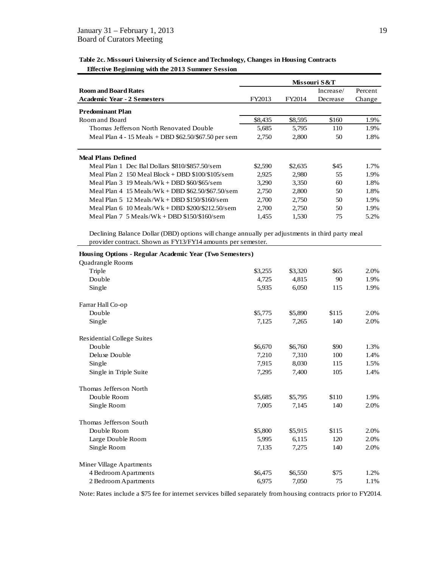**Table 2c. Missouri University of Science and Technology, Changes in Housing Contracts Effective Beginning with the 2013 Summer Session**

|                                                          |         |         | Missouri S&T |         |
|----------------------------------------------------------|---------|---------|--------------|---------|
| <b>Room and Board Rates</b>                              |         |         | Increase/    | Percent |
| <b>Academic Year - 2 Semesters</b>                       | FY2013  | FY2014  | Decrease     | Change  |
| <b>Predominant Plan</b>                                  |         |         |              |         |
| Room and Board                                           | \$8.435 | \$8,595 | \$160        | 1.9%    |
| Thomas Jefferson North Renovated Double                  | 5,685   | 5,795   | 110          | 1.9%    |
| Meal Plan $4 - 15$ Meals + DBD $62.50$ / $67.50$ per sem | 2,750   | 2,800   | 50           | 1.8%    |
|                                                          |         |         |              |         |
| <b>Meal Plans Defined</b>                                |         |         |              |         |
| Meal Plan 1 Dec Bal Dollars \$810/\$857.50/sem           | \$2,590 | \$2,635 | \$45         | 1.7%    |
| Meal Plan 2 $150$ Meal Block + DBD \$100/\$105/sem       | 2,925   | 2,980   | 55           | 1.9%    |
| Meal Plan $3 \cdot 19$ Meals/Wk + DBD \$60/\$65/sem      | 3.290   | 3,350   | 60           | 1.8%    |
| Meal Plan $4$ 15 Meals/Wk + DBD \$62.50/\$67.50/sem      | 2,750   | 2,800   | 50           | 1.8%    |
| Meal Plan 5 $12$ Meals/Wk + DBD \$150/\$160/sem          | 2.700   | 2,750   | 50           | 1.9%    |
| Meal Plan $6 \cdot 10$ Meals/Wk + DBD \$200/\$212.50/sem | 2.700   | 2,750   | 50           | 1.9%    |
| Meal Plan $7\;5$ Meals/Wk + DBD \$150/\$160/sem          | 1,455   | 1,530   | 75           | 5.2%    |
|                                                          |         |         |              |         |

Declining Balance Dollar (DBD) options will change annually per adjustments in third party meal provider contract. Shown as FY13/FY14 amounts per semester.

| <b>Housing Options - Regular Academic Year (Two Semesters)</b> |         |         |       |      |
|----------------------------------------------------------------|---------|---------|-------|------|
| Quadrangle Rooms                                               |         |         |       |      |
| Triple                                                         | \$3,255 | \$3,320 | \$65  | 2.0% |
| Double                                                         | 4,725   | 4,815   | 90    | 1.9% |
| Single                                                         | 5,935   | 6,050   | 115   | 1.9% |
| Farrar Hall Co-op                                              |         |         |       |      |
| Double                                                         | \$5,775 | \$5,890 | \$115 | 2.0% |
| Single                                                         | 7,125   | 7,265   | 140   | 2.0% |
| <b>Residential College Suites</b>                              |         |         |       |      |
| Double                                                         | \$6,670 | \$6,760 | \$90  | 1.3% |
| Deluxe Double                                                  | 7,210   | 7,310   | 100   | 1.4% |
| Single                                                         | 7,915   | 8,030   | 115   | 1.5% |
| Single in Triple Suite                                         | 7,295   | 7,400   | 105   | 1.4% |
| Thomas Jefferson North                                         |         |         |       |      |
| Double Room                                                    | \$5,685 | \$5,795 | \$110 | 1.9% |
| Single Room                                                    | 7,005   | 7,145   | 140   | 2.0% |
| Thomas Jefferson South                                         |         |         |       |      |
| Double Room                                                    | \$5,800 | \$5,915 | \$115 | 2.0% |
| Large Double Room                                              | 5,995   | 6,115   | 120   | 2.0% |
| Single Room                                                    | 7,135   | 7,275   | 140   | 2.0% |
| Miner Village Apartments                                       |         |         |       |      |
| 4 Bedroom Apartments                                           | \$6,475 | \$6,550 | \$75  | 1.2% |
| 2 Bedroom Apartments                                           | 6,975   | 7,050   | 75    | 1.1% |

Note: Rates include a \$75 fee for internet services billed separately from housing contracts prior to FY2014.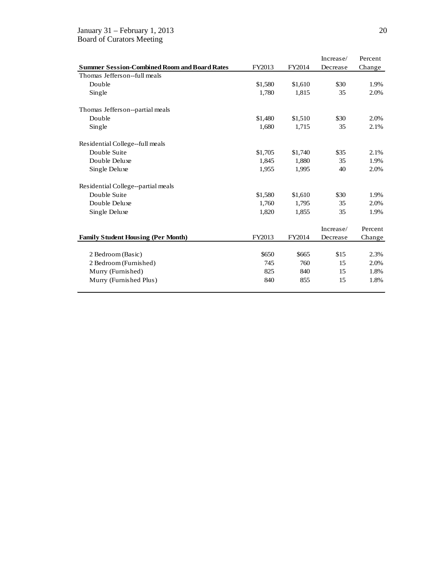### January 31 – February 1, 2013 20 Board of Curators Meeting

|                                                     |         |         | Increase/ | Percent |
|-----------------------------------------------------|---------|---------|-----------|---------|
| <b>Summer Session-Combined Room and Board Rates</b> | FY2013  | FY2014  | Decrease  | Change  |
| Thomas Jefferson-full meals                         |         |         |           |         |
| Double                                              | \$1,580 | \$1,610 | \$30      | 1.9%    |
| Single                                              | 1,780   | 1,815   | 35        | 2.0%    |
| Thomas Jefferson--partial meals                     |         |         |           |         |
| Double                                              | \$1,480 | \$1,510 | \$30      | 2.0%    |
| Single                                              | 1,680   | 1,715   | 35        | 2.1%    |
| Residential College-full meals                      |         |         |           |         |
| Double Suite                                        | \$1,705 | \$1,740 | \$35      | 2.1%    |
| Double Deluxe                                       | 1,845   | 1,880   | 35        | 1.9%    |
| Single Deluxe                                       | 1,955   | 1,995   | 40        | 2.0%    |
| Residential College--partial meals                  |         |         |           |         |
| Double Suite                                        | \$1,580 | \$1,610 | \$30      | 1.9%    |
| Double Deluxe                                       | 1,760   | 1,795   | 35        | 2.0%    |
| Single Deluxe                                       | 1,820   | 1,855   | 35        | 1.9%    |
|                                                     |         |         | Increase/ | Percent |
| <b>Family Student Housing (Per Month)</b>           | FY2013  | FY2014  | Decrease  | Change  |
|                                                     |         |         |           |         |
| 2 Bedroom (Basic)                                   | \$650   | \$665   | \$15      | 2.3%    |
| 2 Bedroom (Furnished)                               | 745     | 760     | 15        | 2.0%    |
| Murry (Furnished)                                   | 825     | 840     | 15        | 1.8%    |
| Murry (Furnished Plus)                              | 840     | 855     | 15        | 1.8%    |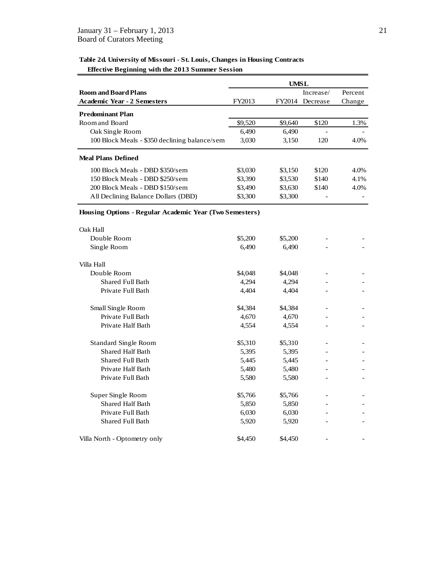## **Table 2d. University of Missouri - St. Louis, Changes in Housing Contracts Effective Beginning with the 2013 Summer Session**

|                                                         |         | UMSL    |           |         |
|---------------------------------------------------------|---------|---------|-----------|---------|
| <b>Room and Board Plans</b>                             |         |         | Increase/ | Percent |
| <b>Academic Year - 2 Semesters</b>                      | FY2013  | FY2014  | Decrease  | Change  |
| <b>Predominant Plan</b>                                 |         |         |           |         |
| Room and Board                                          | \$9,520 | \$9,640 | \$120     | 1.3%    |
| Oak Single Room                                         | 6,490   | 6,490   |           |         |
| 100 Block Meals - \$350 declining balance/sem           | 3,030   | 3,150   | 120       | 4.0%    |
| <b>Meal Plans Defined</b>                               |         |         |           |         |
| 100 Block Meals - DBD \$350/sem                         | \$3,030 | \$3,150 | \$120     | 4.0%    |
| 150 Block Meals - DBD \$250/sem                         | \$3,390 | \$3,530 | \$140     | 4.1%    |
| 200 Block Meals - DBD \$150/sem                         | \$3,490 | \$3,630 | \$140     | 4.0%    |
| All Declining Balance Dollars (DBD)                     | \$3,300 | \$3,300 |           |         |
| Housing Options - Regular Academic Year (Two Semesters) |         |         |           |         |
| Oak Hall                                                |         |         |           |         |
| Double Room                                             | \$5,200 | \$5,200 |           |         |
| Single Room                                             | 6,490   | 6,490   |           |         |
| Villa Hall                                              |         |         |           |         |
| Double Room                                             | \$4,048 | \$4,048 |           |         |
| <b>Shared Full Bath</b>                                 | 4,294   | 4,294   |           |         |
| Private Full Bath                                       | 4,404   | 4,404   |           |         |
| Small Single Room                                       | \$4,384 | \$4,384 |           |         |
| Private Full Bath                                       | 4,670   | 4,670   |           |         |
| Private Half Bath                                       | 4,554   | 4,554   |           |         |
| <b>Standard Single Room</b>                             | \$5,310 | \$5,310 |           |         |
| <b>Shared Half Bath</b>                                 | 5,395   | 5,395   |           |         |
| <b>Shared Full Bath</b>                                 | 5,445   | 5,445   |           |         |
| Private Half Bath                                       | 5,480   | 5,480   |           |         |
| Private Full Bath                                       | 5,580   | 5,580   |           |         |
| Super Single Room                                       | \$5,766 | \$5,766 |           |         |
| <b>Shared Half Bath</b>                                 | 5,850   | 5,850   |           |         |
| Private Full Bath                                       | 6,030   | 6,030   |           |         |
| Shared Full Bath                                        | 5,920   | 5,920   |           |         |
| Villa North - Optometry only                            | \$4,450 | \$4,450 |           |         |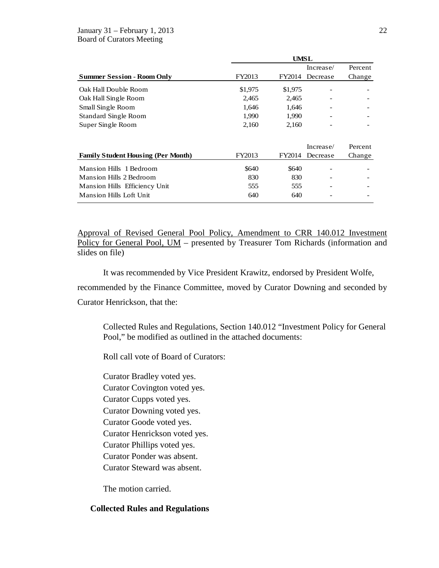### January 31 – February 1, 2013 22 Board of Curators Meeting

|                                           | UMSL    |         |           |         |
|-------------------------------------------|---------|---------|-----------|---------|
|                                           |         |         | Increase/ | Percent |
| <b>Summer Session - Room Only</b>         | FY2013  | FY2014  | Decrease  | Change  |
| Oak Hall Double Room                      | \$1,975 | \$1,975 |           |         |
| Oak Hall Single Room                      | 2,465   | 2,465   |           |         |
| Small Single Room                         | 1,646   | 1,646   |           |         |
| <b>Standard Single Room</b>               | 1,990   | 1,990   |           |         |
| Super Single Room                         | 2,160   | 2,160   |           |         |
|                                           |         |         |           |         |
|                                           |         |         | Increase/ | Percent |
| <b>Family Student Housing (Per Month)</b> | FY2013  | FY2014  | Decrease  | Change  |
| <b>Mansion Hills 1 Bedroom</b>            | \$640   | \$640   |           |         |
| Mansion Hills 2 Bedroom                   | 830     | 830     |           |         |
| Mansion Hills Efficiency Unit             | 555     | 555     |           |         |
| Mansion Hills Loft Unit                   | 640     | 640     |           |         |

Approval of Revised General Pool Policy, Amendment to CRR 140.012 Investment Policy for General Pool, UM – presented by Treasurer Tom Richards (information and slides on file)

It was recommended by Vice President Krawitz, endorsed by President Wolfe,

recommended by the Finance Committee, moved by Curator Downing and seconded by Curator Henrickson, that the:

Collected Rules and Regulations, Section 140.012 "Investment Policy for General Pool," be modified as outlined in the attached documents:

Roll call vote of Board of Curators:

Curator Bradley voted yes. Curator Covington voted yes. Curator Cupps voted yes. Curator Downing voted yes. Curator Goode voted yes. Curator Henrickson voted yes. Curator Phillips voted yes.

Curator Ponder was absent.

Curator Steward was absent.

The motion carried.

## **Collected Rules and Regulations**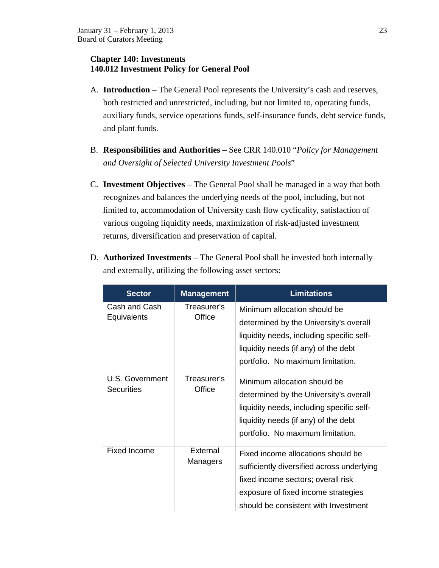## **Chapter 140: Investments 140.012 Investment Policy for General Pool**

- A. **Introduction** The General Pool represents the University's cash and reserves, both restricted and unrestricted, including, but not limited to, operating funds, auxiliary funds, service operations funds, self-insurance funds, debt service funds, and plant funds.
- B. **Responsibilities and Authorities** See CRR 140.010 "*Policy for Management and Oversight of Selected University Investment Pools*"
- C. **Investment Objectives** The General Pool shall be managed in a way that both recognizes and balances the underlying needs of the pool, including, but not limited to, accommodation of University cash flow cyclicality, satisfaction of various ongoing liquidity needs, maximization of risk-adjusted investment returns, diversification and preservation of capital.
- D. **Authorized Investments** The General Pool shall be invested both internally and externally, utilizing the following asset sectors:

| <b>Sector</b>                        | <b>Management</b>     | <b>Limitations</b>                                                                                                                                                                                    |
|--------------------------------------|-----------------------|-------------------------------------------------------------------------------------------------------------------------------------------------------------------------------------------------------|
| Cash and Cash<br>Equivalents         | Treasurer's<br>Office | Minimum allocation should be<br>determined by the University's overall<br>liquidity needs, including specific self-<br>liquidity needs (if any) of the debt<br>portfolio. No maximum limitation.      |
| U.S. Government<br><b>Securities</b> | Treasurer's<br>Office | Minimum allocation should be<br>determined by the University's overall<br>liquidity needs, including specific self-<br>liquidity needs (if any) of the debt<br>portfolio. No maximum limitation.      |
| <b>Fixed Income</b>                  | External<br>Managers  | Fixed income allocations should be<br>sufficiently diversified across underlying<br>fixed income sectors; overall risk<br>exposure of fixed income strategies<br>should be consistent with Investment |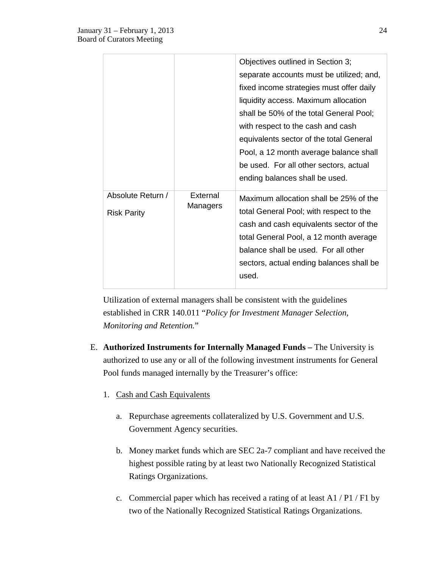|                                         |                      | Objectives outlined in Section 3;<br>separate accounts must be utilized; and,<br>fixed income strategies must offer daily<br>liquidity access. Maximum allocation<br>shall be 50% of the total General Pool;<br>with respect to the cash and cash<br>equivalents sector of the total General<br>Pool, a 12 month average balance shall<br>be used. For all other sectors, actual<br>ending balances shall be used. |
|-----------------------------------------|----------------------|--------------------------------------------------------------------------------------------------------------------------------------------------------------------------------------------------------------------------------------------------------------------------------------------------------------------------------------------------------------------------------------------------------------------|
| Absolute Return /<br><b>Risk Parity</b> | External<br>Managers | Maximum allocation shall be 25% of the<br>total General Pool; with respect to the<br>cash and cash equivalents sector of the<br>total General Pool, a 12 month average<br>balance shall be used. For all other<br>sectors, actual ending balances shall be<br>used.                                                                                                                                                |

Utilization of external managers shall be consistent with the guidelines established in CRR 140.011 "*Policy for Investment Manager Selection, Monitoring and Retention.*"

- E. **Authorized Instruments for Internally Managed Funds –** The University is authorized to use any or all of the following investment instruments for General Pool funds managed internally by the Treasurer's office:
	- 1. Cash and Cash Equivalents
		- a. Repurchase agreements collateralized by U.S. Government and U.S. Government Agency securities.
		- b. Money market funds which are SEC 2a-7 compliant and have received the highest possible rating by at least two Nationally Recognized Statistical Ratings Organizations.
		- c. Commercial paper which has received a rating of at least A1 / P1 / F1 by two of the Nationally Recognized Statistical Ratings Organizations.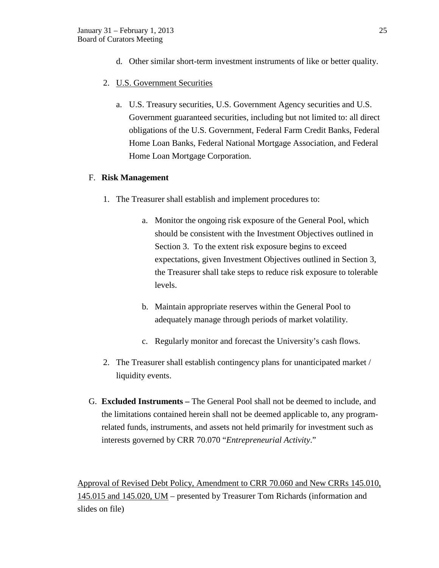- d. Other similar short-term investment instruments of like or better quality.
- 2. U.S. Government Securities
	- a. U.S. Treasury securities, U.S. Government Agency securities and U.S. Government guaranteed securities, including but not limited to: all direct obligations of the U.S. Government, Federal Farm Credit Banks, Federal Home Loan Banks, Federal National Mortgage Association, and Federal Home Loan Mortgage Corporation.

## F. **Risk Management**

- 1. The Treasurer shall establish and implement procedures to:
	- a. Monitor the ongoing risk exposure of the General Pool, which should be consistent with the Investment Objectives outlined in Section 3. To the extent risk exposure begins to exceed expectations, given Investment Objectives outlined in Section 3, the Treasurer shall take steps to reduce risk exposure to tolerable levels.
	- b. Maintain appropriate reserves within the General Pool to adequately manage through periods of market volatility.
	- c. Regularly monitor and forecast the University's cash flows.
- 2. The Treasurer shall establish contingency plans for unanticipated market / liquidity events.
- G. **Excluded Instruments –** The General Pool shall not be deemed to include, and the limitations contained herein shall not be deemed applicable to, any programrelated funds, instruments, and assets not held primarily for investment such as interests governed by CRR 70.070 "*Entrepreneurial Activity*."

Approval of Revised Debt Policy, Amendment to CRR 70.060 and New CRRs 145.010, 145.015 and 145.020, UM – presented by Treasurer Tom Richards (information and slides on file)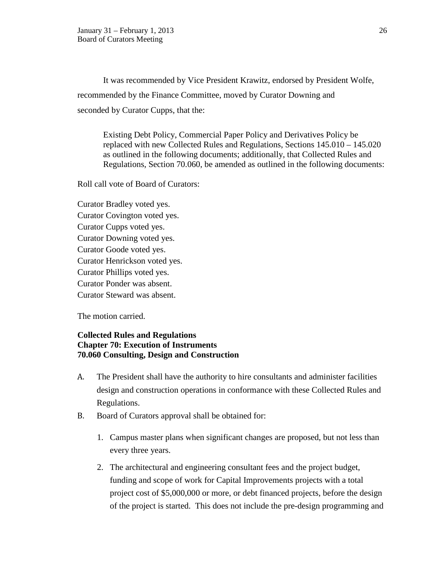It was recommended by Vice President Krawitz, endorsed by President Wolfe, recommended by the Finance Committee, moved by Curator Downing and seconded by Curator Cupps, that the:

Existing Debt Policy, Commercial Paper Policy and Derivatives Policy be replaced with new Collected Rules and Regulations, Sections 145.010 – 145.020 as outlined in the following documents; additionally, that Collected Rules and Regulations, Section 70.060, be amended as outlined in the following documents:

Roll call vote of Board of Curators:

Curator Bradley voted yes. Curator Covington voted yes. Curator Cupps voted yes. Curator Downing voted yes. Curator Goode voted yes. Curator Henrickson voted yes. Curator Phillips voted yes. Curator Ponder was absent. Curator Steward was absent.

The motion carried.

## **Collected Rules and Regulations Chapter 70: Execution of Instruments 70.060 Consulting, Design and Construction**

- A. The President shall have the authority to hire consultants and administer facilities design and construction operations in conformance with these Collected Rules and Regulations.
- B. Board of Curators approval shall be obtained for:
	- 1. Campus master plans when significant changes are proposed, but not less than every three years.
	- 2. The architectural and engineering consultant fees and the project budget, funding and scope of work for Capital Improvements projects with a total project cost of \$5,000,000 or more, or debt financed projects, before the design of the project is started. This does not include the pre-design programming and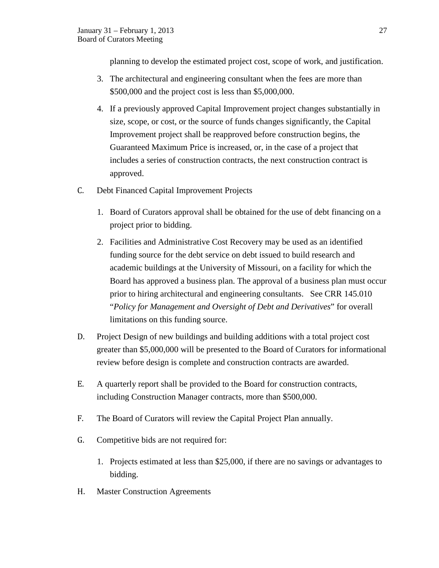planning to develop the estimated project cost, scope of work, and justification.

- 3. The architectural and engineering consultant when the fees are more than \$500,000 and the project cost is less than \$5,000,000.
- 4. If a previously approved Capital Improvement project changes substantially in size, scope, or cost, or the source of funds changes significantly, the Capital Improvement project shall be reapproved before construction begins, the Guaranteed Maximum Price is increased, or, in the case of a project that includes a series of construction contracts, the next construction contract is approved.
- C. Debt Financed Capital Improvement Projects
	- 1. Board of Curators approval shall be obtained for the use of debt financing on a project prior to bidding.
	- 2. Facilities and Administrative Cost Recovery may be used as an identified funding source for the debt service on debt issued to build research and academic buildings at the University of Missouri, on a facility for which the Board has approved a business plan. The approval of a business plan must occur prior to hiring architectural and engineering consultants. See CRR 145.010 "*Policy for Management and Oversight of Debt and Derivatives*" for overall limitations on this funding source.
- D. Project Design of new buildings and building additions with a total project cost greater than \$5,000,000 will be presented to the Board of Curators for informational review before design is complete and construction contracts are awarded.
- E. A quarterly report shall be provided to the Board for construction contracts, including Construction Manager contracts, more than \$500,000.
- F. The Board of Curators will review the Capital Project Plan annually.
- G. Competitive bids are not required for:
	- 1. Projects estimated at less than \$25,000, if there are no savings or advantages to bidding.
- H. Master Construction Agreements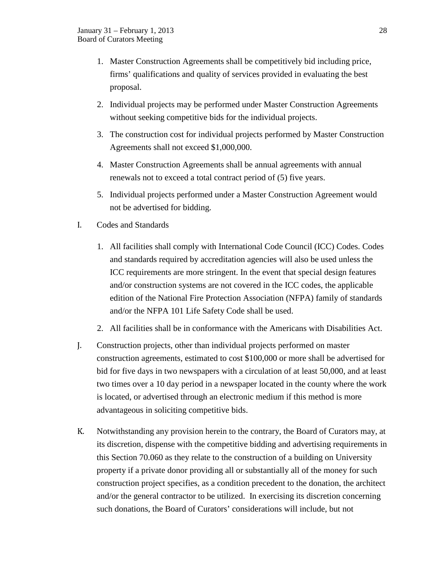- 1. Master Construction Agreements shall be competitively bid including price, firms' qualifications and quality of services provided in evaluating the best proposal.
- 2. Individual projects may be performed under Master Construction Agreements without seeking competitive bids for the individual projects.
- 3. The construction cost for individual projects performed by Master Construction Agreements shall not exceed \$1,000,000.
- 4. Master Construction Agreements shall be annual agreements with annual renewals not to exceed a total contract period of (5) five years.
- 5. Individual projects performed under a Master Construction Agreement would not be advertised for bidding.
- I. Codes and Standards
	- 1. All facilities shall comply with International Code Council (ICC) Codes. Codes and standards required by accreditation agencies will also be used unless the ICC requirements are more stringent. In the event that special design features and/or construction systems are not covered in the ICC codes, the applicable edition of the National Fire Protection Association (NFPA) family of standards and/or the NFPA 101 Life Safety Code shall be used.
	- 2. All facilities shall be in conformance with the Americans with Disabilities Act.
- J. Construction projects, other than individual projects performed on master construction agreements, estimated to cost \$100,000 or more shall be advertised for bid for five days in two newspapers with a circulation of at least 50,000, and at least two times over a 10 day period in a newspaper located in the county where the work is located, or advertised through an electronic medium if this method is more advantageous in soliciting competitive bids.
- K. Notwithstanding any provision herein to the contrary, the Board of Curators may, at its discretion, dispense with the competitive bidding and advertising requirements in this Section 70.060 as they relate to the construction of a building on University property if a private donor providing all or substantially all of the money for such construction project specifies, as a condition precedent to the donation, the architect and/or the general contractor to be utilized. In exercising its discretion concerning such donations, the Board of Curators' considerations will include, but not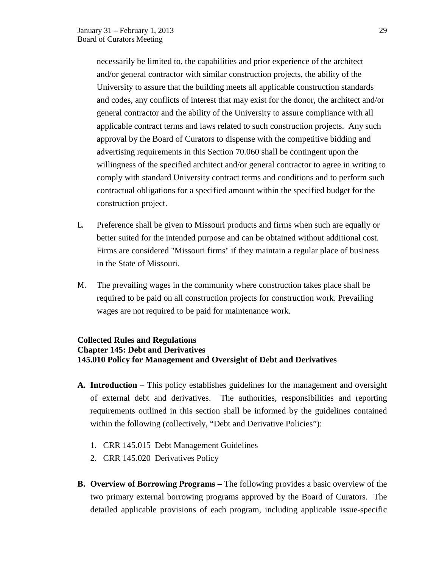necessarily be limited to, the capabilities and prior experience of the architect and/or general contractor with similar construction projects, the ability of the University to assure that the building meets all applicable construction standards and codes, any conflicts of interest that may exist for the donor, the architect and/or general contractor and the ability of the University to assure compliance with all applicable contract terms and laws related to such construction projects. Any such approval by the Board of Curators to dispense with the competitive bidding and advertising requirements in this Section 70.060 shall be contingent upon the willingness of the specified architect and/or general contractor to agree in writing to comply with standard University contract terms and conditions and to perform such contractual obligations for a specified amount within the specified budget for the construction project.

- L. Preference shall be given to Missouri products and firms when such are equally or better suited for the intended purpose and can be obtained without additional cost. Firms are considered "Missouri firms" if they maintain a regular place of business in the State of Missouri.
- M. The prevailing wages in the community where construction takes place shall be required to be paid on all construction projects for construction work. Prevailing wages are not required to be paid for maintenance work.

## **Collected Rules and Regulations Chapter 145: Debt and Derivatives 145.010 Policy for Management and Oversight of Debt and Derivatives**

- **A. Introduction**  This policy establishes guidelines for the management and oversight of external debt and derivatives. The authorities, responsibilities and reporting requirements outlined in this section shall be informed by the guidelines contained within the following (collectively, "Debt and Derivative Policies"):
	- 1. CRR 145.015 Debt Management Guidelines
	- 2. CRR 145.020 Derivatives Policy
- **B. Overview of Borrowing Programs –** The following provides a basic overview of the two primary external borrowing programs approved by the Board of Curators. The detailed applicable provisions of each program, including applicable issue-specific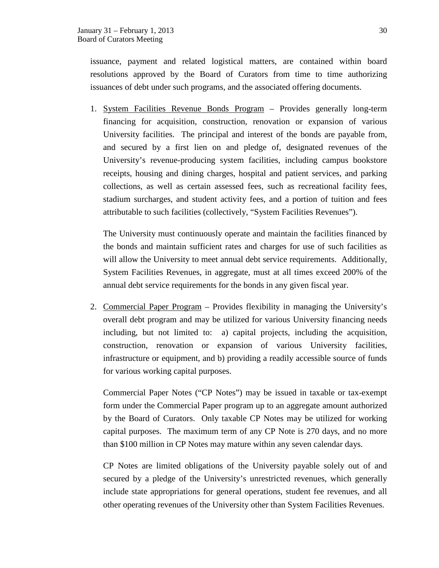issuance, payment and related logistical matters, are contained within board resolutions approved by the Board of Curators from time to time authorizing issuances of debt under such programs, and the associated offering documents.

1. System Facilities Revenue Bonds Program – Provides generally long-term financing for acquisition, construction, renovation or expansion of various University facilities. The principal and interest of the bonds are payable from, and secured by a first lien on and pledge of, designated revenues of the University's revenue-producing system facilities, including campus bookstore receipts, housing and dining charges, hospital and patient services, and parking collections, as well as certain assessed fees, such as recreational facility fees, stadium surcharges, and student activity fees, and a portion of tuition and fees attributable to such facilities (collectively, "System Facilities Revenues").

The University must continuously operate and maintain the facilities financed by the bonds and maintain sufficient rates and charges for use of such facilities as will allow the University to meet annual debt service requirements. Additionally, System Facilities Revenues, in aggregate, must at all times exceed 200% of the annual debt service requirements for the bonds in any given fiscal year.

2. Commercial Paper Program – Provides flexibility in managing the University's overall debt program and may be utilized for various University financing needs including, but not limited to: a) capital projects, including the acquisition, construction, renovation or expansion of various University facilities, infrastructure or equipment, and b) providing a readily accessible source of funds for various working capital purposes.

Commercial Paper Notes ("CP Notes") may be issued in taxable or tax-exempt form under the Commercial Paper program up to an aggregate amount authorized by the Board of Curators. Only taxable CP Notes may be utilized for working capital purposes. The maximum term of any CP Note is 270 days, and no more than \$100 million in CP Notes may mature within any seven calendar days.

CP Notes are limited obligations of the University payable solely out of and secured by a pledge of the University's unrestricted revenues, which generally include state appropriations for general operations, student fee revenues, and all other operating revenues of the University other than System Facilities Revenues.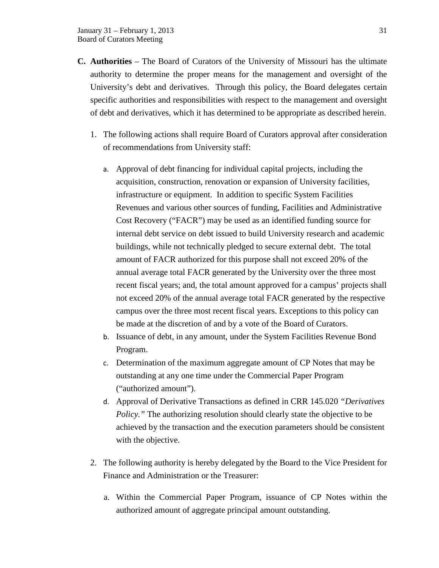- **C. Authorities** The Board of Curators of the University of Missouri has the ultimate authority to determine the proper means for the management and oversight of the University's debt and derivatives. Through this policy, the Board delegates certain specific authorities and responsibilities with respect to the management and oversight of debt and derivatives, which it has determined to be appropriate as described herein.
	- 1. The following actions shall require Board of Curators approval after consideration of recommendations from University staff:
		- a. Approval of debt financing for individual capital projects, including the acquisition, construction, renovation or expansion of University facilities, infrastructure or equipment. In addition to specific System Facilities Revenues and various other sources of funding, Facilities and Administrative Cost Recovery ("FACR") may be used as an identified funding source for internal debt service on debt issued to build University research and academic buildings, while not technically pledged to secure external debt. The total amount of FACR authorized for this purpose shall not exceed 20% of the annual average total FACR generated by the University over the three most recent fiscal years; and, the total amount approved for a campus' projects shall not exceed 20% of the annual average total FACR generated by the respective campus over the three most recent fiscal years. Exceptions to this policy can be made at the discretion of and by a vote of the Board of Curators.
		- b. Issuance of debt, in any amount, under the System Facilities Revenue Bond Program.
		- c. Determination of the maximum aggregate amount of CP Notes that may be outstanding at any one time under the Commercial Paper Program ("authorized amount").
		- d. Approval of Derivative Transactions as defined in CRR 145.020 *"Derivatives Policy.*" The authorizing resolution should clearly state the objective to be achieved by the transaction and the execution parameters should be consistent with the objective.
	- 2. The following authority is hereby delegated by the Board to the Vice President for Finance and Administration or the Treasurer:
		- a. Within the Commercial Paper Program, issuance of CP Notes within the authorized amount of aggregate principal amount outstanding.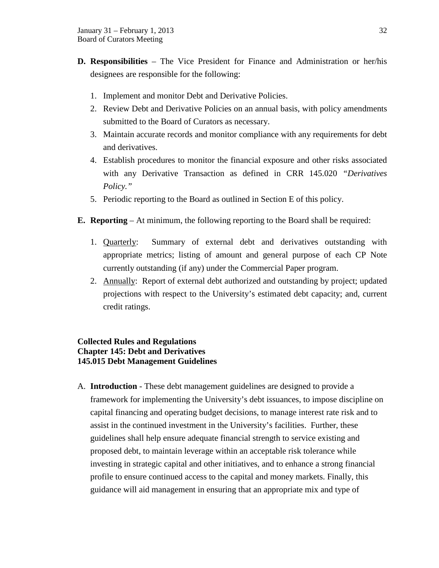- **D. Responsibilities** The Vice President for Finance and Administration or her/his designees are responsible for the following:
	- 1. Implement and monitor Debt and Derivative Policies.
	- 2. Review Debt and Derivative Policies on an annual basis, with policy amendments submitted to the Board of Curators as necessary.
	- 3. Maintain accurate records and monitor compliance with any requirements for debt and derivatives.
	- 4. Establish procedures to monitor the financial exposure and other risks associated with any Derivative Transaction as defined in CRR 145.020 *"Derivatives Policy."*
	- 5. Periodic reporting to the Board as outlined in Section E of this policy.
- **E. Reporting** At minimum, the following reporting to the Board shall be required:
	- 1. Quarterly: Summary of external debt and derivatives outstanding with appropriate metrics; listing of amount and general purpose of each CP Note currently outstanding (if any) under the Commercial Paper program.
	- 2. Annually: Report of external debt authorized and outstanding by project; updated projections with respect to the University's estimated debt capacity; and, current credit ratings.

## **Collected Rules and Regulations Chapter 145: Debt and Derivatives 145.015 Debt Management Guidelines**

A. **Introduction** - These debt management guidelines are designed to provide a framework for implementing the University's debt issuances, to impose discipline on capital financing and operating budget decisions, to manage interest rate risk and to assist in the continued investment in the University's facilities. Further, these guidelines shall help ensure adequate financial strength to service existing and proposed debt, to maintain leverage within an acceptable risk tolerance while investing in strategic capital and other initiatives, and to enhance a strong financial profile to ensure continued access to the capital and money markets. Finally, this guidance will aid management in ensuring that an appropriate mix and type of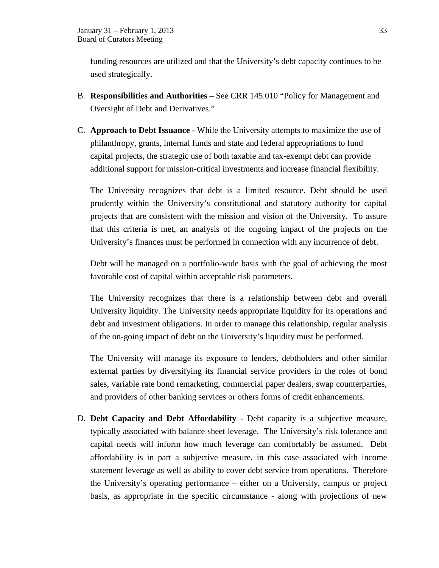funding resources are utilized and that the University's debt capacity continues to be used strategically.

- B. **Responsibilities and Authorities** See CRR 145.010 "Policy for Management and Oversight of Debt and Derivatives."
- C. **Approach to Debt Issuance -** While the University attempts to maximize the use of philanthropy, grants, internal funds and state and federal appropriations to fund capital projects, the strategic use of both taxable and tax-exempt debt can provide additional support for mission-critical investments and increase financial flexibility.

The University recognizes that debt is a limited resource. Debt should be used prudently within the University's constitutional and statutory authority for capital projects that are consistent with the mission and vision of the University. To assure that this criteria is met, an analysis of the ongoing impact of the projects on the University's finances must be performed in connection with any incurrence of debt.

Debt will be managed on a portfolio-wide basis with the goal of achieving the most favorable cost of capital within acceptable risk parameters.

The University recognizes that there is a relationship between debt and overall University liquidity. The University needs appropriate liquidity for its operations and debt and investment obligations. In order to manage this relationship, regular analysis of the on-going impact of debt on the University's liquidity must be performed.

The University will manage its exposure to lenders, debtholders and other similar external parties by diversifying its financial service providers in the roles of bond sales, variable rate bond remarketing, commercial paper dealers, swap counterparties, and providers of other banking services or others forms of credit enhancements.

D. **Debt Capacity and Debt Affordability** - Debt capacity is a subjective measure, typically associated with balance sheet leverage. The University's risk tolerance and capital needs will inform how much leverage can comfortably be assumed. Debt affordability is in part a subjective measure, in this case associated with income statement leverage as well as ability to cover debt service from operations. Therefore the University's operating performance – either on a University, campus or project basis, as appropriate in the specific circumstance - along with projections of new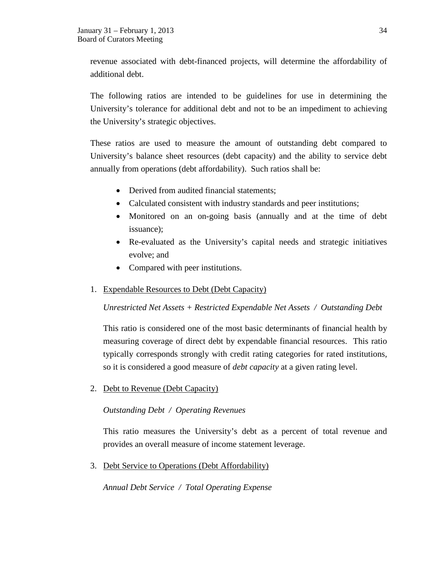revenue associated with debt-financed projects, will determine the affordability of additional debt.

The following ratios are intended to be guidelines for use in determining the University's tolerance for additional debt and not to be an impediment to achieving the University's strategic objectives.

These ratios are used to measure the amount of outstanding debt compared to University's balance sheet resources (debt capacity) and the ability to service debt annually from operations (debt affordability). Such ratios shall be:

- Derived from audited financial statements:
- Calculated consistent with industry standards and peer institutions;
- Monitored on an on-going basis (annually and at the time of debt issuance);
- Re-evaluated as the University's capital needs and strategic initiatives evolve; and
- Compared with peer institutions.

## 1. Expendable Resources to Debt (Debt Capacity)

*Unrestricted Net Assets + Restricted Expendable Net Assets / Outstanding Debt*

This ratio is considered one of the most basic determinants of financial health by measuring coverage of direct debt by expendable financial resources. This ratio typically corresponds strongly with credit rating categories for rated institutions, so it is considered a good measure of *debt capacity* at a given rating level.

2. Debt to Revenue (Debt Capacity)

## *Outstanding Debt / Operating Revenues*

This ratio measures the University's debt as a percent of total revenue and provides an overall measure of income statement leverage.

3. Debt Service to Operations (Debt Affordability)

*Annual Debt Service / Total Operating Expense*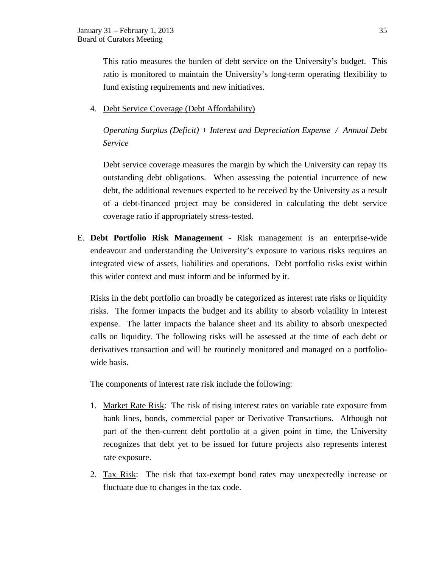This ratio measures the burden of debt service on the University's budget. This ratio is monitored to maintain the University's long-term operating flexibility to fund existing requirements and new initiatives.

4. Debt Service Coverage (Debt Affordability)

*Operating Surplus (Deficit) + Interest and Depreciation Expense / Annual Debt Service*

Debt service coverage measures the margin by which the University can repay its outstanding debt obligations. When assessing the potential incurrence of new debt, the additional revenues expected to be received by the University as a result of a debt-financed project may be considered in calculating the debt service coverage ratio if appropriately stress-tested.

E. **Debt Portfolio Risk Management** - Risk management is an enterprise-wide endeavour and understanding the University's exposure to various risks requires an integrated view of assets, liabilities and operations. Debt portfolio risks exist within this wider context and must inform and be informed by it.

Risks in the debt portfolio can broadly be categorized as interest rate risks or liquidity risks. The former impacts the budget and its ability to absorb volatility in interest expense. The latter impacts the balance sheet and its ability to absorb unexpected calls on liquidity. The following risks will be assessed at the time of each debt or derivatives transaction and will be routinely monitored and managed on a portfoliowide basis.

The components of interest rate risk include the following:

- 1. Market Rate Risk: The risk of rising interest rates on variable rate exposure from bank lines, bonds, commercial paper or Derivative Transactions. Although not part of the then-current debt portfolio at a given point in time, the University recognizes that debt yet to be issued for future projects also represents interest rate exposure.
- 2. Tax Risk: The risk that tax-exempt bond rates may unexpectedly increase or fluctuate due to changes in the tax code.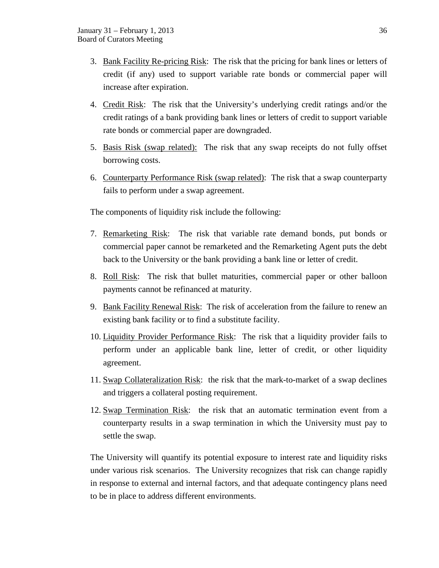- 3. Bank Facility Re-pricing Risk: The risk that the pricing for bank lines or letters of credit (if any) used to support variable rate bonds or commercial paper will increase after expiration.
- 4. Credit Risk: The risk that the University's underlying credit ratings and/or the credit ratings of a bank providing bank lines or letters of credit to support variable rate bonds or commercial paper are downgraded.
- 5. Basis Risk (swap related): The risk that any swap receipts do not fully offset borrowing costs.
- 6. Counterparty Performance Risk (swap related): The risk that a swap counterparty fails to perform under a swap agreement.

The components of liquidity risk include the following:

- 7. Remarketing Risk: The risk that variable rate demand bonds, put bonds or commercial paper cannot be remarketed and the Remarketing Agent puts the debt back to the University or the bank providing a bank line or letter of credit.
- 8. Roll Risk: The risk that bullet maturities, commercial paper or other balloon payments cannot be refinanced at maturity.
- 9. Bank Facility Renewal Risk: The risk of acceleration from the failure to renew an existing bank facility or to find a substitute facility.
- 10. Liquidity Provider Performance Risk: The risk that a liquidity provider fails to perform under an applicable bank line, letter of credit, or other liquidity agreement.
- 11. Swap Collateralization Risk: the risk that the mark-to-market of a swap declines and triggers a collateral posting requirement.
- 12. Swap Termination Risk: the risk that an automatic termination event from a counterparty results in a swap termination in which the University must pay to settle the swap.

The University will quantify its potential exposure to interest rate and liquidity risks under various risk scenarios. The University recognizes that risk can change rapidly in response to external and internal factors, and that adequate contingency plans need to be in place to address different environments.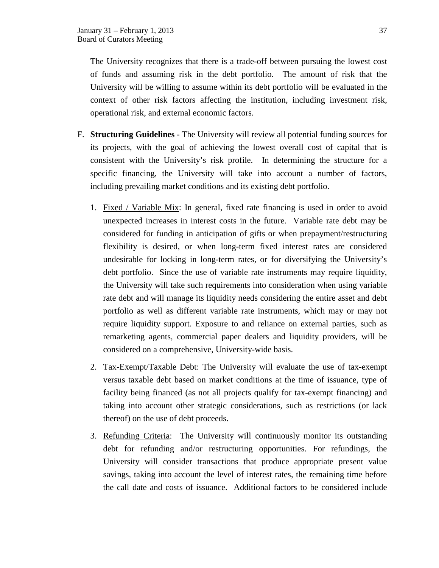The University recognizes that there is a trade-off between pursuing the lowest cost of funds and assuming risk in the debt portfolio. The amount of risk that the University will be willing to assume within its debt portfolio will be evaluated in the context of other risk factors affecting the institution, including investment risk, operational risk, and external economic factors.

- F. **Structuring Guidelines** The University will review all potential funding sources for its projects, with the goal of achieving the lowest overall cost of capital that is consistent with the University's risk profile. In determining the structure for a specific financing, the University will take into account a number of factors, including prevailing market conditions and its existing debt portfolio.
	- 1. Fixed / Variable Mix: In general, fixed rate financing is used in order to avoid unexpected increases in interest costs in the future. Variable rate debt may be considered for funding in anticipation of gifts or when prepayment/restructuring flexibility is desired, or when long-term fixed interest rates are considered undesirable for locking in long-term rates, or for diversifying the University's debt portfolio. Since the use of variable rate instruments may require liquidity, the University will take such requirements into consideration when using variable rate debt and will manage its liquidity needs considering the entire asset and debt portfolio as well as different variable rate instruments, which may or may not require liquidity support. Exposure to and reliance on external parties, such as remarketing agents, commercial paper dealers and liquidity providers, will be considered on a comprehensive, University-wide basis.
	- 2. Tax-Exempt/Taxable Debt: The University will evaluate the use of tax-exempt versus taxable debt based on market conditions at the time of issuance, type of facility being financed (as not all projects qualify for tax-exempt financing) and taking into account other strategic considerations, such as restrictions (or lack thereof) on the use of debt proceeds.
	- 3. Refunding Criteria: The University will continuously monitor its outstanding debt for refunding and/or restructuring opportunities. For refundings, the University will consider transactions that produce appropriate present value savings, taking into account the level of interest rates, the remaining time before the call date and costs of issuance. Additional factors to be considered include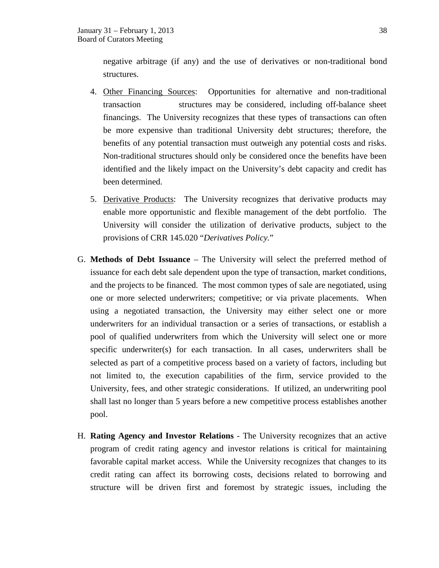negative arbitrage (if any) and the use of derivatives or non-traditional bond structures.

- 4. Other Financing Sources: Opportunities for alternative and non-traditional transaction structures may be considered, including off-balance sheet financings. The University recognizes that these types of transactions can often be more expensive than traditional University debt structures; therefore, the benefits of any potential transaction must outweigh any potential costs and risks. Non-traditional structures should only be considered once the benefits have been identified and the likely impact on the University's debt capacity and credit has been determined.
- 5. Derivative Products: The University recognizes that derivative products may enable more opportunistic and flexible management of the debt portfolio. The University will consider the utilization of derivative products, subject to the provisions of CRR 145.020 "*Derivatives Policy.*"
- G. **Methods of Debt Issuance** The University will select the preferred method of issuance for each debt sale dependent upon the type of transaction, market conditions, and the projects to be financed. The most common types of sale are negotiated, using one or more selected underwriters; competitive; or via private placements. When using a negotiated transaction, the University may either select one or more underwriters for an individual transaction or a series of transactions, or establish a pool of qualified underwriters from which the University will select one or more specific underwriter(s) for each transaction. In all cases, underwriters shall be selected as part of a competitive process based on a variety of factors, including but not limited to, the execution capabilities of the firm, service provided to the University, fees, and other strategic considerations. If utilized, an underwriting pool shall last no longer than 5 years before a new competitive process establishes another pool.
- H. **Rating Agency and Investor Relations** The University recognizes that an active program of credit rating agency and investor relations is critical for maintaining favorable capital market access. While the University recognizes that changes to its credit rating can affect its borrowing costs, decisions related to borrowing and structure will be driven first and foremost by strategic issues, including the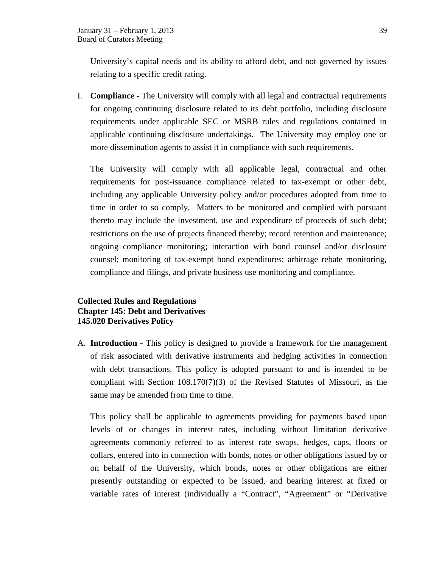University's capital needs and its ability to afford debt, and not governed by issues relating to a specific credit rating.

I. **Compliance** - The University will comply with all legal and contractual requirements for ongoing continuing disclosure related to its debt portfolio, including disclosure requirements under applicable SEC or MSRB rules and regulations contained in applicable continuing disclosure undertakings. The University may employ one or more dissemination agents to assist it in compliance with such requirements.

The University will comply with all applicable legal, contractual and other requirements for post-issuance compliance related to tax-exempt or other debt, including any applicable University policy and/or procedures adopted from time to time in order to so comply. Matters to be monitored and complied with pursuant thereto may include the investment, use and expenditure of proceeds of such debt; restrictions on the use of projects financed thereby; record retention and maintenance; ongoing compliance monitoring; interaction with bond counsel and/or disclosure counsel; monitoring of tax-exempt bond expenditures; arbitrage rebate monitoring, compliance and filings, and private business use monitoring and compliance.

# **Collected Rules and Regulations Chapter 145: Debt and Derivatives 145.020 Derivatives Policy**

A. **Introduction** - This policy is designed to provide a framework for the management of risk associated with derivative instruments and hedging activities in connection with debt transactions. This policy is adopted pursuant to and is intended to be compliant with Section 108.170(7)(3) of the Revised Statutes of Missouri, as the same may be amended from time to time.

This policy shall be applicable to agreements providing for payments based upon levels of or changes in interest rates, including without limitation derivative agreements commonly referred to as interest rate swaps, hedges, caps, floors or collars, entered into in connection with bonds, notes or other obligations issued by or on behalf of the University, which bonds, notes or other obligations are either presently outstanding or expected to be issued, and bearing interest at fixed or variable rates of interest (individually a "Contract", "Agreement" or "Derivative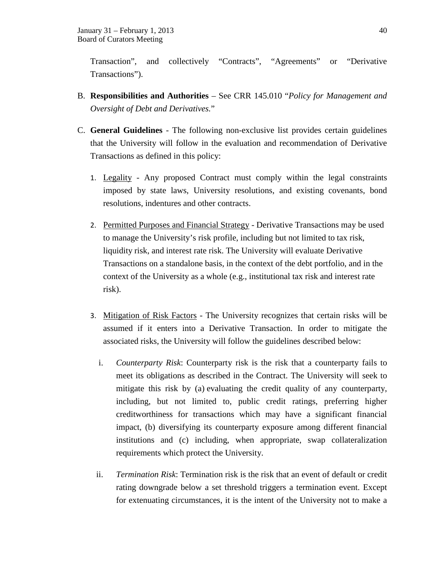Transaction", and collectively "Contracts", "Agreements" or "Derivative Transactions").

- B. **Responsibilities and Authorities**  See CRR 145.010 "*Policy for Management and Oversight of Debt and Derivatives.*"
- C. **General Guidelines** The following non-exclusive list provides certain guidelines that the University will follow in the evaluation and recommendation of Derivative Transactions as defined in this policy:
	- 1. Legality Any proposed Contract must comply within the legal constraints imposed by state laws, University resolutions, and existing covenants, bond resolutions, indentures and other contracts.
	- 2. Permitted Purposes and Financial Strategy Derivative Transactions may be used to manage the University's risk profile, including but not limited to tax risk, liquidity risk, and interest rate risk. The University will evaluate Derivative Transactions on a standalone basis, in the context of the debt portfolio, and in the context of the University as a whole (e.g., institutional tax risk and interest rate risk).
	- 3. Mitigation of Risk Factors The University recognizes that certain risks will be assumed if it enters into a Derivative Transaction. In order to mitigate the associated risks, the University will follow the guidelines described below:
		- i. *Counterparty Risk*: Counterparty risk is the risk that a counterparty fails to meet its obligations as described in the Contract. The University will seek to mitigate this risk by (a) evaluating the credit quality of any counterparty, including, but not limited to, public credit ratings, preferring higher creditworthiness for transactions which may have a significant financial impact, (b) diversifying its counterparty exposure among different financial institutions and (c) including, when appropriate, swap collateralization requirements which protect the University.
		- ii. *Termination Risk*: Termination risk is the risk that an event of default or credit rating downgrade below a set threshold triggers a termination event. Except for extenuating circumstances, it is the intent of the University not to make a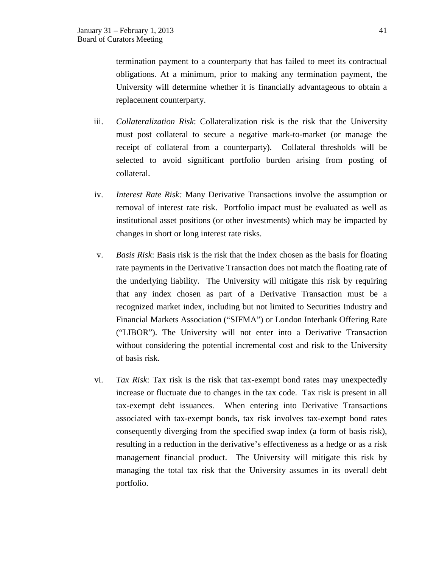termination payment to a counterparty that has failed to meet its contractual obligations. At a minimum, prior to making any termination payment, the University will determine whether it is financially advantageous to obtain a replacement counterparty.

- iii. *Collateralization Risk*: Collateralization risk is the risk that the University must post collateral to secure a negative mark-to-market (or manage the receipt of collateral from a counterparty). Collateral thresholds will be selected to avoid significant portfolio burden arising from posting of collateral.
- iv. *Interest Rate Risk:* Many Derivative Transactions involve the assumption or removal of interest rate risk. Portfolio impact must be evaluated as well as institutional asset positions (or other investments) which may be impacted by changes in short or long interest rate risks.
- v. *Basis Risk*: Basis risk is the risk that the index chosen as the basis for floating rate payments in the Derivative Transaction does not match the floating rate of the underlying liability. The University will mitigate this risk by requiring that any index chosen as part of a Derivative Transaction must be a recognized market index, including but not limited to Securities Industry and Financial Markets Association ("SIFMA") or London Interbank Offering Rate ("LIBOR"). The University will not enter into a Derivative Transaction without considering the potential incremental cost and risk to the University of basis risk.
- vi. *Tax Risk*: Tax risk is the risk that tax-exempt bond rates may unexpectedly increase or fluctuate due to changes in the tax code. Tax risk is present in all tax-exempt debt issuances. When entering into Derivative Transactions associated with tax-exempt bonds, tax risk involves tax-exempt bond rates consequently diverging from the specified swap index (a form of basis risk), resulting in a reduction in the derivative's effectiveness as a hedge or as a risk management financial product. The University will mitigate this risk by managing the total tax risk that the University assumes in its overall debt portfolio.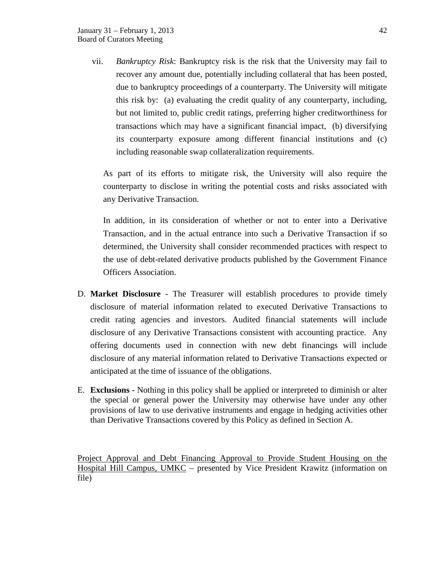vii. *Bankruptcy Risk*: Bankruptcy risk is the risk that the University may fail to recover any amount due, potentially including collateral that has been posted, due to bankruptcy proceedings of a counterparty. The University will mitigate this risk by: (a) evaluating the credit quality of any counterparty, including, but not limited to, public credit ratings, preferring higher creditworthiness for transactions which may have a significant financial impact, (b) diversifying its counterparty exposure among different financial institutions and (c) including reasonable swap collateralization requirements.

As part of its efforts to mitigate risk, the University will also require the counterparty to disclose in writing the potential costs and risks associated with any Derivative Transaction.

In addition, in its consideration of whether or not to enter into a Derivative Transaction, and in the actual entrance into such a Derivative Transaction if so determined, the University shall consider recommended practices with respect to the use of debt-related derivative products published by the Government Finance Officers Association.

- D. **Market Disclosure** The Treasurer will establish procedures to provide timely disclosure of material information related to executed Derivative Transactions to credit rating agencies and investors. Audited financial statements will include disclosure of any Derivative Transactions consistent with accounting practice. Any offering documents used in connection with new debt financings will include disclosure of any material information related to Derivative Transactions expected or anticipated at the time of issuance of the obligations.
- E. **Exclusions -** Nothing in this policy shall be applied or interpreted to diminish or alter the special or general power the University may otherwise have under any other provisions of law to use derivative instruments and engage in hedging activities other than Derivative Transactions covered by this Policy as defined in Section A.

Project Approval and Debt Financing Approval to Provide Student Housing on the Hospital Hill Campus, UMKC – presented by Vice President Krawitz (information on file)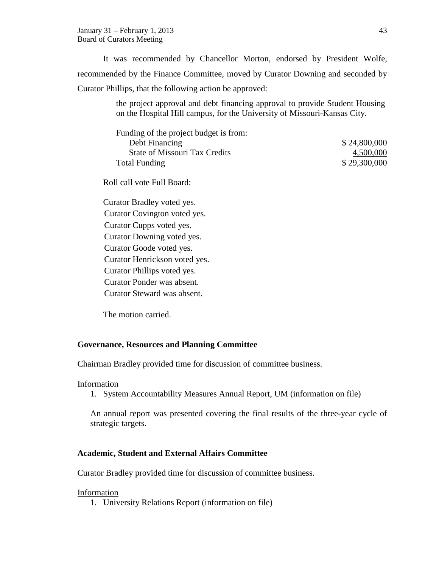January 31 – February 1, 2013 43 Board of Curators Meeting

It was recommended by Chancellor Morton, endorsed by President Wolfe, recommended by the Finance Committee, moved by Curator Downing and seconded by Curator Phillips, that the following action be approved:

> the project approval and debt financing approval to provide Student Housing on the Hospital Hill campus, for the University of Missouri-Kansas City.

| Funding of the project budget is from: |              |
|----------------------------------------|--------------|
| Debt Financing                         | \$24,800,000 |
| <b>State of Missouri Tax Credits</b>   | 4,500,000    |
| <b>Total Funding</b>                   | \$29,300,000 |

Roll call vote Full Board:

Curator Bradley voted yes. Curator Covington voted yes. Curator Cupps voted yes. Curator Downing voted yes. Curator Goode voted yes. Curator Henrickson voted yes. Curator Phillips voted yes. Curator Ponder was absent. Curator Steward was absent.

The motion carried.

### **Governance, Resources and Planning Committee**

Chairman Bradley provided time for discussion of committee business.

# Information

1. System Accountability Measures Annual Report, UM (information on file)

An annual report was presented covering the final results of the three-year cycle of strategic targets.

#### **Academic, Student and External Affairs Committee**

Curator Bradley provided time for discussion of committee business.

#### Information

1. University Relations Report (information on file)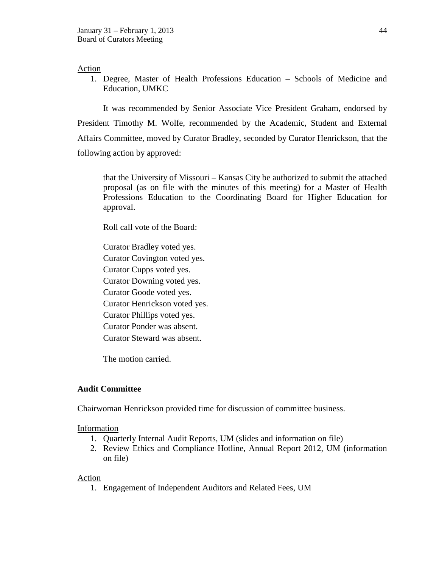#### Action

1. Degree, Master of Health Professions Education – Schools of Medicine and Education, UMKC

It was recommended by Senior Associate Vice President Graham, endorsed by President Timothy M. Wolfe, recommended by the Academic, Student and External Affairs Committee, moved by Curator Bradley, seconded by Curator Henrickson, that the following action by approved:

that the University of Missouri – Kansas City be authorized to submit the attached proposal (as on file with the minutes of this meeting) for a Master of Health Professions Education to the Coordinating Board for Higher Education for approval.

Roll call vote of the Board:

Curator Bradley voted yes. Curator Covington voted yes. Curator Cupps voted yes. Curator Downing voted yes. Curator Goode voted yes. Curator Henrickson voted yes. Curator Phillips voted yes. Curator Ponder was absent. Curator Steward was absent.

The motion carried.

#### **Audit Committee**

Chairwoman Henrickson provided time for discussion of committee business.

#### Information

- 1. Quarterly Internal Audit Reports, UM (slides and information on file)
- 2. Review Ethics and Compliance Hotline, Annual Report 2012, UM (information on file)

#### Action

1. Engagement of Independent Auditors and Related Fees, UM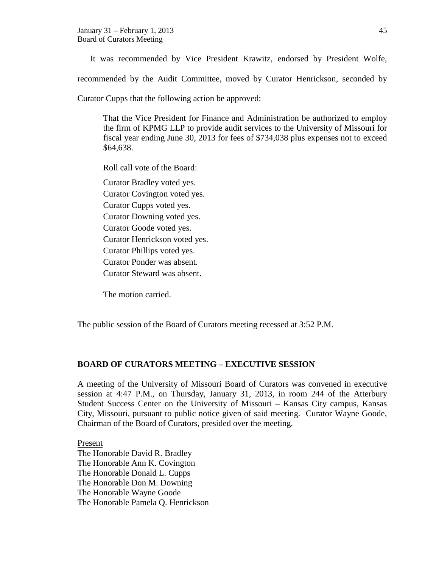It was recommended by Vice President Krawitz, endorsed by President Wolfe,

recommended by the Audit Committee, moved by Curator Henrickson, seconded by

Curator Cupps that the following action be approved:

That the Vice President for Finance and Administration be authorized to employ the firm of KPMG LLP to provide audit services to the University of Missouri for fiscal year ending June 30, 2013 for fees of \$734,038 plus expenses not to exceed \$64,638.

Roll call vote of the Board:

Curator Bradley voted yes. Curator Covington voted yes. Curator Cupps voted yes. Curator Downing voted yes. Curator Goode voted yes. Curator Henrickson voted yes. Curator Phillips voted yes. Curator Ponder was absent. Curator Steward was absent.

The motion carried.

The public session of the Board of Curators meeting recessed at 3:52 P.M.

# **BOARD OF CURATORS MEETING – EXECUTIVE SESSION**

A meeting of the University of Missouri Board of Curators was convened in executive session at 4:47 P.M., on Thursday, January 31, 2013, in room 244 of the Atterbury Student Success Center on the University of Missouri – Kansas City campus, Kansas City, Missouri, pursuant to public notice given of said meeting. Curator Wayne Goode, Chairman of the Board of Curators, presided over the meeting.

Present The Honorable David R. Bradley The Honorable Ann K. Covington The Honorable Donald L. Cupps The Honorable Don M. Downing The Honorable Wayne Goode The Honorable Pamela Q. Henrickson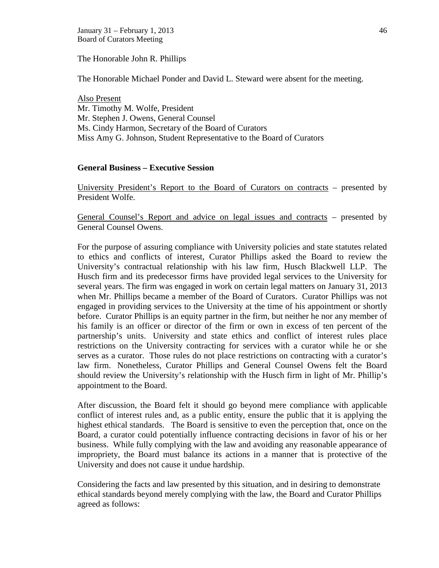January 31 – February 1, 2013 46 Board of Curators Meeting

The Honorable John R. Phillips

The Honorable Michael Ponder and David L. Steward were absent for the meeting.

Also Present Mr. Timothy M. Wolfe, President Mr. Stephen J. Owens, General Counsel Ms. Cindy Harmon, Secretary of the Board of Curators Miss Amy G. Johnson, Student Representative to the Board of Curators

#### **General Business – Executive Session**

University President's Report to the Board of Curators on contracts – presented by President Wolfe.

General Counsel's Report and advice on legal issues and contracts – presented by General Counsel Owens.

For the purpose of assuring compliance with University policies and state statutes related to ethics and conflicts of interest, Curator Phillips asked the Board to review the University's contractual relationship with his law firm, Husch Blackwell LLP. The Husch firm and its predecessor firms have provided legal services to the University for several years. The firm was engaged in work on certain legal matters on January 31, 2013 when Mr. Phillips became a member of the Board of Curators. Curator Phillips was not engaged in providing services to the University at the time of his appointment or shortly before. Curator Phillips is an equity partner in the firm, but neither he nor any member of his family is an officer or director of the firm or own in excess of ten percent of the partnership's units. University and state ethics and conflict of interest rules place restrictions on the University contracting for services with a curator while he or she serves as a curator. Those rules do not place restrictions on contracting with a curator's law firm. Nonetheless, Curator Phillips and General Counsel Owens felt the Board should review the University's relationship with the Husch firm in light of Mr. Phillip's appointment to the Board.

After discussion, the Board felt it should go beyond mere compliance with applicable conflict of interest rules and, as a public entity, ensure the public that it is applying the highest ethical standards. The Board is sensitive to even the perception that, once on the Board, a curator could potentially influence contracting decisions in favor of his or her business. While fully complying with the law and avoiding any reasonable appearance of impropriety, the Board must balance its actions in a manner that is protective of the University and does not cause it undue hardship.

Considering the facts and law presented by this situation, and in desiring to demonstrate ethical standards beyond merely complying with the law, the Board and Curator Phillips agreed as follows: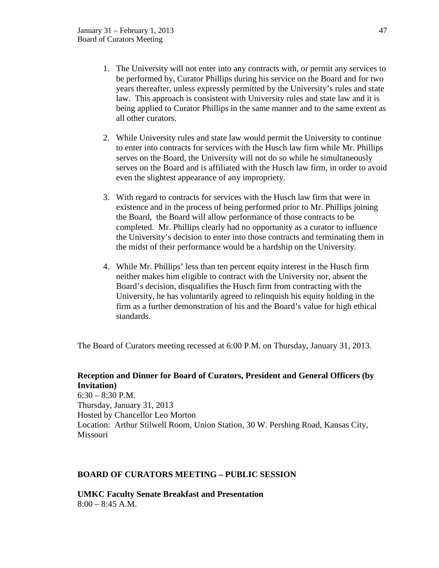- 1. The University will not enter into any contracts with, or permit any services to be performed by, Curator Phillips during his service on the Board and for two years thereafter, unless expressly permitted by the University's rules and state law. This approach is consistent with University rules and state law and it is being applied to Curator Phillips in the same manner and to the same extent as all other curators.
- 2. While University rules and state law would permit the University to continue to enter into contracts for services with the Husch law firm while Mr. Phillips serves on the Board, the University will not do so while he simultaneously serves on the Board and is affiliated with the Husch law firm, in order to avoid even the slightest appearance of any impropriety.
- 3. With regard to contracts for services with the Husch law firm that were in existence and in the process of being performed prior to Mr. Phillips joining the Board, the Board will allow performance of those contracts to be completed. Mr. Phillips clearly had no opportunity as a curator to influence the University's decision to enter into those contracts and terminating them in the midst of their performance would be a hardship on the University.
- 4. While Mr. Phillips' less than ten percent equity interest in the Husch firm neither makes him eligible to contract with the University nor, absent the Board's decision, disqualifies the Husch firm from contracting with the University, he has voluntarily agreed to relinquish his equity holding in the firm as a further demonstration of his and the Board's value for high ethical standards.

The Board of Curators meeting recessed at 6:00 P.M. on Thursday, January 31, 2013.

# **Reception and Dinner for Board of Curators, President and General Officers (by Invitation)**  $6:30 - 8:30$  P.M. Thursday, January 31, 2013 Hosted by Chancellor Leo Morton Location: Arthur Stilwell Room, Union Station, 30 W. Pershing Road, Kansas City, Missouri

# **BOARD OF CURATORS MEETING – PUBLIC SESSION**

**UMKC Faculty Senate Breakfast and Presentation**  $8:00 - 8:45$  A.M.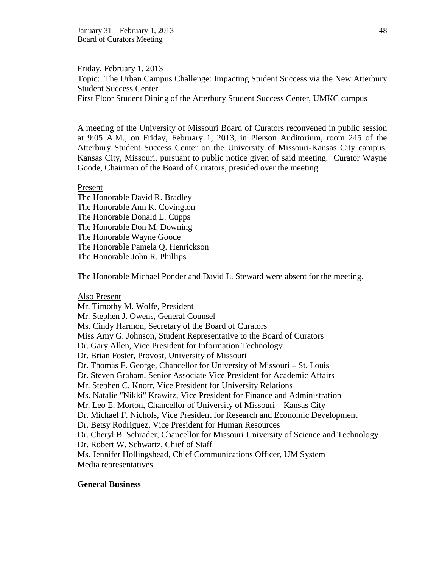January 31 – February 1, 2013 48 Board of Curators Meeting

Friday, February 1, 2013 Topic: The Urban Campus Challenge: Impacting Student Success via the New Atterbury Student Success Center First Floor Student Dining of the Atterbury Student Success Center, UMKC campus

A meeting of the University of Missouri Board of Curators reconvened in public session at 9:05 A.M., on Friday, February 1, 2013, in Pierson Auditorium, room 245 of the Atterbury Student Success Center on the University of Missouri-Kansas City campus, Kansas City, Missouri, pursuant to public notice given of said meeting. Curator Wayne Goode, Chairman of the Board of Curators, presided over the meeting.

#### Present

The Honorable David R. Bradley The Honorable Ann K. Covington The Honorable Donald L. Cupps The Honorable Don M. Downing The Honorable Wayne Goode The Honorable Pamela Q. Henrickson The Honorable John R. Phillips

The Honorable Michael Ponder and David L. Steward were absent for the meeting.

#### Also Present

Mr. Timothy M. Wolfe, President Mr. Stephen J. Owens, General Counsel Ms. Cindy Harmon, Secretary of the Board of Curators Miss Amy G. Johnson, Student Representative to the Board of Curators Dr. Gary Allen, Vice President for Information Technology Dr. Brian Foster, Provost, University of Missouri Dr. Thomas F. George, Chancellor for University of Missouri – St. Louis Dr. Steven Graham, Senior Associate Vice President for Academic Affairs Mr. Stephen C. Knorr, Vice President for University Relations Ms. Natalie "Nikki" Krawitz, Vice President for Finance and Administration Mr. Leo E. Morton, Chancellor of University of Missouri – Kansas City Dr. Michael F. Nichols, Vice President for Research and Economic Development Dr. Betsy Rodriguez, Vice President for Human Resources Dr. Cheryl B. Schrader, Chancellor for Missouri University of Science and Technology Dr. Robert W. Schwartz, Chief of Staff Ms. Jennifer Hollingshead, Chief Communications Officer, UM System Media representatives

#### **General Business**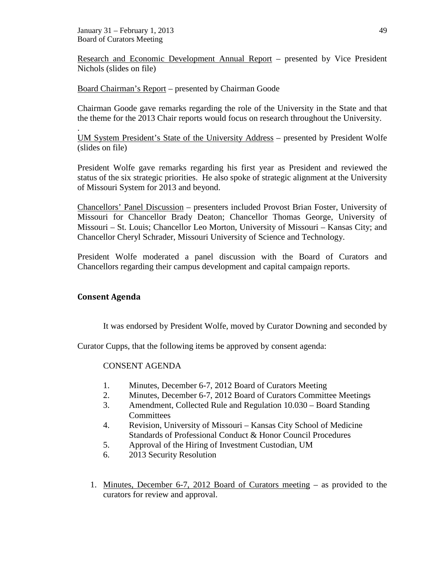January 31 – February 1, 2013 49 Board of Curators Meeting

Research and Economic Development Annual Report – presented by Vice President Nichols (slides on file)

Board Chairman's Report – presented by Chairman Goode

Chairman Goode gave remarks regarding the role of the University in the State and that the theme for the 2013 Chair reports would focus on research throughout the University.

UM System President's State of the University Address – presented by President Wolfe (slides on file)

President Wolfe gave remarks regarding his first year as President and reviewed the status of the six strategic priorities. He also spoke of strategic alignment at the University of Missouri System for 2013 and beyond.

Chancellors' Panel Discussion – presenters included Provost Brian Foster, University of Missouri for Chancellor Brady Deaton; Chancellor Thomas George, University of Missouri – St. Louis; Chancellor Leo Morton, University of Missouri – Kansas City; and Chancellor Cheryl Schrader, Missouri University of Science and Technology.

President Wolfe moderated a panel discussion with the Board of Curators and Chancellors regarding their campus development and capital campaign reports.

# **Consent Agenda**

.

It was endorsed by President Wolfe, moved by Curator Downing and seconded by

Curator Cupps, that the following items be approved by consent agenda:

# CONSENT AGENDA

- 1. Minutes, December 6-7, 2012 Board of Curators Meeting
- 2. Minutes, December 6-7, 2012 Board of Curators Committee Meetings
- 3. Amendment, Collected Rule and Regulation 10.030 Board Standing **Committees**
- 4. Revision, University of Missouri Kansas City School of Medicine Standards of Professional Conduct & Honor Council Procedures
- 5. Approval of the Hiring of Investment Custodian, UM
- 6. 2013 Security Resolution
- 1. Minutes, December 6-7, 2012 Board of Curators meeting as provided to the curators for review and approval.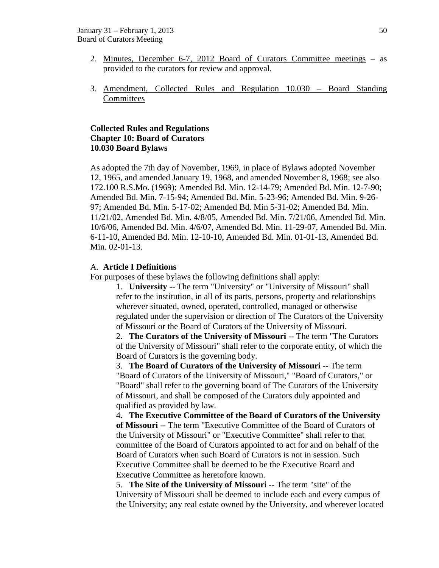- 2. Minutes, December 6-7, 2012 Board of Curators Committee meetings as provided to the curators for review and approval.
- 3. Amendment, Collected Rules and Regulation 10.030 Board Standing Committees

# **Collected Rules and Regulations Chapter 10: Board of Curators 10.030 Board Bylaws**

As adopted the 7th day of November, 1969, in place of Bylaws adopted November 12, 1965, and amended January 19, 1968, and amended November 8, 1968; see also 172.100 R.S.Mo. (1969); Amended Bd. Min. 12-14-79; Amended Bd. Min. 12-7-90; Amended Bd. Min. 7-15-94; Amended Bd. Min. 5-23-96; Amended Bd. Min. 9-26- 97; Amended Bd. Min. 5-17-02; Amended Bd. Min 5-31-02; Amended Bd. Min. 11/21/02, Amended Bd. Min. 4/8/05, Amended Bd. Min. 7/21/06, Amended Bd. Min. 10/6/06, Amended Bd. Min. 4/6/07, Amended Bd. Min. 11-29-07, Amended Bd. Min. 6-11-10, Amended Bd. Min. 12-10-10, Amended Bd. Min. 01-01-13, Amended Bd. Min. 02-01-13.

### A. **Article I Definitions**

For purposes of these bylaws the following definitions shall apply:

1. **University** -- The term "University" or "University of Missouri" shall refer to the institution, in all of its parts, persons, property and relationships wherever situated, owned, operated, controlled, managed or otherwise regulated under the supervision or direction of The Curators of the University of Missouri or the Board of Curators of the University of Missouri.

2. **The Curators of the University of Missouri** -- The term "The Curators of the University of Missouri" shall refer to the corporate entity, of which the Board of Curators is the governing body.

3. **The Board of Curators of the University of Missouri** -- The term "Board of Curators of the University of Missouri," "Board of Curators," or "Board" shall refer to the governing board of The Curators of the University of Missouri, and shall be composed of the Curators duly appointed and qualified as provided by law.

4. **The Executive Committee of the Board of Curators of the University of Missouri** -- The term "Executive Committee of the Board of Curators of the University of Missouri" or "Executive Committee" shall refer to that committee of the Board of Curators appointed to act for and on behalf of the Board of Curators when such Board of Curators is not in session. Such Executive Committee shall be deemed to be the Executive Board and Executive Committee as heretofore known.

5. **The Site of the University of Missouri** -- The term "site" of the University of Missouri shall be deemed to include each and every campus of the University; any real estate owned by the University, and wherever located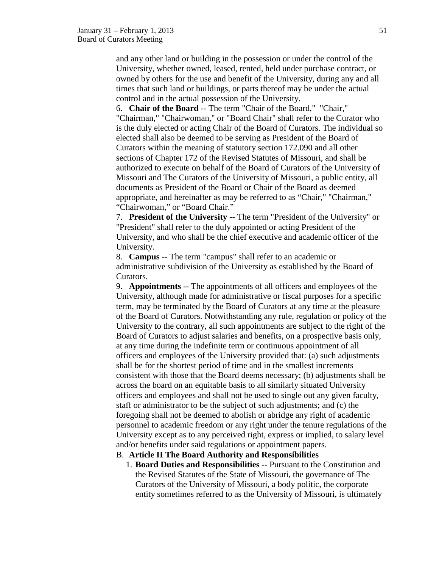and any other land or building in the possession or under the control of the University, whether owned, leased, rented, held under purchase contract, or owned by others for the use and benefit of the University, during any and all times that such land or buildings, or parts thereof may be under the actual control and in the actual possession of the University.

6. **Chair of the Board** -- The term "Chair of the Board," "Chair," "Chairman," "Chairwoman," or "Board Chair" shall refer to the Curator who is the duly elected or acting Chair of the Board of Curators. The individual so elected shall also be deemed to be serving as President of the Board of Curators within the meaning of statutory section 172.090 and all other sections of Chapter 172 of the Revised Statutes of Missouri, and shall be authorized to execute on behalf of the Board of Curators of the University of Missouri and The Curators of the University of Missouri, a public entity, all documents as President of the Board or Chair of the Board as deemed appropriate, and hereinafter as may be referred to as "Chair," "Chairman," "Chairwoman," or "Board Chair."

7. **President of the University** -- The term "President of the University" or "President" shall refer to the duly appointed or acting President of the University, and who shall be the chief executive and academic officer of the University.

8. **Campus** -- The term "campus" shall refer to an academic or administrative subdivision of the University as established by the Board of Curators.

9. **Appointments** -- The appointments of all officers and employees of the University, although made for administrative or fiscal purposes for a specific term, may be terminated by the Board of Curators at any time at the pleasure of the Board of Curators. Notwithstanding any rule, regulation or policy of the University to the contrary, all such appointments are subject to the right of the Board of Curators to adjust salaries and benefits, on a prospective basis only, at any time during the indefinite term or continuous appointment of all officers and employees of the University provided that: (a) such adjustments shall be for the shortest period of time and in the smallest increments consistent with those that the Board deems necessary; (b) adjustments shall be across the board on an equitable basis to all similarly situated University officers and employees and shall not be used to single out any given faculty, staff or administrator to be the subject of such adjustments; and (c) the foregoing shall not be deemed to abolish or abridge any right of academic personnel to academic freedom or any right under the tenure regulations of the University except as to any perceived right, express or implied, to salary level and/or benefits under said regulations or appointment papers.

# B. **Article II The Board Authority and Responsibilities**

1. **Board Duties and Responsibilities** -- Pursuant to the Constitution and the Revised Statutes of the State of Missouri, the governance of The Curators of the University of Missouri, a body politic, the corporate entity sometimes referred to as the University of Missouri, is ultimately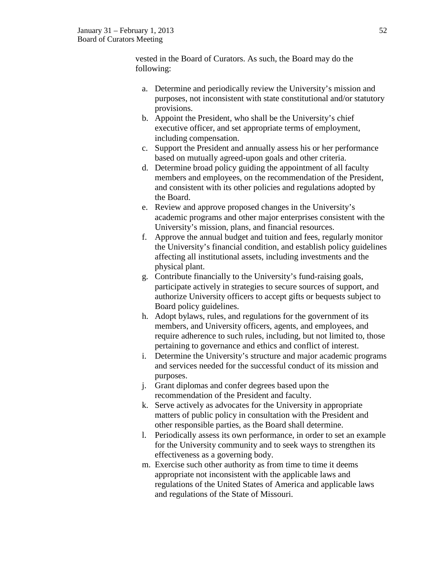vested in the Board of Curators. As such, the Board may do the following:

- a. Determine and periodically review the University's mission and purposes, not inconsistent with state constitutional and/or statutory provisions.
- b. Appoint the President, who shall be the University's chief executive officer, and set appropriate terms of employment, including compensation.
- c. Support the President and annually assess his or her performance based on mutually agreed-upon goals and other criteria.
- d. Determine broad policy guiding the appointment of all faculty members and employees, on the recommendation of the President, and consistent with its other policies and regulations adopted by the Board.
- e. Review and approve proposed changes in the University's academic programs and other major enterprises consistent with the University's mission, plans, and financial resources.
- f. Approve the annual budget and tuition and fees, regularly monitor the University's financial condition, and establish policy guidelines affecting all institutional assets, including investments and the physical plant.
- g. Contribute financially to the University's fund-raising goals, participate actively in strategies to secure sources of support, and authorize University officers to accept gifts or bequests subject to Board policy guidelines.
- h. Adopt bylaws, rules, and regulations for the government of its members, and University officers, agents, and employees, and require adherence to such rules, including, but not limited to, those pertaining to governance and ethics and conflict of interest.
- i. Determine the University's structure and major academic programs and services needed for the successful conduct of its mission and purposes.
- j. Grant diplomas and confer degrees based upon the recommendation of the President and faculty.
- k. Serve actively as advocates for the University in appropriate matters of public policy in consultation with the President and other responsible parties, as the Board shall determine.
- l. Periodically assess its own performance, in order to set an example for the University community and to seek ways to strengthen its effectiveness as a governing body.
- m. Exercise such other authority as from time to time it deems appropriate not inconsistent with the applicable laws and regulations of the United States of America and applicable laws and regulations of the State of Missouri.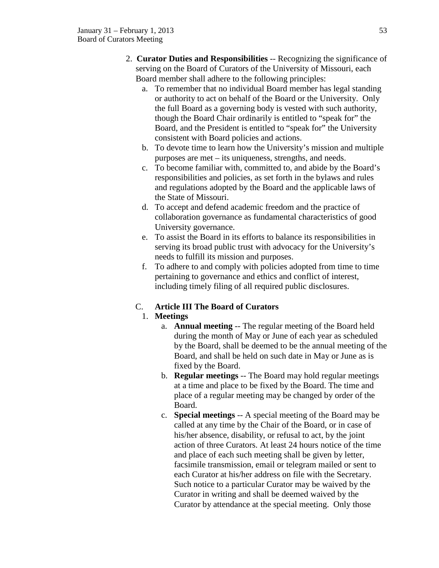- 2. **Curator Duties and Responsibilities** -- Recognizing the significance of serving on the Board of Curators of the University of Missouri, each Board member shall adhere to the following principles:
	- a. To remember that no individual Board member has legal standing or authority to act on behalf of the Board or the University. Only the full Board as a governing body is vested with such authority, though the Board Chair ordinarily is entitled to "speak for" the Board, and the President is entitled to "speak for" the University consistent with Board policies and actions.
	- b. To devote time to learn how the University's mission and multiple purposes are met – its uniqueness, strengths, and needs.
	- c. To become familiar with, committed to, and abide by the Board's responsibilities and policies, as set forth in the bylaws and rules and regulations adopted by the Board and the applicable laws of the State of Missouri.
	- d. To accept and defend academic freedom and the practice of collaboration governance as fundamental characteristics of good University governance.
	- e. To assist the Board in its efforts to balance its responsibilities in serving its broad public trust with advocacy for the University's needs to fulfill its mission and purposes.
	- f. To adhere to and comply with policies adopted from time to time pertaining to governance and ethics and conflict of interest, including timely filing of all required public disclosures.

# C. **Article III The Board of Curators**

# 1. **Meetings**

- a. **Annual meeting** -- The regular meeting of the Board held during the month of May or June of each year as scheduled by the Board, shall be deemed to be the annual meeting of the Board, and shall be held on such date in May or June as is fixed by the Board.
- b. **Regular meetings** -- The Board may hold regular meetings at a time and place to be fixed by the Board. The time and place of a regular meeting may be changed by order of the Board.
- c. **Special meetings** -- A special meeting of the Board may be called at any time by the Chair of the Board, or in case of his/her absence, disability, or refusal to act, by the joint action of three Curators. At least 24 hours notice of the time and place of each such meeting shall be given by letter, facsimile transmission, email or telegram mailed or sent to each Curator at his/her address on file with the Secretary. Such notice to a particular Curator may be waived by the Curator in writing and shall be deemed waived by the Curator by attendance at the special meeting. Only those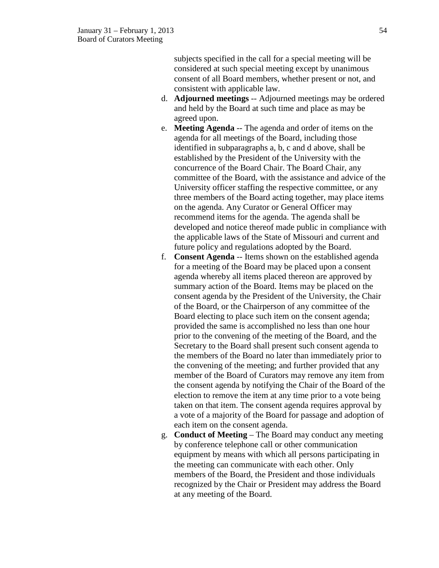subjects specified in the call for a special meeting will be considered at such special meeting except by unanimous consent of all Board members, whether present or not, and consistent with applicable law.

- d. **Adjourned meetings** -- Adjourned meetings may be ordered and held by the Board at such time and place as may be agreed upon.
- e. **Meeting Agenda** -- The agenda and order of items on the agenda for all meetings of the Board, including those identified in subparagraphs a, b, c and d above, shall be established by the President of the University with the concurrence of the Board Chair. The Board Chair, any committee of the Board, with the assistance and advice of the University officer staffing the respective committee, or any three members of the Board acting together, may place items on the agenda. Any Curator or General Officer may recommend items for the agenda. The agenda shall be developed and notice thereof made public in compliance with the applicable laws of the State of Missouri and current and future policy and regulations adopted by the Board.
- f. **Consent Agenda** -- Items shown on the established agenda for a meeting of the Board may be placed upon a consent agenda whereby all items placed thereon are approved by summary action of the Board. Items may be placed on the consent agenda by the President of the University, the Chair of the Board, or the Chairperson of any committee of the Board electing to place such item on the consent agenda; provided the same is accomplished no less than one hour prior to the convening of the meeting of the Board, and the Secretary to the Board shall present such consent agenda to the members of the Board no later than immediately prior to the convening of the meeting; and further provided that any member of the Board of Curators may remove any item from the consent agenda by notifying the Chair of the Board of the election to remove the item at any time prior to a vote being taken on that item. The consent agenda requires approval by a vote of a majority of the Board for passage and adoption of each item on the consent agenda.
- g. **Conduct of Meeting** The Board may conduct any meeting by conference telephone call or other communication equipment by means with which all persons participating in the meeting can communicate with each other. Only members of the Board, the President and those individuals recognized by the Chair or President may address the Board at any meeting of the Board.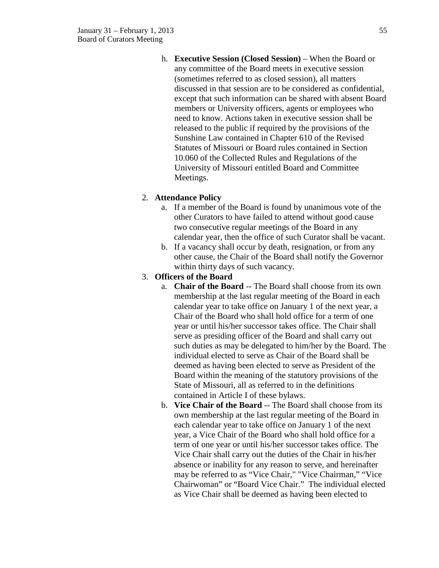h. **Executive Session (Closed Session)** – When the Board or any committee of the Board meets in executive session (sometimes referred to as closed session), all matters discussed in that session are to be considered as confidential, except that such information can be shared with absent Board members or University officers, agents or employees who need to know. Actions taken in executive session shall be released to the public if required by the provisions of the Sunshine Law contained in Chapter 610 of the Revised Statutes of Missouri or Board rules contained in Section 10.060 of the Collected Rules and Regulations of the University of Missouri entitled Board and Committee Meetings.

# 2. **Attendance Policy**

- a. If a member of the Board is found by unanimous vote of the other Curators to have failed to attend without good cause two consecutive regular meetings of the Board in any calendar year, then the office of such Curator shall be vacant.
- b. If a vacancy shall occur by death, resignation, or from any other cause, the Chair of the Board shall notify the Governor within thirty days of such vacancy.

# 3. **Officers of the Board**

- a. **Chair of the Board** -- The Board shall choose from its own membership at the last regular meeting of the Board in each calendar year to take office on January 1 of the next year, a Chair of the Board who shall hold office for a term of one year or until his/her successor takes office. The Chair shall serve as presiding officer of the Board and shall carry out such duties as may be delegated to him/her by the Board. The individual elected to serve as Chair of the Board shall be deemed as having been elected to serve as President of the Board within the meaning of the statutory provisions of the State of Missouri, all as referred to in the definitions contained in Article I of these bylaws.
- b. **Vice Chair of the Board** -- The Board shall choose from its own membership at the last regular meeting of the Board in each calendar year to take office on January 1 of the next year, a Vice Chair of the Board who shall hold office for a term of one year or until his/her successor takes office. The Vice Chair shall carry out the duties of the Chair in his/her absence or inability for any reason to serve, and hereinafter may be referred to as "Vice Chair," "Vice Chairman," "Vice Chairwoman" or "Board Vice Chair." The individual elected as Vice Chair shall be deemed as having been elected to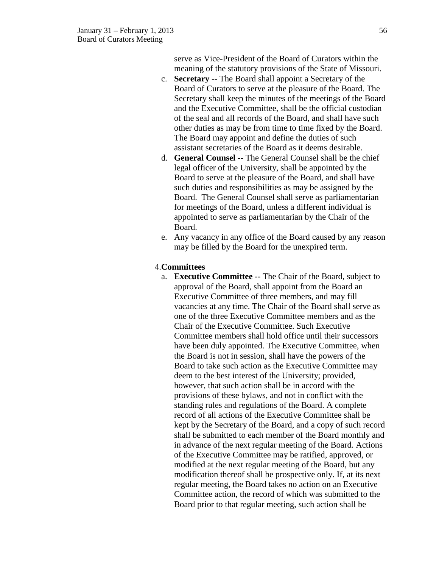serve as Vice-President of the Board of Curators within the meaning of the statutory provisions of the State of Missouri.

- c. **Secretary** -- The Board shall appoint a Secretary of the Board of Curators to serve at the pleasure of the Board. The Secretary shall keep the minutes of the meetings of the Board and the Executive Committee, shall be the official custodian of the seal and all records of the Board, and shall have such other duties as may be from time to time fixed by the Board. The Board may appoint and define the duties of such assistant secretaries of the Board as it deems desirable.
- d. **General Counsel** -- The General Counsel shall be the chief legal officer of the University, shall be appointed by the Board to serve at the pleasure of the Board, and shall have such duties and responsibilities as may be assigned by the Board. The General Counsel shall serve as parliamentarian for meetings of the Board, unless a different individual is appointed to serve as parliamentarian by the Chair of the Board.
- e. Any vacancy in any office of the Board caused by any reason may be filled by the Board for the unexpired term.

### 4.**Committees**

a. **Executive Committee** -- The Chair of the Board, subject to approval of the Board, shall appoint from the Board an Executive Committee of three members, and may fill vacancies at any time. The Chair of the Board shall serve as one of the three Executive Committee members and as the Chair of the Executive Committee. Such Executive Committee members shall hold office until their successors have been duly appointed. The Executive Committee, when the Board is not in session, shall have the powers of the Board to take such action as the Executive Committee may deem to the best interest of the University; provided, however, that such action shall be in accord with the provisions of these bylaws, and not in conflict with the standing rules and regulations of the Board. A complete record of all actions of the Executive Committee shall be kept by the Secretary of the Board, and a copy of such record shall be submitted to each member of the Board monthly and in advance of the next regular meeting of the Board. Actions of the Executive Committee may be ratified, approved, or modified at the next regular meeting of the Board, but any modification thereof shall be prospective only. If, at its next regular meeting, the Board takes no action on an Executive Committee action, the record of which was submitted to the Board prior to that regular meeting, such action shall be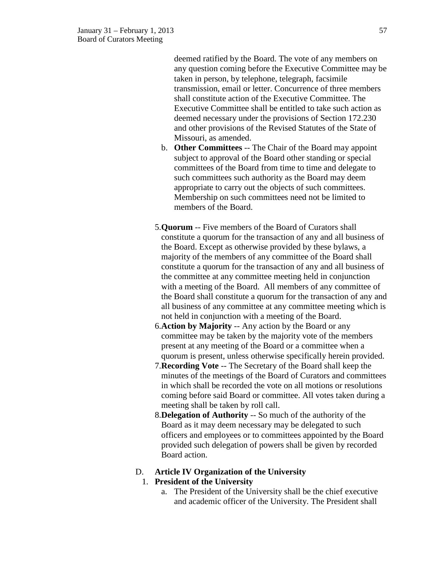deemed ratified by the Board. The vote of any members on any question coming before the Executive Committee may be taken in person, by telephone, telegraph, facsimile transmission, email or letter. Concurrence of three members shall constitute action of the Executive Committee. The Executive Committee shall be entitled to take such action as deemed necessary under the provisions of Section 172.230 and other provisions of the Revised Statutes of the State of Missouri, as amended.

- b. **Other Committees** -- The Chair of the Board may appoint subject to approval of the Board other standing or special committees of the Board from time to time and delegate to such committees such authority as the Board may deem appropriate to carry out the objects of such committees. Membership on such committees need not be limited to members of the Board.
- 5.**Quorum** -- Five members of the Board of Curators shall constitute a quorum for the transaction of any and all business of the Board. Except as otherwise provided by these bylaws, a majority of the members of any committee of the Board shall constitute a quorum for the transaction of any and all business of the committee at any committee meeting held in conjunction with a meeting of the Board. All members of any committee of the Board shall constitute a quorum for the transaction of any and all business of any committee at any committee meeting which is not held in conjunction with a meeting of the Board.
- 6.**Action by Majority** -- Any action by the Board or any committee may be taken by the majority vote of the members present at any meeting of the Board or a committee when a quorum is present, unless otherwise specifically herein provided.
- 7.**Recording Vote** -- The Secretary of the Board shall keep the minutes of the meetings of the Board of Curators and committees in which shall be recorded the vote on all motions or resolutions coming before said Board or committee. All votes taken during a meeting shall be taken by roll call.
- 8.**Delegation of Authority** -- So much of the authority of the Board as it may deem necessary may be delegated to such officers and employees or to committees appointed by the Board provided such delegation of powers shall be given by recorded Board action.

# D. **Article IV Organization of the University**

# 1. **President of the University**

a. The President of the University shall be the chief executive and academic officer of the University. The President shall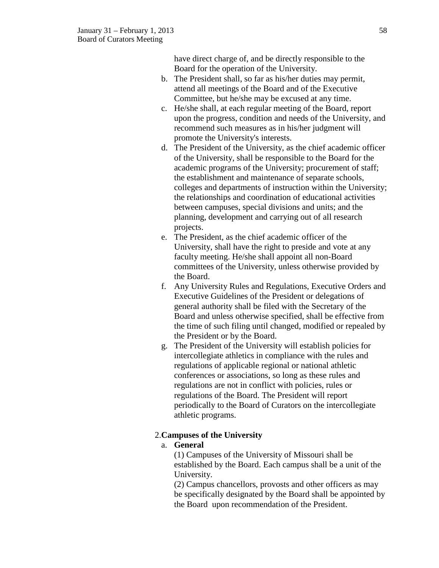have direct charge of, and be directly responsible to the Board for the operation of the University.

- b. The President shall, so far as his/her duties may permit, attend all meetings of the Board and of the Executive Committee, but he/she may be excused at any time.
- c. He/she shall, at each regular meeting of the Board, report upon the progress, condition and needs of the University, and recommend such measures as in his/her judgment will promote the University's interests.
- d. The President of the University, as the chief academic officer of the University, shall be responsible to the Board for the academic programs of the University; procurement of staff; the establishment and maintenance of separate schools, colleges and departments of instruction within the University; the relationships and coordination of educational activities between campuses, special divisions and units; and the planning, development and carrying out of all research projects.
- e. The President, as the chief academic officer of the University, shall have the right to preside and vote at any faculty meeting. He/she shall appoint all non-Board committees of the University, unless otherwise provided by the Board.
- f. Any University Rules and Regulations, Executive Orders and Executive Guidelines of the President or delegations of general authority shall be filed with the Secretary of the Board and unless otherwise specified, shall be effective from the time of such filing until changed, modified or repealed by the President or by the Board.
- g. The President of the University will establish policies for intercollegiate athletics in compliance with the rules and regulations of applicable regional or national athletic conferences or associations, so long as these rules and regulations are not in conflict with policies, rules or regulations of the Board. The President will report periodically to the Board of Curators on the intercollegiate athletic programs.

# 2.**Campuses of the University**

# a. **General**

(1) Campuses of the University of Missouri shall be established by the Board. Each campus shall be a unit of the University.

(2) Campus chancellors, provosts and other officers as may be specifically designated by the Board shall be appointed by the Board upon recommendation of the President.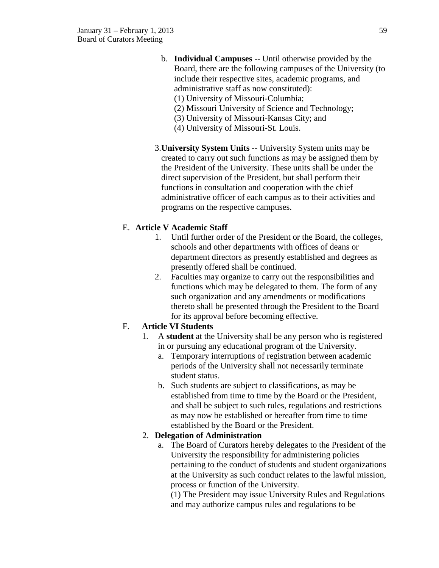- b. **Individual Campuses** -- Until otherwise provided by the Board, there are the following campuses of the University (to include their respective sites, academic programs, and administrative staff as now constituted):
	- (1) University of Missouri-Columbia;
	- (2) Missouri University of Science and Technology;
	- (3) University of Missouri-Kansas City; and
	- (4) University of Missouri-St. Louis.
- 3.**University System Units** -- University System units may be created to carry out such functions as may be assigned them by the President of the University. These units shall be under the direct supervision of the President, but shall perform their functions in consultation and cooperation with the chief administrative officer of each campus as to their activities and programs on the respective campuses.

# E. **Article V Academic Staff**

- 1. Until further order of the President or the Board, the colleges, schools and other departments with offices of deans or department directors as presently established and degrees as presently offered shall be continued.
- 2. Faculties may organize to carry out the responsibilities and functions which may be delegated to them. The form of any such organization and any amendments or modifications thereto shall be presented through the President to the Board for its approval before becoming effective.

# F. **Article VI Students**

- 1. A **student** at the University shall be any person who is registered in or pursuing any educational program of the University.
	- a. Temporary interruptions of registration between academic periods of the University shall not necessarily terminate student status.
	- b. Such students are subject to classifications, as may be established from time to time by the Board or the President, and shall be subject to such rules, regulations and restrictions as may now be established or hereafter from time to time established by the Board or the President.

# 2. **Delegation of Administration**

a. The Board of Curators hereby delegates to the President of the University the responsibility for administering policies pertaining to the conduct of students and student organizations at the University as such conduct relates to the lawful mission, process or function of the University.

(1) The President may issue University Rules and Regulations and may authorize campus rules and regulations to be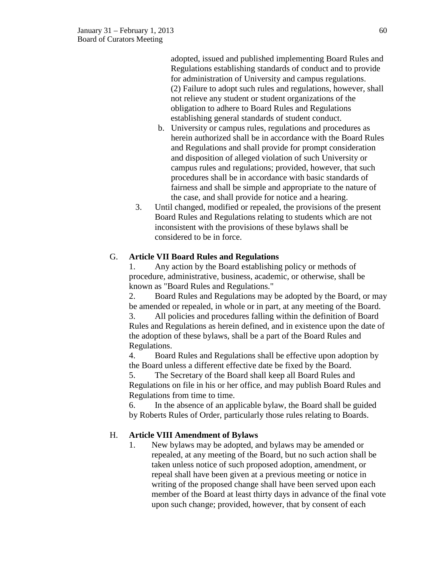adopted, issued and published implementing Board Rules and Regulations establishing standards of conduct and to provide for administration of University and campus regulations. (2) Failure to adopt such rules and regulations, however, shall not relieve any student or student organizations of the obligation to adhere to Board Rules and Regulations establishing general standards of student conduct.

- b. University or campus rules, regulations and procedures as herein authorized shall be in accordance with the Board Rules and Regulations and shall provide for prompt consideration and disposition of alleged violation of such University or campus rules and regulations; provided, however, that such procedures shall be in accordance with basic standards of fairness and shall be simple and appropriate to the nature of the case, and shall provide for notice and a hearing.
- 3. Until changed, modified or repealed, the provisions of the present Board Rules and Regulations relating to students which are not inconsistent with the provisions of these bylaws shall be considered to be in force.

### G. **Article VII Board Rules and Regulations**

1. Any action by the Board establishing policy or methods of procedure, administrative, business, academic, or otherwise, shall be known as "Board Rules and Regulations."

2. Board Rules and Regulations may be adopted by the Board, or may be amended or repealed, in whole or in part, at any meeting of the Board.

3. All policies and procedures falling within the definition of Board Rules and Regulations as herein defined, and in existence upon the date of the adoption of these bylaws, shall be a part of the Board Rules and Regulations.

4. Board Rules and Regulations shall be effective upon adoption by the Board unless a different effective date be fixed by the Board.

5. The Secretary of the Board shall keep all Board Rules and Regulations on file in his or her office, and may publish Board Rules and Regulations from time to time.

6. In the absence of an applicable bylaw, the Board shall be guided by Roberts Rules of Order, particularly those rules relating to Boards.

# H. **Article VIII Amendment of Bylaws**

1. New bylaws may be adopted, and bylaws may be amended or repealed, at any meeting of the Board, but no such action shall be taken unless notice of such proposed adoption, amendment, or repeal shall have been given at a previous meeting or notice in writing of the proposed change shall have been served upon each member of the Board at least thirty days in advance of the final vote upon such change; provided, however, that by consent of each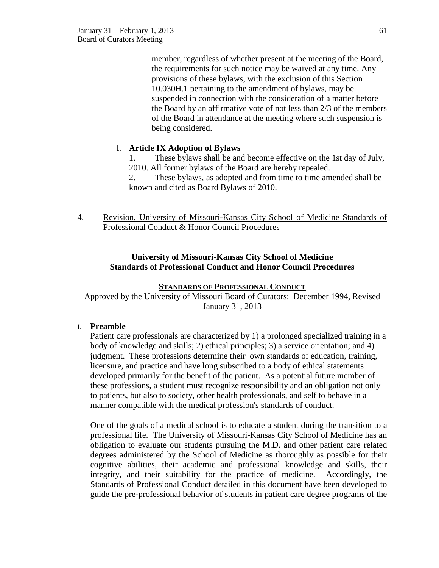member, regardless of whether present at the meeting of the Board, the requirements for such notice may be waived at any time. Any provisions of these bylaws, with the exclusion of this Section 10.030H.1 pertaining to the amendment of bylaws, may be suspended in connection with the consideration of a matter before the Board by an affirmative vote of not less than 2/3 of the members of the Board in attendance at the meeting where such suspension is being considered.

# I. **Article IX Adoption of Bylaws**

1. These bylaws shall be and become effective on the 1st day of July, 2010. All former bylaws of the Board are hereby repealed.

2. These bylaws, as adopted and from time to time amended shall be known and cited as Board Bylaws of 2010.

4. Revision, University of Missouri-Kansas City School of Medicine Standards of Professional Conduct & Honor Council Procedures

# **University of Missouri-Kansas City School of Medicine Standards of Professional Conduct and Honor Council Procedures**

### **STANDARDS OF PROFESSIONAL CONDUCT**

Approved by the University of Missouri Board of Curators: December 1994, Revised January 31, 2013

#### I. **Preamble**

Patient care professionals are characterized by 1) a prolonged specialized training in a body of knowledge and skills; 2) ethical principles; 3) a service orientation; and 4) judgment. These professions determine their own standards of education, training, licensure, and practice and have long subscribed to a body of ethical statements developed primarily for the benefit of the patient. As a potential future member of these professions, a student must recognize responsibility and an obligation not only to patients, but also to society, other health professionals, and self to behave in a manner compatible with the medical profession's standards of conduct.

One of the goals of a medical school is to educate a student during the transition to a professional life. The University of Missouri-Kansas City School of Medicine has an obligation to evaluate our students pursuing the M.D. and other patient care related degrees administered by the School of Medicine as thoroughly as possible for their cognitive abilities, their academic and professional knowledge and skills, their integrity, and their suitability for the practice of medicine. Accordingly, the Standards of Professional Conduct detailed in this document have been developed to guide the pre-professional behavior of students in patient care degree programs of the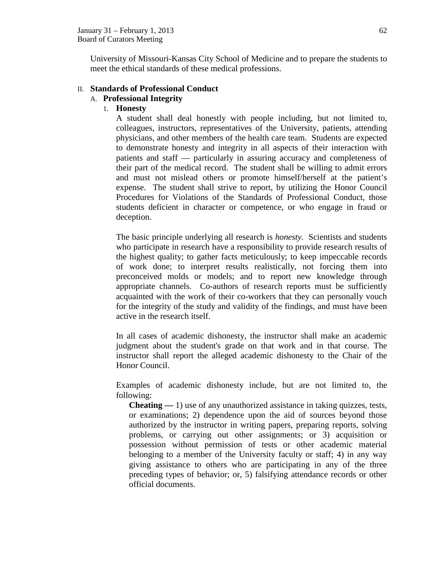University of Missouri-Kansas City School of Medicine and to prepare the students to meet the ethical standards of these medical professions.

### II. **Standards of Professional Conduct**

### A. **Professional Integrity**

### 1. **Honesty**

A student shall deal honestly with people including, but not limited to, colleagues, instructors, representatives of the University, patients, attending physicians, and other members of the health care team. Students are expected to demonstrate honesty and integrity in all aspects of their interaction with patients and staff — particularly in assuring accuracy and completeness of their part of the medical record. The student shall be willing to admit errors and must not mislead others or promote himself/herself at the patient's expense. The student shall strive to report, by utilizing the Honor Council Procedures for Violations of the Standards of Professional Conduct, those students deficient in character or competence, or who engage in fraud or deception.

The basic principle underlying all research is *honesty.* Scientists and students who participate in research have a responsibility to provide research results of the highest quality; to gather facts meticulously; to keep impeccable records of work done; to interpret results realistically, not forcing them into preconceived molds or models; and to report new knowledge through appropriate channels. Co-authors of research reports must be sufficiently acquainted with the work of their co-workers that they can personally vouch for the integrity of the study and validity of the findings, and must have been active in the research itself.

In all cases of academic dishonesty, the instructor shall make an academic judgment about the student's grade on that work and in that course. The instructor shall report the alleged academic dishonesty to the Chair of the Honor Council.

Examples of academic dishonesty include, but are not limited to, the following:

**Cheating** — 1) use of any unauthorized assistance in taking quizzes, tests, or examinations; 2) dependence upon the aid of sources beyond those authorized by the instructor in writing papers, preparing reports, solving problems, or carrying out other assignments; or 3) acquisition or possession without permission of tests or other academic material belonging to a member of the University faculty or staff; 4) in any way giving assistance to others who are participating in any of the three preceding types of behavior; or, 5) falsifying attendance records or other official documents.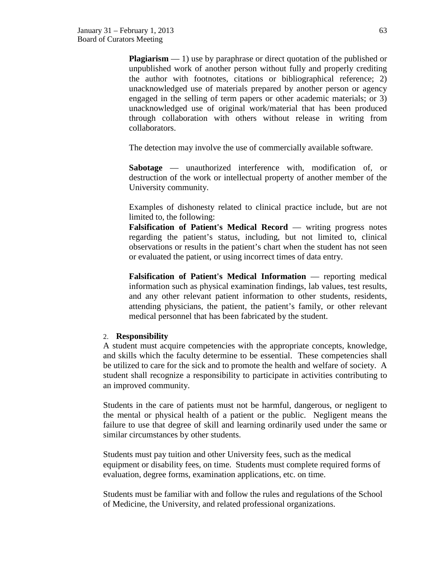**Plagiarism** — 1) use by paraphrase or direct quotation of the published or unpublished work of another person without fully and properly crediting the author with footnotes, citations or bibliographical reference; 2) unacknowledged use of materials prepared by another person or agency engaged in the selling of term papers or other academic materials; or 3) unacknowledged use of original work/material that has been produced through collaboration with others without release in writing from collaborators.

The detection may involve the use of commercially available software.

**Sabotage** — unauthorized interference with, modification of, or destruction of the work or intellectual property of another member of the University community.

Examples of dishonesty related to clinical practice include, but are not limited to, the following:

**Falsification of Patient's Medical Record** — writing progress notes regarding the patient's status, including, but not limited to, clinical observations or results in the patient's chart when the student has not seen or evaluated the patient, or using incorrect times of data entry.

**Falsification of Patient's Medical Information** — reporting medical information such as physical examination findings, lab values, test results, and any other relevant patient information to other students, residents, attending physicians, the patient, the patient's family, or other relevant medical personnel that has been fabricated by the student.

#### 2. **Responsibility**

A student must acquire competencies with the appropriate concepts, knowledge, and skills which the faculty determine to be essential. These competencies shall be utilized to care for the sick and to promote the health and welfare of society. A student shall recognize a responsibility to participate in activities contributing to an improved community.

Students in the care of patients must not be harmful, dangerous, or negligent to the mental or physical health of a patient or the public. Negligent means the failure to use that degree of skill and learning ordinarily used under the same or similar circumstances by other students.

Students must pay tuition and other University fees, such as the medical equipment or disability fees, on time. Students must complete required forms of evaluation, degree forms, examination applications, etc. on time.

Students must be familiar with and follow the rules and regulations of the School of Medicine, the University, and related professional organizations.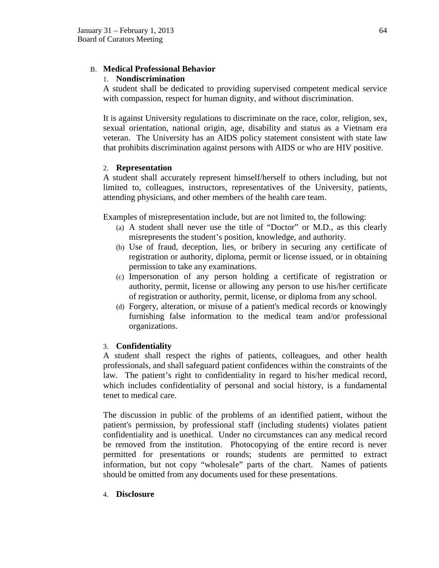# B. **Medical Professional Behavior**

# 1. **Nondiscrimination**

A student shall be dedicated to providing supervised competent medical service with compassion, respect for human dignity, and without discrimination.

It is against University regulations to discriminate on the race, color, religion, sex, sexual orientation, national origin, age, disability and status as a Vietnam era veteran. The University has an AIDS policy statement consistent with state law that prohibits discrimination against persons with AIDS or who are HIV positive.

# 2. **Representation**

A student shall accurately represent himself/herself to others including, but not limited to, colleagues, instructors, representatives of the University, patients, attending physicians, and other members of the health care team.

Examples of misrepresentation include, but are not limited to, the following:

- (a) A student shall never use the title of "Doctor" or M.D., as this clearly misrepresents the student's position, knowledge, and authority.
- (b) Use of fraud, deception, lies, or bribery in securing any certificate of registration or authority, diploma, permit or license issued, or in obtaining permission to take any examinations.
- (c) Impersonation of any person holding a certificate of registration or authority, permit, license or allowing any person to use his/her certificate of registration or authority, permit, license, or diploma from any school.
- (d) Forgery, alteration, or misuse of a patient's medical records or knowingly furnishing false information to the medical team and/or professional organizations.

# 3. **Confidentiality**

A student shall respect the rights of patients, colleagues, and other health professionals, and shall safeguard patient confidences within the constraints of the law. The patient's right to confidentiality in regard to his/her medical record, which includes confidentiality of personal and social history, is a fundamental tenet to medical care.

The discussion in public of the problems of an identified patient, without the patient's permission, by professional staff (including students) violates patient confidentiality and is unethical. Under no circumstances can any medical record be removed from the institution. Photocopying of the entire record is never permitted for presentations or rounds; students are permitted to extract information, but not copy "wholesale" parts of the chart. Names of patients should be omitted from any documents used for these presentations.

4. **Disclosure**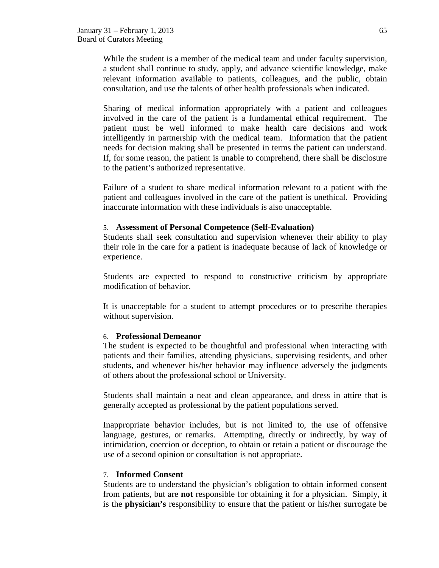While the student is a member of the medical team and under faculty supervision, a student shall continue to study, apply, and advance scientific knowledge, make relevant information available to patients, colleagues, and the public, obtain consultation, and use the talents of other health professionals when indicated.

Sharing of medical information appropriately with a patient and colleagues involved in the care of the patient is a fundamental ethical requirement. The patient must be well informed to make health care decisions and work intelligently in partnership with the medical team. Information that the patient needs for decision making shall be presented in terms the patient can understand. If, for some reason, the patient is unable to comprehend, there shall be disclosure to the patient's authorized representative.

Failure of a student to share medical information relevant to a patient with the patient and colleagues involved in the care of the patient is unethical. Providing inaccurate information with these individuals is also unacceptable.

#### 5. **Assessment of Personal Competence (Self-Evaluation)**

Students shall seek consultation and supervision whenever their ability to play their role in the care for a patient is inadequate because of lack of knowledge or experience.

Students are expected to respond to constructive criticism by appropriate modification of behavior.

It is unacceptable for a student to attempt procedures or to prescribe therapies without supervision.

#### 6. **Professional Demeanor**

The student is expected to be thoughtful and professional when interacting with patients and their families, attending physicians, supervising residents, and other students, and whenever his/her behavior may influence adversely the judgments of others about the professional school or University.

Students shall maintain a neat and clean appearance, and dress in attire that is generally accepted as professional by the patient populations served.

Inappropriate behavior includes, but is not limited to, the use of offensive language, gestures, or remarks. Attempting, directly or indirectly, by way of intimidation, coercion or deception, to obtain or retain a patient or discourage the use of a second opinion or consultation is not appropriate.

#### 7. **Informed Consent**

Students are to understand the physician's obligation to obtain informed consent from patients, but are **not** responsible for obtaining it for a physician. Simply, it is the **physician's** responsibility to ensure that the patient or his/her surrogate be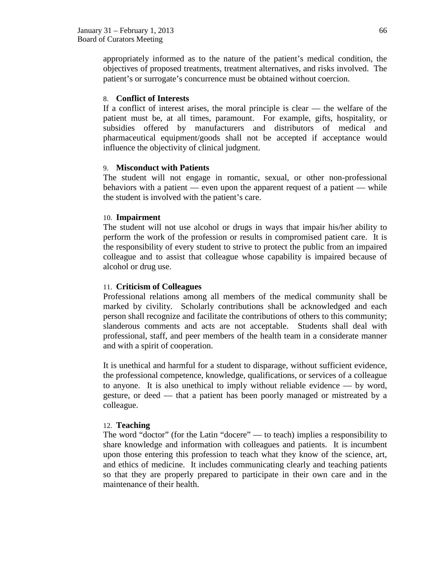appropriately informed as to the nature of the patient's medical condition, the objectives of proposed treatments, treatment alternatives, and risks involved. The patient's or surrogate's concurrence must be obtained without coercion.

#### 8. **Conflict of Interests**

If a conflict of interest arises, the moral principle is clear — the welfare of the patient must be, at all times, paramount. For example, gifts, hospitality, or subsidies offered by manufacturers and distributors of medical and pharmaceutical equipment/goods shall not be accepted if acceptance would influence the objectivity of clinical judgment.

### 9. **Misconduct with Patients**

The student will not engage in romantic, sexual, or other non-professional behaviors with a patient — even upon the apparent request of a patient — while the student is involved with the patient's care.

### 10. **Impairment**

The student will not use alcohol or drugs in ways that impair his/her ability to perform the work of the profession or results in compromised patient care. It is the responsibility of every student to strive to protect the public from an impaired colleague and to assist that colleague whose capability is impaired because of alcohol or drug use.

#### 11. **Criticism of Colleagues**

Professional relations among all members of the medical community shall be marked by civility. Scholarly contributions shall be acknowledged and each person shall recognize and facilitate the contributions of others to this community; slanderous comments and acts are not acceptable. Students shall deal with professional, staff, and peer members of the health team in a considerate manner and with a spirit of cooperation.

It is unethical and harmful for a student to disparage, without sufficient evidence, the professional competence, knowledge, qualifications, or services of a colleague to anyone. It is also unethical to imply without reliable evidence — by word, gesture, or deed — that a patient has been poorly managed or mistreated by a colleague.

#### 12. **Teaching**

The word "doctor" (for the Latin "docere" — to teach) implies a responsibility to share knowledge and information with colleagues and patients. It is incumbent upon those entering this profession to teach what they know of the science, art, and ethics of medicine. It includes communicating clearly and teaching patients so that they are properly prepared to participate in their own care and in the maintenance of their health.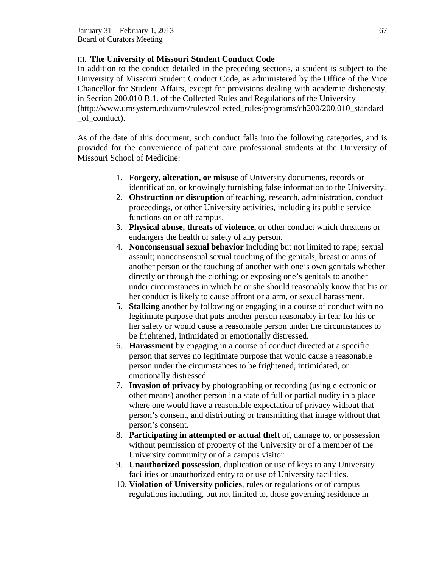# III. **The University of Missouri Student Conduct Code**

In addition to the conduct detailed in the preceding sections, a student is subject to the University of Missouri Student Conduct Code, as administered by the Office of the Vice Chancellor for Student Affairs, except for provisions dealing with academic dishonesty, in Section 200.010 B.1. of the Collected Rules and Regulations of the University (http://www.umsystem.edu/ums/rules/collected\_rules/programs/ch200/200.010\_standard \_of\_conduct).

As of the date of this document, such conduct falls into the following categories, and is provided for the convenience of patient care professional students at the University of Missouri School of Medicine:

- 1. **Forgery, alteration, or misuse** of University documents, records or identification, or knowingly furnishing false information to the University.
- 2. **Obstruction or disruption** of teaching, research, administration, conduct proceedings, or other University activities, including its public service functions on or off campus.
- 3. **Physical abuse, threats of violence,** or other conduct which threatens or endangers the health or safety of any person.
- 4. **Nonconsensual sexual behavior** including but not limited to rape; sexual assault; nonconsensual sexual touching of the genitals, breast or anus of another person or the touching of another with one's own genitals whether directly or through the clothing; or exposing one's genitals to another under circumstances in which he or she should reasonably know that his or her conduct is likely to cause affront or alarm, or sexual harassment.
- 5. **Stalking** another by following or engaging in a course of conduct with no legitimate purpose that puts another person reasonably in fear for his or her safety or would cause a reasonable person under the circumstances to be frightened, intimidated or emotionally distressed.
- 6. **Harassment** by engaging in a course of conduct directed at a specific person that serves no legitimate purpose that would cause a reasonable person under the circumstances to be frightened, intimidated, or emotionally distressed.
- 7. **Invasion of privacy** by photographing or recording (using electronic or other means) another person in a state of full or partial nudity in a place where one would have a reasonable expectation of privacy without that person's consent, and distributing or transmitting that image without that person's consent.
- 8. **Participating in attempted or actual theft** of, damage to, or possession without permission of property of the University or of a member of the University community or of a campus visitor.
- 9. **Unauthorized possession**, duplication or use of keys to any University facilities or unauthorized entry to or use of University facilities.
- 10. **Violation of University policies**, rules or regulations or of campus regulations including, but not limited to, those governing residence in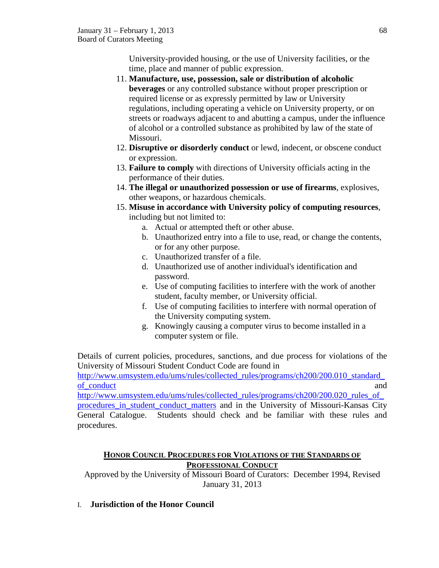University-provided housing, or the use of University facilities, or the time, place and manner of public expression.

- 11. **Manufacture, use, possession, sale or distribution of alcoholic beverages** or any controlled substance without proper prescription or required license or as expressly permitted by law or University regulations, including operating a vehicle on University property, or on streets or roadways adjacent to and abutting a campus, under the influence of alcohol or a controlled substance as prohibited by law of the state of Missouri.
- 12. **Disruptive or disorderly conduct** or lewd, indecent, or obscene conduct or expression.
- 13. **Failure to comply** with directions of University officials acting in the performance of their duties.
- 14. **The illegal or unauthorized possession or use of firearms**, explosives, other weapons, or hazardous chemicals.
- 15. **Misuse in accordance with University policy of computing resources**, including but not limited to:
	- a. Actual or attempted theft or other abuse.
	- b. Unauthorized entry into a file to use, read, or change the contents, or for any other purpose.
	- c. Unauthorized transfer of a file.
	- d. Unauthorized use of another individual's identification and password.
	- e. Use of computing facilities to interfere with the work of another student, faculty member, or University official.
	- f. Use of computing facilities to interfere with normal operation of the University computing system.
	- g. Knowingly causing a computer virus to become installed in a computer system or file.

Details of current policies, procedures, sanctions, and due process for violations of the University of Missouri Student Conduct Code are found in

http://www.umsystem.edu/ums/rules/collected\_rules/programs/ch200/200.010\_standard [of\\_conduct](http://www.umsystem.edu/ums/rules/collected_rules/programs/ch200/200.010_standard_of_conduct) and

http://www.umsystem.edu/ums/rules/collected\_rules/programs/ch200/200.020\_rules\_of [procedures\\_in\\_student\\_conduct\\_matters](http://www.umsystem.edu/ums/rules/collected_rules/programs/ch200/200.020_rules_of_procedures_in_student_conduct_matters) and in the University of Missouri-Kansas City General Catalogue. Students should check and be familiar with these rules and procedures.

# **HONOR COUNCIL PROCEDURES FOR VIOLATIONS OF THE STANDARDS OF PROFESSIONAL CONDUCT**

Approved by the University of Missouri Board of Curators: December 1994, Revised January 31, 2013

I. **Jurisdiction of the Honor Council**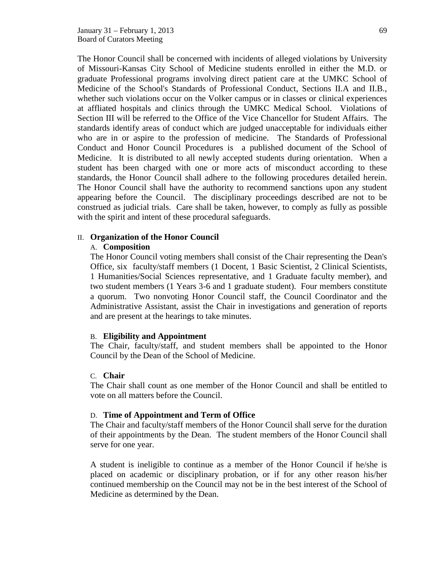The Honor Council shall be concerned with incidents of alleged violations by University of Missouri-Kansas City School of Medicine students enrolled in either the M.D. or graduate Professional programs involving direct patient care at the UMKC School of Medicine of the School's Standards of Professional Conduct, Sections II.A and II.B., whether such violations occur on the Volker campus or in classes or clinical experiences at affliated hospitals and clinics through the UMKC Medical School. Violations of Section III will be referred to the Office of the Vice Chancellor for Student Affairs. The standards identify areas of conduct which are judged unacceptable for individuals either who are in or aspire to the profession of medicine. The Standards of Professional Conduct and Honor Council Procedures is a published document of the School of Medicine. It is distributed to all newly accepted students during orientation. When a student has been charged with one or more acts of misconduct according to these standards, the Honor Council shall adhere to the following procedures detailed herein. The Honor Council shall have the authority to recommend sanctions upon any student appearing before the Council. The disciplinary proceedings described are not to be construed as judicial trials. Care shall be taken, however, to comply as fully as possible with the spirit and intent of these procedural safeguards.

#### II. **Organization of the Honor Council**

#### A. **Composition**

The Honor Council voting members shall consist of the Chair representing the Dean's Office, six faculty/staff members (1 Docent, 1 Basic Scientist, 2 Clinical Scientists, 1 Humanities/Social Sciences representative, and 1 Graduate faculty member), and two student members (1 Years 3-6 and 1 graduate student). Four members constitute a quorum. Two nonvoting Honor Council staff, the Council Coordinator and the Administrative Assistant, assist the Chair in investigations and generation of reports and are present at the hearings to take minutes.

#### B. **Eligibility and Appointment**

The Chair, faculty/staff, and student members shall be appointed to the Honor Council by the Dean of the School of Medicine.

#### C. **Chair**

The Chair shall count as one member of the Honor Council and shall be entitled to vote on all matters before the Council.

#### D. **Time of Appointment and Term of Office**

The Chair and faculty/staff members of the Honor Council shall serve for the duration of their appointments by the Dean. The student members of the Honor Council shall serve for one year.

A student is ineligible to continue as a member of the Honor Council if he/she is placed on academic or disciplinary probation, or if for any other reason his/her continued membership on the Council may not be in the best interest of the School of Medicine as determined by the Dean.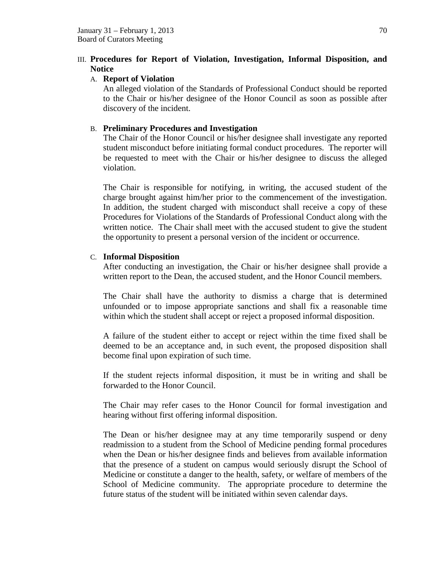# III. **Procedures for Report of Violation, Investigation, Informal Disposition, and Notice**

### A. **Report of Violation**

An alleged violation of the Standards of Professional Conduct should be reported to the Chair or his/her designee of the Honor Council as soon as possible after discovery of the incident.

# B. **Preliminary Procedures and Investigation**

The Chair of the Honor Council or his/her designee shall investigate any reported student misconduct before initiating formal conduct procedures. The reporter will be requested to meet with the Chair or his/her designee to discuss the alleged violation.

The Chair is responsible for notifying, in writing, the accused student of the charge brought against him/her prior to the commencement of the investigation. In addition, the student charged with misconduct shall receive a copy of these Procedures for Violations of the Standards of Professional Conduct along with the written notice. The Chair shall meet with the accused student to give the student the opportunity to present a personal version of the incident or occurrence.

### C. **Informal Disposition**

After conducting an investigation, the Chair or his/her designee shall provide a written report to the Dean, the accused student, and the Honor Council members.

The Chair shall have the authority to dismiss a charge that is determined unfounded or to impose appropriate sanctions and shall fix a reasonable time within which the student shall accept or reject a proposed informal disposition.

A failure of the student either to accept or reject within the time fixed shall be deemed to be an acceptance and, in such event, the proposed disposition shall become final upon expiration of such time.

If the student rejects informal disposition, it must be in writing and shall be forwarded to the Honor Council.

The Chair may refer cases to the Honor Council for formal investigation and hearing without first offering informal disposition.

The Dean or his/her designee may at any time temporarily suspend or deny readmission to a student from the School of Medicine pending formal procedures when the Dean or his/her designee finds and believes from available information that the presence of a student on campus would seriously disrupt the School of Medicine or constitute a danger to the health, safety, or welfare of members of the School of Medicine community. The appropriate procedure to determine the future status of the student will be initiated within seven calendar days.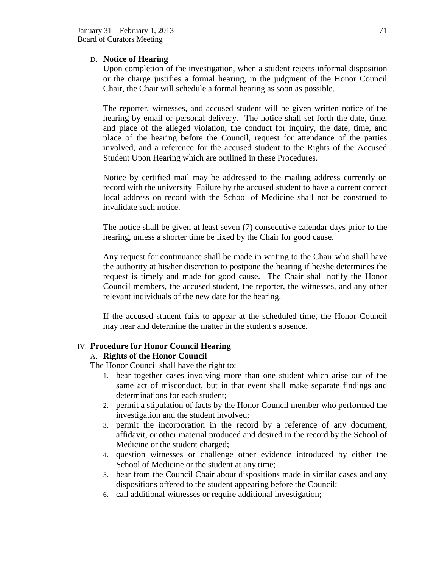# D. **Notice of Hearing**

Upon completion of the investigation, when a student rejects informal disposition or the charge justifies a formal hearing, in the judgment of the Honor Council Chair, the Chair will schedule a formal hearing as soon as possible.

The reporter, witnesses, and accused student will be given written notice of the hearing by email or personal delivery. The notice shall set forth the date, time, and place of the alleged violation, the conduct for inquiry, the date, time, and place of the hearing before the Council, request for attendance of the parties involved, and a reference for the accused student to the Rights of the Accused Student Upon Hearing which are outlined in these Procedures.

Notice by certified mail may be addressed to the mailing address currently on record with the university Failure by the accused student to have a current correct local address on record with the School of Medicine shall not be construed to invalidate such notice.

The notice shall be given at least seven (7) consecutive calendar days prior to the hearing, unless a shorter time be fixed by the Chair for good cause.

Any request for continuance shall be made in writing to the Chair who shall have the authority at his/her discretion to postpone the hearing if he/she determines the request is timely and made for good cause. The Chair shall notify the Honor Council members, the accused student, the reporter, the witnesses, and any other relevant individuals of the new date for the hearing.

If the accused student fails to appear at the scheduled time, the Honor Council may hear and determine the matter in the student's absence.

# IV. **Procedure for Honor Council Hearing**

# A. **Rights of the Honor Council**

The Honor Council shall have the right to:

- 1. hear together cases involving more than one student which arise out of the same act of misconduct, but in that event shall make separate findings and determinations for each student;
- 2. permit a stipulation of facts by the Honor Council member who performed the investigation and the student involved;
- 3. permit the incorporation in the record by a reference of any document, affidavit, or other material produced and desired in the record by the School of Medicine or the student charged;
- 4. question witnesses or challenge other evidence introduced by either the School of Medicine or the student at any time;
- 5. hear from the Council Chair about dispositions made in similar cases and any dispositions offered to the student appearing before the Council;
- 6. call additional witnesses or require additional investigation;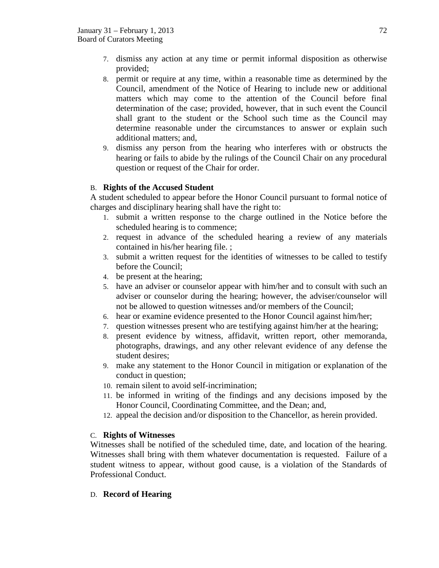- 7. dismiss any action at any time or permit informal disposition as otherwise provided;
- 8. permit or require at any time, within a reasonable time as determined by the Council, amendment of the Notice of Hearing to include new or additional matters which may come to the attention of the Council before final determination of the case; provided, however, that in such event the Council shall grant to the student or the School such time as the Council may determine reasonable under the circumstances to answer or explain such additional matters; and,
- 9. dismiss any person from the hearing who interferes with or obstructs the hearing or fails to abide by the rulings of the Council Chair on any procedural question or request of the Chair for order.

# B. **Rights of the Accused Student**

A student scheduled to appear before the Honor Council pursuant to formal notice of charges and disciplinary hearing shall have the right to:

- 1. submit a written response to the charge outlined in the Notice before the scheduled hearing is to commence;
- 2. request in advance of the scheduled hearing a review of any materials contained in his/her hearing file. ;
- 3. submit a written request for the identities of witnesses to be called to testify before the Council;
- 4. be present at the hearing;
- 5. have an adviser or counselor appear with him/her and to consult with such an adviser or counselor during the hearing; however, the adviser/counselor will not be allowed to question witnesses and/or members of the Council;
- 6. hear or examine evidence presented to the Honor Council against him/her;
- 7. question witnesses present who are testifying against him/her at the hearing;
- 8. present evidence by witness, affidavit, written report, other memoranda, photographs, drawings, and any other relevant evidence of any defense the student desires;
- 9. make any statement to the Honor Council in mitigation or explanation of the conduct in question;
- 10. remain silent to avoid self-incrimination;
- 11. be informed in writing of the findings and any decisions imposed by the Honor Council, Coordinating Committee, and the Dean; and,
- 12. appeal the decision and/or disposition to the Chancellor, as herein provided.

# C. **Rights of Witnesses**

Witnesses shall be notified of the scheduled time, date, and location of the hearing. Witnesses shall bring with them whatever documentation is requested. Failure of a student witness to appear, without good cause, is a violation of the Standards of Professional Conduct.

D. **Record of Hearing**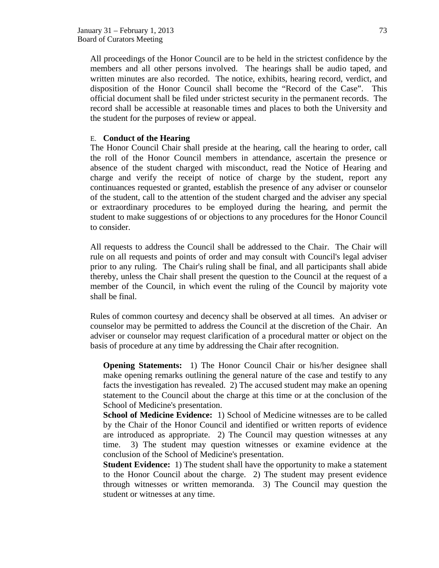All proceedings of the Honor Council are to be held in the strictest confidence by the members and all other persons involved. The hearings shall be audio taped, and written minutes are also recorded. The notice, exhibits, hearing record, verdict, and disposition of the Honor Council shall become the "Record of the Case". This official document shall be filed under strictest security in the permanent records. The record shall be accessible at reasonable times and places to both the University and the student for the purposes of review or appeal.

### E. **Conduct of the Hearing**

The Honor Council Chair shall preside at the hearing, call the hearing to order, call the roll of the Honor Council members in attendance, ascertain the presence or absence of the student charged with misconduct, read the Notice of Hearing and charge and verify the receipt of notice of charge by the student, report any continuances requested or granted, establish the presence of any adviser or counselor of the student, call to the attention of the student charged and the adviser any special or extraordinary procedures to be employed during the hearing, and permit the student to make suggestions of or objections to any procedures for the Honor Council to consider.

All requests to address the Council shall be addressed to the Chair. The Chair will rule on all requests and points of order and may consult with Council's legal adviser prior to any ruling. The Chair's ruling shall be final, and all participants shall abide thereby, unless the Chair shall present the question to the Council at the request of a member of the Council, in which event the ruling of the Council by majority vote shall be final.

Rules of common courtesy and decency shall be observed at all times. An adviser or counselor may be permitted to address the Council at the discretion of the Chair. An adviser or counselor may request clarification of a procedural matter or object on the basis of procedure at any time by addressing the Chair after recognition.

**Opening Statements:** 1) The Honor Council Chair or his/her designee shall make opening remarks outlining the general nature of the case and testify to any facts the investigation has revealed. 2) The accused student may make an opening statement to the Council about the charge at this time or at the conclusion of the School of Medicine's presentation.

**School of Medicine Evidence:** 1) School of Medicine witnesses are to be called by the Chair of the Honor Council and identified or written reports of evidence are introduced as appropriate. 2) The Council may question witnesses at any time. 3) The student may question witnesses or examine evidence at the conclusion of the School of Medicine's presentation.

**Student Evidence:** 1) The student shall have the opportunity to make a statement to the Honor Council about the charge. 2) The student may present evidence through witnesses or written memoranda. 3) The Council may question the student or witnesses at any time.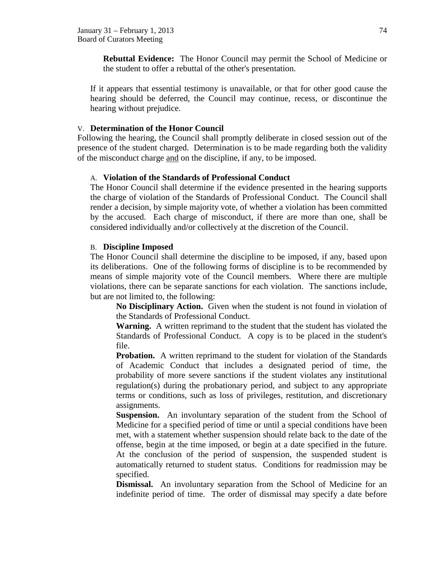**Rebuttal Evidence:** The Honor Council may permit the School of Medicine or the student to offer a rebuttal of the other's presentation.

If it appears that essential testimony is unavailable, or that for other good cause the hearing should be deferred, the Council may continue, recess, or discontinue the hearing without prejudice.

## V. **Determination of the Honor Council**

Following the hearing, the Council shall promptly deliberate in closed session out of the presence of the student charged. Determination is to be made regarding both the validity of the misconduct charge and on the discipline, if any, to be imposed.

## A. **Violation of the Standards of Professional Conduct**

The Honor Council shall determine if the evidence presented in the hearing supports the charge of violation of the Standards of Professional Conduct. The Council shall render a decision, by simple majority vote, of whether a violation has been committed by the accused. Each charge of misconduct, if there are more than one, shall be considered individually and/or collectively at the discretion of the Council.

## B. **Discipline Imposed**

The Honor Council shall determine the discipline to be imposed, if any, based upon its deliberations. One of the following forms of discipline is to be recommended by means of simple majority vote of the Council members. Where there are multiple violations, there can be separate sanctions for each violation. The sanctions include, but are not limited to, the following:

**No Disciplinary Action.** Given when the student is not found in violation of the Standards of Professional Conduct.

**Warning.** A written reprimand to the student that the student has violated the Standards of Professional Conduct. A copy is to be placed in the student's file.

**Probation.** A written reprimand to the student for violation of the Standards of Academic Conduct that includes a designated period of time, the probability of more severe sanctions if the student violates any institutional regulation(s) during the probationary period, and subject to any appropriate terms or conditions, such as loss of privileges, restitution, and discretionary assignments.

**Suspension.** An involuntary separation of the student from the School of Medicine for a specified period of time or until a special conditions have been met, with a statement whether suspension should relate back to the date of the offense, begin at the time imposed, or begin at a date specified in the future. At the conclusion of the period of suspension, the suspended student is automatically returned to student status. Conditions for readmission may be specified.

**Dismissal.** An involuntary separation from the School of Medicine for an indefinite period of time. The order of dismissal may specify a date before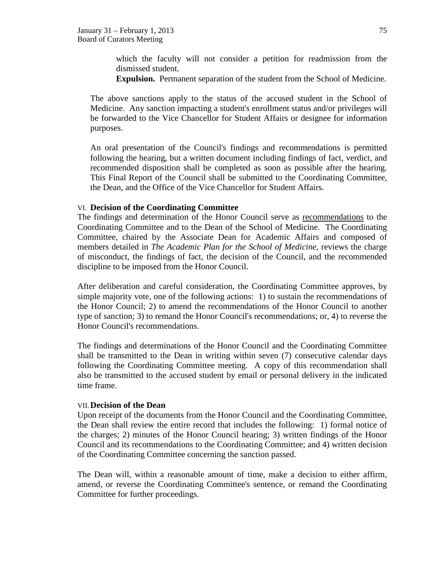which the faculty will not consider a petition for readmission from the dismissed student.

**Expulsion.** Permanent separation of the student from the School of Medicine.

The above sanctions apply to the status of the accused student in the School of Medicine. Any sanction impacting a student's enrollment status and/or privileges will be forwarded to the Vice Chancellor for Student Affairs or designee for information purposes.

An oral presentation of the Council's findings and recommendations is permitted following the hearing, but a written document including findings of fact, verdict, and recommended disposition shall be completed as soon as possible after the hearing. This Final Report of the Council shall be submitted to the Coordinating Committee, the Dean, and the Office of the Vice Chancellor for Student Affairs.

#### VI. **Decision of the Coordinating Committee**

The findings and determination of the Honor Council serve as recommendations to the Coordinating Committee and to the Dean of the School of Medicine. The Coordinating Committee, chaired by the Associate Dean for Academic Affairs and composed of members detailed in *The Academic Plan for the School of Medicine*, reviews the charge of misconduct, the findings of fact, the decision of the Council, and the recommended discipline to be imposed from the Honor Council.

After deliberation and careful consideration, the Coordinating Committee approves, by simple majority vote, one of the following actions: 1) to sustain the recommendations of the Honor Council; 2) to amend the recommendations of the Honor Council to another type of sanction; 3) to remand the Honor Council's recommendations; or, 4) to reverse the Honor Council's recommendations.

The findings and determinations of the Honor Council and the Coordinating Committee shall be transmitted to the Dean in writing within seven (7) consecutive calendar days following the Coordinating Committee meeting. A copy of this recommendation shall also be transmitted to the accused student by email or personal delivery in the indicated time frame.

#### VII.**Decision of the Dean**

Upon receipt of the documents from the Honor Council and the Coordinating Committee, the Dean shall review the entire record that includes the following: 1) formal notice of the charges; 2) minutes of the Honor Council hearing; 3) written findings of the Honor Council and its recommendations to the Coordinating Committee; and 4) written decision of the Coordinating Committee concerning the sanction passed.

The Dean will, within a reasonable amount of time, make a decision to either affirm, amend, or reverse the Coordinating Committee's sentence, or remand the Coordinating Committee for further proceedings.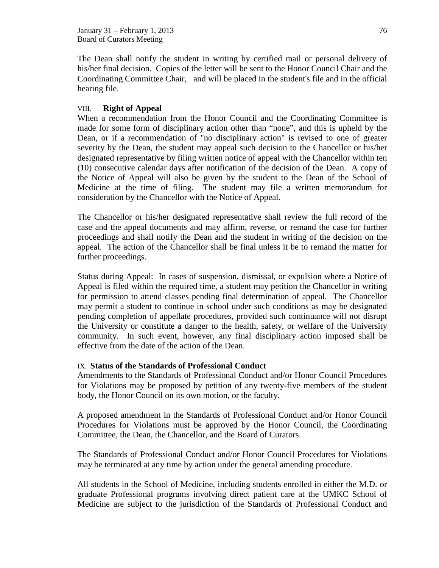January 31 – February 1, 2013  $\frac{76}{20}$ Board of Curators Meeting

The Dean shall notify the student in writing by certified mail or personal delivery of his/her final decision. Copies of the letter will be sent to the Honor Council Chair and the Coordinating Committee Chair, and will be placed in the student's file and in the official hearing file.

### VIII. **Right of Appeal**

When a recommendation from the Honor Council and the Coordinating Committee is made for some form of disciplinary action other than "none", and this is upheld by the Dean, or if a recommendation of "no disciplinary action" is revised to one of greater severity by the Dean, the student may appeal such decision to the Chancellor or his/her designated representative by filing written notice of appeal with the Chancellor within ten (10) consecutive calendar days after notification of the decision of the Dean. A copy of the Notice of Appeal will also be given by the student to the Dean of the School of Medicine at the time of filing. The student may file a written memorandum for consideration by the Chancellor with the Notice of Appeal.

The Chancellor or his/her designated representative shall review the full record of the case and the appeal documents and may affirm, reverse, or remand the case for further proceedings and shall notify the Dean and the student in writing of the decision on the appeal. The action of the Chancellor shall be final unless it be to remand the matter for further proceedings.

Status during Appeal: In cases of suspension, dismissal, or expulsion where a Notice of Appeal is filed within the required time, a student may petition the Chancellor in writing for permission to attend classes pending final determination of appeal. The Chancellor may permit a student to continue in school under such conditions as may be designated pending completion of appellate procedures, provided such continuance will not disrupt the University or constitute a danger to the health, safety, or welfare of the University community. In such event, however, any final disciplinary action imposed shall be effective from the date of the action of the Dean.

### IX. **Status of the Standards of Professional Conduct**

Amendments to the Standards of Professional Conduct and/or Honor Council Procedures for Violations may be proposed by petition of any twenty-five members of the student body, the Honor Council on its own motion, or the faculty.

A proposed amendment in the Standards of Professional Conduct and/or Honor Council Procedures for Violations must be approved by the Honor Council, the Coordinating Committee, the Dean, the Chancellor, and the Board of Curators.

The Standards of Professional Conduct and/or Honor Council Procedures for Violations may be terminated at any time by action under the general amending procedure.

All students in the School of Medicine, including students enrolled in either the M.D. or graduate Professional programs involving direct patient care at the UMKC School of Medicine are subject to the jurisdiction of the Standards of Professional Conduct and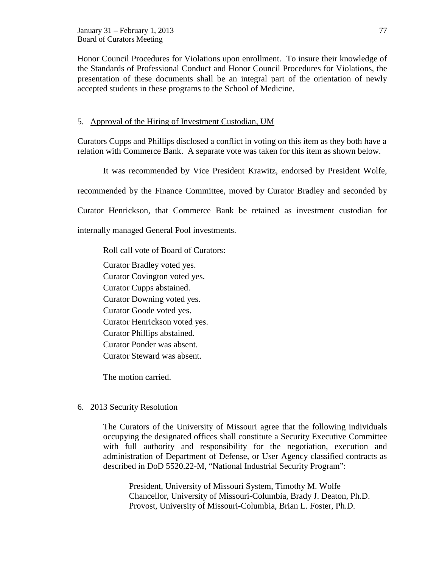Honor Council Procedures for Violations upon enrollment. To insure their knowledge of the Standards of Professional Conduct and Honor Council Procedures for Violations, the presentation of these documents shall be an integral part of the orientation of newly accepted students in these programs to the School of Medicine.

## 5. Approval of the Hiring of Investment Custodian, UM

Curators Cupps and Phillips disclosed a conflict in voting on this item as they both have a relation with Commerce Bank. A separate vote was taken for this item as shown below.

It was recommended by Vice President Krawitz, endorsed by President Wolfe,

recommended by the Finance Committee, moved by Curator Bradley and seconded by

Curator Henrickson, that Commerce Bank be retained as investment custodian for

internally managed General Pool investments.

Roll call vote of Board of Curators:

Curator Bradley voted yes. Curator Covington voted yes.

Curator Cupps abstained.

Curator Downing voted yes.

Curator Goode voted yes.

Curator Henrickson voted yes.

Curator Phillips abstained.

Curator Ponder was absent.

Curator Steward was absent.

The motion carried.

# 6. 2013 Security Resolution

The Curators of the University of Missouri agree that the following individuals occupying the designated offices shall constitute a Security Executive Committee with full authority and responsibility for the negotiation, execution and administration of Department of Defense, or User Agency classified contracts as described in DoD 5520.22-M, "National Industrial Security Program":

President, University of Missouri System, Timothy M. Wolfe Chancellor, University of Missouri-Columbia, Brady J. Deaton, Ph.D. Provost, University of Missouri-Columbia, Brian L. Foster, Ph.D.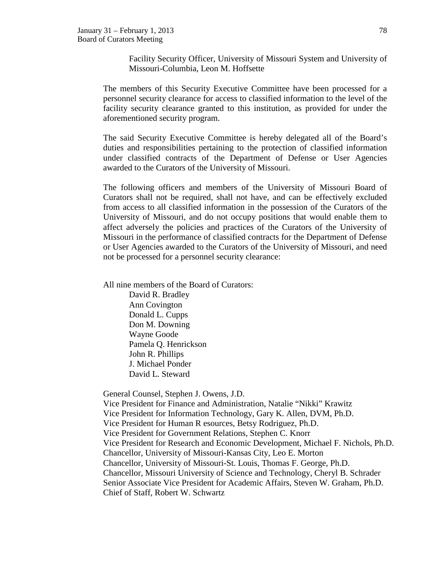Facility Security Officer, University of Missouri System and University of Missouri-Columbia, Leon M. Hoffsette

The members of this Security Executive Committee have been processed for a personnel security clearance for access to classified information to the level of the facility security clearance granted to this institution, as provided for under the aforementioned security program.

The said Security Executive Committee is hereby delegated all of the Board's duties and responsibilities pertaining to the protection of classified information under classified contracts of the Department of Defense or User Agencies awarded to the Curators of the University of Missouri.

The following officers and members of the University of Missouri Board of Curators shall not be required, shall not have, and can be effectively excluded from access to all classified information in the possession of the Curators of the University of Missouri, and do not occupy positions that would enable them to affect adversely the policies and practices of the Curators of the University of Missouri in the performance of classified contracts for the Department of Defense or User Agencies awarded to the Curators of the University of Missouri, and need not be processed for a personnel security clearance:

All nine members of the Board of Curators:

[David R. Bradley](http://www.umsystem.edu/curators/members/bradleyd) Ann Covington [Donald L. Cupps](http://www.umsystem.edu/curators/members/cuppsd) [Don M. Downing](http://www.umsystem.edu/curators/members/downingd) [Wayne Goode](http://www.umsystem.edu/curators/members/goodew) Pamela Q. Henrickson John R. Phillips J. Michael Ponder [David L. Steward](http://www.umsystem.edu/curators/members/stewardd)

General Counsel, Stephen J. Owens, J.D.

Vice President for Finance and Administration, Natalie "Nikki" Krawitz Vice President for Information Technology, Gary K. Allen, DVM, Ph.D. Vice President for Human R esources, Betsy Rodriguez, Ph.D. Vice President for Government Relations, Stephen C. Knorr Vice President for Research and Economic Development, Michael F. Nichols, Ph.D. Chancellor, University of Missouri-Kansas City, Leo E. Morton Chancellor, University of Missouri-St. Louis, Thomas F. George, Ph.D. Chancellor, Missouri University of Science and Technology, Cheryl B. Schrader Senior Associate Vice President for Academic Affairs, Steven W. Graham, Ph.D. Chief of Staff, Robert W. Schwartz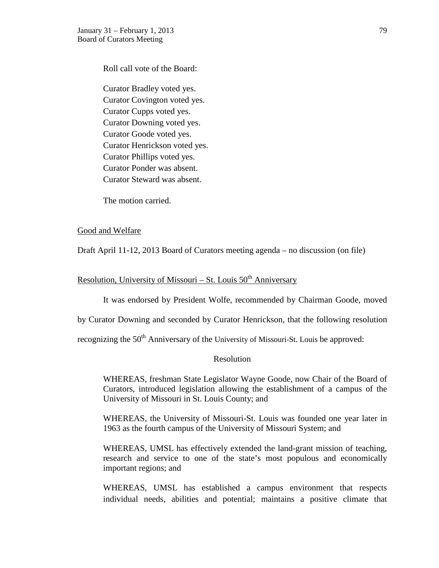Roll call vote of the Board:

Curator Bradley voted yes. Curator Covington voted yes. Curator Cupps voted yes. Curator Downing voted yes. Curator Goode voted yes. Curator Henrickson voted yes. Curator Phillips voted yes. Curator Ponder was absent. Curator Steward was absent.

The motion carried.

### Good and Welfare

Draft April 11-12, 2013 Board of Curators meeting agenda – no discussion (on file)

# Resolution, University of Missouri – St. Louis  $50<sup>th</sup>$  Anniversary

It was endorsed by President Wolfe, recommended by Chairman Goode, moved

by Curator Downing and seconded by Curator Henrickson, that the following resolution

recognizing the 50<sup>th</sup> Anniversary of the University of Missouri-St. Louis be approved:

### Resolution

WHEREAS, freshman State Legislator Wayne Goode, now Chair of the Board of Curators, introduced legislation allowing the establishment of a campus of the University of Missouri in St. Louis County; and

WHEREAS, the University of Missouri-St. Louis was founded one year later in 1963 as the fourth campus of the University of Missouri System; and

WHEREAS, UMSL has effectively extended the land-grant mission of teaching, research and service to one of the state's most populous and economically important regions; and

WHEREAS, UMSL has established a campus environment that respects individual needs, abilities and potential; maintains a positive climate that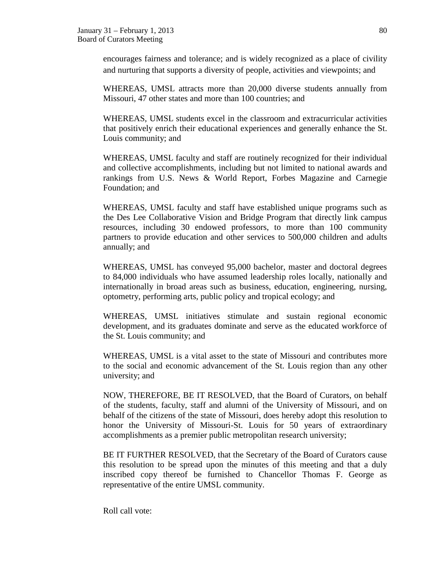encourages fairness and tolerance; and is widely recognized as a place of civility and nurturing that supports a diversity of people, activities and viewpoints; and

WHEREAS, UMSL attracts more than 20,000 diverse students annually from Missouri, 47 other states and more than 100 countries; and

WHEREAS, UMSL students excel in the classroom and extracurricular activities that positively enrich their educational experiences and generally enhance the St. Louis community; and

WHEREAS, UMSL faculty and staff are routinely recognized for their individual and collective accomplishments, including but not limited to national awards and rankings from U.S. News & World Report, Forbes Magazine and Carnegie Foundation; and

WHEREAS, UMSL faculty and staff have established unique programs such as the Des Lee Collaborative Vision and Bridge Program that directly link campus resources, including 30 endowed professors, to more than 100 community partners to provide education and other services to 500,000 children and adults annually; and

WHEREAS, UMSL has conveyed 95,000 bachelor, master and doctoral degrees to 84,000 individuals who have assumed leadership roles locally, nationally and internationally in broad areas such as business, education, engineering, nursing, optometry, performing arts, public policy and tropical ecology; and

WHEREAS, UMSL initiatives stimulate and sustain regional economic development, and its graduates dominate and serve as the educated workforce of the St. Louis community; and

WHEREAS, UMSL is a vital asset to the state of Missouri and contributes more to the social and economic advancement of the St. Louis region than any other university; and

NOW, THEREFORE, BE IT RESOLVED, that the Board of Curators, on behalf of the students, faculty, staff and alumni of the University of Missouri, and on behalf of the citizens of the state of Missouri, does hereby adopt this resolution to honor the University of Missouri-St. Louis for 50 years of extraordinary accomplishments as a premier public metropolitan research university;

BE IT FURTHER RESOLVED, that the Secretary of the Board of Curators cause this resolution to be spread upon the minutes of this meeting and that a duly inscribed copy thereof be furnished to Chancellor Thomas F. George as representative of the entire UMSL community.

Roll call vote: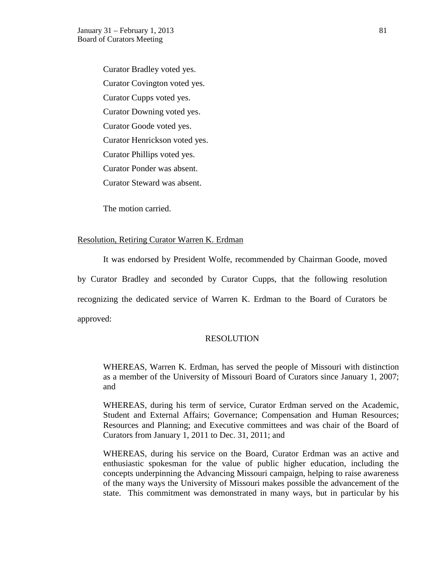Curator Bradley voted yes. Curator Covington voted yes. Curator Cupps voted yes. Curator Downing voted yes. Curator Goode voted yes. Curator Henrickson voted yes. Curator Phillips voted yes. Curator Ponder was absent. Curator Steward was absent.

The motion carried.

### Resolution, Retiring Curator Warren K. Erdman

It was endorsed by President Wolfe, recommended by Chairman Goode, moved by Curator Bradley and seconded by Curator Cupps, that the following resolution recognizing the dedicated service of Warren K. Erdman to the Board of Curators be approved:

### RESOLUTION

WHEREAS, Warren K. Erdman, has served the people of Missouri with distinction as a member of the University of Missouri Board of Curators since January 1, 2007; and

WHEREAS, during his term of service, Curator Erdman served on the Academic, Student and External Affairs; Governance; Compensation and Human Resources; Resources and Planning; and Executive committees and was chair of the Board of Curators from January 1, 2011 to Dec. 31, 2011; and

WHEREAS, during his service on the Board, Curator Erdman was an active and enthusiastic spokesman for the value of public higher education, including the concepts underpinning the Advancing Missouri campaign, helping to raise awareness of the many ways the University of Missouri makes possible the advancement of the state. This commitment was demonstrated in many ways, but in particular by his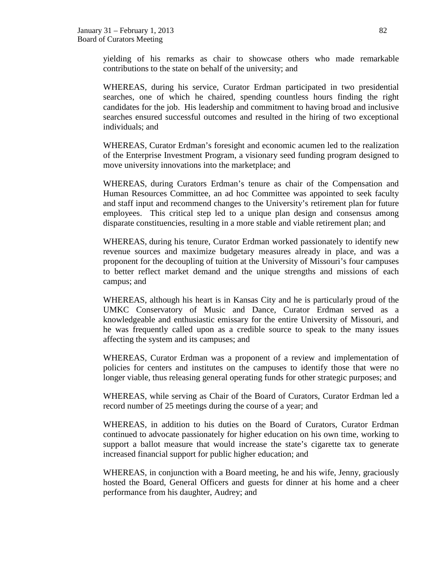yielding of his remarks as chair to showcase others who made remarkable contributions to the state on behalf of the university; and

WHEREAS, during his service, Curator Erdman participated in two presidential searches, one of which he chaired*,* spending countless hours finding the right candidates for the job. His leadership and commitment to having broad and inclusive searches ensured successful outcomes and resulted in the hiring of two exceptional individuals; and

WHEREAS, Curator Erdman's foresight and economic acumen led to the realization of the Enterprise Investment Program, a visionary seed funding program designed to move university innovations into the marketplace; and

WHEREAS, during Curators Erdman's tenure as chair of the Compensation and Human Resources Committee, an ad hoc Committee was appointed to seek faculty and staff input and recommend changes to the University's retirement plan for future employees. This critical step led to a unique plan design and consensus among disparate constituencies, resulting in a more stable and viable retirement plan; and

WHEREAS, during his tenure, Curator Erdman worked passionately to identify new revenue sources and maximize budgetary measures already in place, and was a proponent for the decoupling of tuition at the University of Missouri's four campuses to better reflect market demand and the unique strengths and missions of each campus; and

WHEREAS, although his heart is in Kansas City and he is particularly proud of the UMKC Conservatory of Music and Dance, Curator Erdman served as a knowledgeable and enthusiastic emissary for the entire University of Missouri, and he was frequently called upon as a credible source to speak to the many issues affecting the system and its campuses; and

WHEREAS, Curator Erdman was a proponent of a review and implementation of policies for centers and institutes on the campuses to identify those that were no longer viable, thus releasing general operating funds for other strategic purposes; and

WHEREAS, while serving as Chair of the Board of Curators, Curator Erdman led a record number of 25 meetings during the course of a year; and

WHEREAS, in addition to his duties on the Board of Curators, Curator Erdman continued to advocate passionately for higher education on his own time, working to support a ballot measure that would increase the state's cigarette tax to generate increased financial support for public higher education; and

WHEREAS, in conjunction with a Board meeting, he and his wife, Jenny, graciously hosted the Board, General Officers and guests for dinner at his home and a cheer performance from his daughter, Audrey; and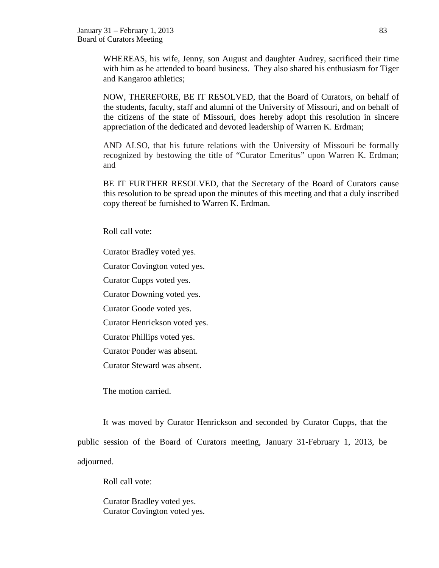WHEREAS, his wife, Jenny, son August and daughter Audrey, sacrificed their time with him as he attended to board business. They also shared his enthusiasm for Tiger and Kangaroo athletics;

NOW, THEREFORE, BE IT RESOLVED, that the Board of Curators, on behalf of the students, faculty, staff and alumni of the University of Missouri, and on behalf of the citizens of the state of Missouri, does hereby adopt this resolution in sincere appreciation of the dedicated and devoted leadership of Warren K. Erdman;

AND ALSO, that his future relations with the University of Missouri be formally recognized by bestowing the title of "Curator Emeritus" upon Warren K. Erdman; and

BE IT FURTHER RESOLVED, that the Secretary of the Board of Curators cause this resolution to be spread upon the minutes of this meeting and that a duly inscribed copy thereof be furnished to Warren K. Erdman.

Roll call vote:

Curator Bradley voted yes.

Curator Covington voted yes.

Curator Cupps voted yes.

Curator Downing voted yes.

Curator Goode voted yes.

Curator Henrickson voted yes.

Curator Phillips voted yes.

Curator Ponder was absent.

Curator Steward was absent.

The motion carried.

It was moved by Curator Henrickson and seconded by Curator Cupps, that the public session of the Board of Curators meeting, January 31-February 1, 2013, be adjourned.

Roll call vote:

Curator Bradley voted yes. Curator Covington voted yes.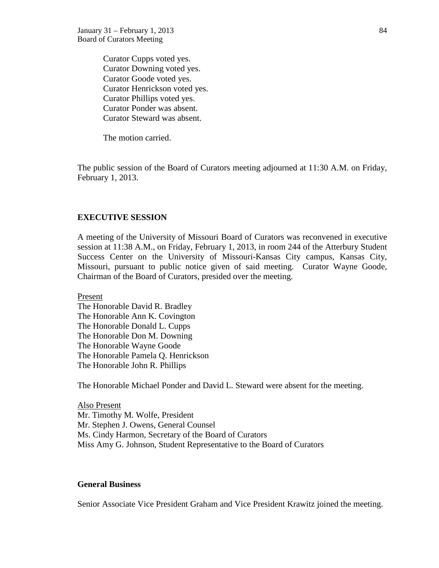Curator Cupps voted yes. Curator Downing voted yes. Curator Goode voted yes. Curator Henrickson voted yes. Curator Phillips voted yes. Curator Ponder was absent. Curator Steward was absent.

The motion carried.

The public session of the Board of Curators meeting adjourned at 11:30 A.M. on Friday, February 1, 2013.

### **EXECUTIVE SESSION**

A meeting of the University of Missouri Board of Curators was reconvened in executive session at 11:38 A.M., on Friday, February 1, 2013, in room 244 of the Atterbury Student Success Center on the University of Missouri-Kansas City campus, Kansas City, Missouri, pursuant to public notice given of said meeting. Curator Wayne Goode, Chairman of the Board of Curators, presided over the meeting.

Present

The Honorable David R. Bradley The Honorable Ann K. Covington The Honorable Donald L. Cupps The Honorable Don M. Downing The Honorable Wayne Goode The Honorable Pamela Q. Henrickson The Honorable John R. Phillips

The Honorable Michael Ponder and David L. Steward were absent for the meeting.

Also Present Mr. Timothy M. Wolfe, President Mr. Stephen J. Owens, General Counsel Ms. Cindy Harmon, Secretary of the Board of Curators Miss Amy G. Johnson, Student Representative to the Board of Curators

### **General Business**

Senior Associate Vice President Graham and Vice President Krawitz joined the meeting.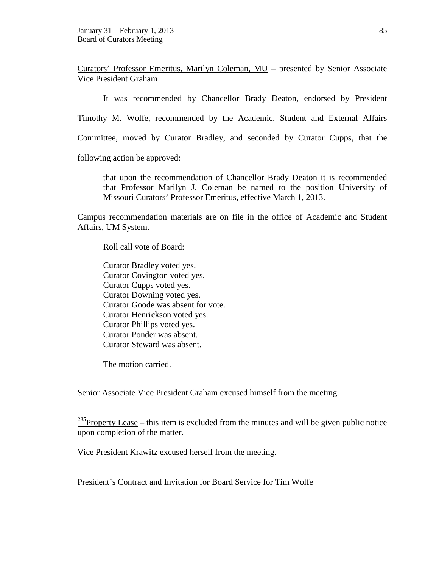Curators' Professor Emeritus, Marilyn Coleman, MU – presented by Senior Associate Vice President Graham

It was recommended by Chancellor Brady Deaton, endorsed by President

Timothy M. Wolfe, recommended by the Academic, Student and External Affairs

Committee, moved by Curator Bradley, and seconded by Curator Cupps, that the

following action be approved:

that upon the recommendation of Chancellor Brady Deaton it is recommended that Professor Marilyn J. Coleman be named to the position University of Missouri Curators' Professor Emeritus, effective March 1, 2013.

Campus recommendation materials are on file in the office of Academic and Student Affairs, UM System.

Roll call vote of Board:

Curator Bradley voted yes. Curator Covington voted yes. Curator Cupps voted yes. Curator Downing voted yes. Curator Goode was absent for vote. Curator Henrickson voted yes. Curator Phillips voted yes. Curator Ponder was absent. Curator Steward was absent.

The motion carried.

Senior Associate Vice President Graham excused himself from the meeting.

 $^{235}$ Property Lease – this item is excluded from the minutes and will be given public notice upon completion of the matter.

Vice President Krawitz excused herself from the meeting.

President's Contract and Invitation for Board Service for Tim Wolfe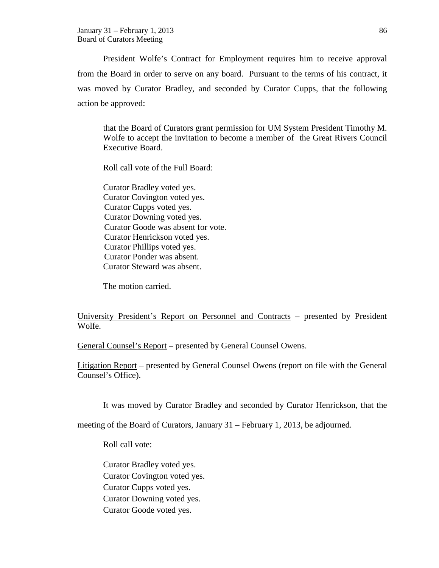President Wolfe's Contract for Employment requires him to receive approval from the Board in order to serve on any board. Pursuant to the terms of his contract, it was moved by Curator Bradley, and seconded by Curator Cupps, that the following action be approved:

that the Board of Curators grant permission for UM System President Timothy M. Wolfe to accept the invitation to become a member of the Great Rivers Council Executive Board.

Roll call vote of the Full Board:

Curator Bradley voted yes. Curator Covington voted yes. Curator Cupps voted yes. Curator Downing voted yes. Curator Goode was absent for vote. Curator Henrickson voted yes. Curator Phillips voted yes. Curator Ponder was absent. Curator Steward was absent.

The motion carried.

University President's Report on Personnel and Contracts – presented by President Wolfe.

General Counsel's Report – presented by General Counsel Owens.

Litigation Report – presented by General Counsel Owens (report on file with the General Counsel's Office).

It was moved by Curator Bradley and seconded by Curator Henrickson, that the

meeting of the Board of Curators, January 31 – February 1, 2013, be adjourned.

Roll call vote:

Curator Bradley voted yes. Curator Covington voted yes. Curator Cupps voted yes. Curator Downing voted yes. Curator Goode voted yes.